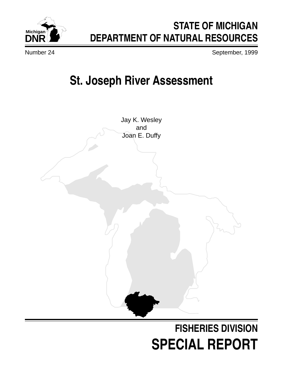# **Michigan**

# **STATE OF MICHIGAN DEPARTMENT OF NATURAL RESOURCES**

Number 24 September, 1999

# **St. Joseph River Assessment**

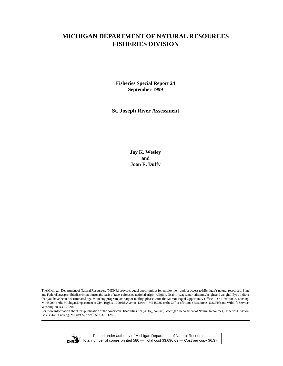## **MICHIGAN DEPARTMENT OF NATURAL RESOURCES FISHERIES DIVISION**

**Fisheries Special Report 24 September 1999**

**St. Joseph River Assessment**

**Jay K. Wesley and Joan E. Duffy**

The Michigan Department of Natural Resources, (MDNR) provides equal opportunities for employment and for access to Michigan's natural resources. State and Federal laws prohibit discrimination on the basis of race, color, sex, national origin, religion, disability, age, marital status, height and weight. If you believe that you have been discriminated against in any program, activity or facility, please write the MDNR Equal Opportunity Office, P.O. Box 30028, Lansing, MI 48909, or the Michigan Department of Civil Rights, 1200 6th Avenue, Detroit, MI 48226, or the Office of Human Resources, U.S. Fish and Wildlife Service, Washington D.C. 20204.

For more information about this publication or the American Disabilities Act (ADA), contact, Michigan Department of Natural Resources, Fisheries Division, Box 30446, Lansing, MI 48909, or call 517-373-1280.



Printed under authority of Michigan Department of Natural Resources Total number of copies printed 580 — Total cost \$3,696.69 — Cost per copy \$6.37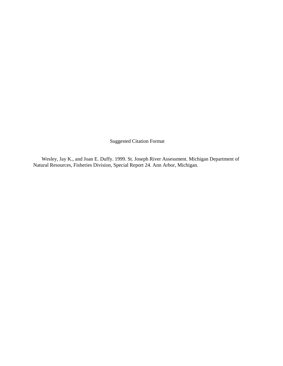Suggested Citation Format

Wesley, Jay K., and Joan E. Duffy. 1999. St. Joseph River Assessment. Michigan Department of Natural Resources, Fisheries Division, Special Report 24. Ann Arbor, Michigan.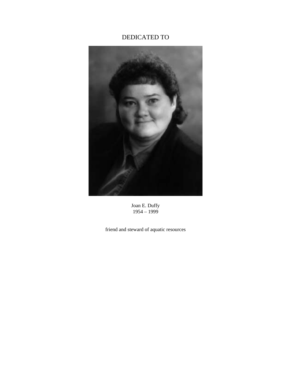# DEDICATED TO



Joan E. Duffy 1954 – 1999

friend and steward of aquatic resources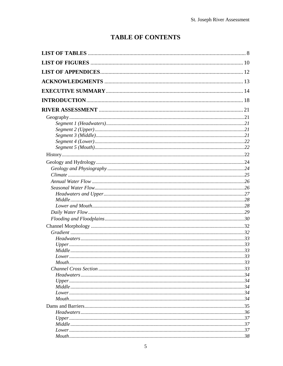# **TABLE OF CONTENTS**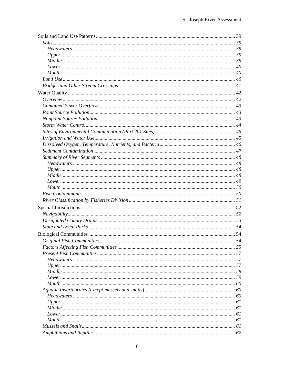| Original Fish Communities | .54 |
|---------------------------|-----|
|                           |     |
|                           |     |
|                           |     |
|                           |     |
|                           |     |
|                           |     |
|                           |     |
|                           |     |
|                           |     |
|                           |     |
|                           |     |
|                           |     |
|                           |     |
|                           |     |
|                           |     |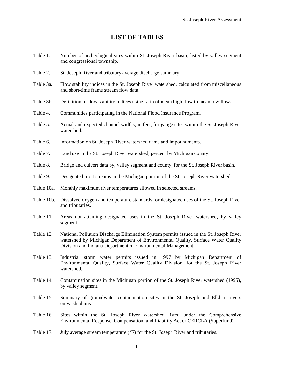### **LIST OF TABLES**

- <span id="page-8-0"></span>Table 1. Number of archeological sites within St. Joseph River basin, listed by valley segment and congressional township.
- Table 2. St. Joseph River and tributary average discharge summary.
- Table 3a. Flow stability indices in the St. Joseph River watershed, calculated from miscellaneous and short-time frame stream flow data.
- Table 3b. Definition of flow stability indices using ratio of mean high flow to mean low flow.
- Table 4. Communities participating in the National Flood Insurance Program.
- Table 5. Actual and expected channel widths, in feet, for gauge sites within the St. Joseph River watershed.
- Table 6. Information on St. Joseph River watershed dams and impoundments.
- Table 7. Land use in the St. Joseph River watershed, percent by Michigan county.
- Table 8. Bridge and culvert data by, valley segment and county, for the St. Joseph River basin.
- Table 9. Designated trout streams in the Michigan portion of the St. Joseph River watershed.
- Table 10a. Monthly maximum river temperatures allowed in selected streams.
- Table 10b. Dissolved oxygen and temperature standards for designated uses of the St. Joseph River and tributaries.
- Table 11. Areas not attaining designated uses in the St. Joseph River watershed, by valley segment.
- Table 12. National Pollution Discharge Elimination System permits issued in the St. Joseph River watershed by Michigan Department of Environmental Quality, Surface Water Quality Division and Indiana Department of Environmental Management.
- Table 13. Industrial storm water permits issued in 1997 by Michigan Department of Environmental Quality, Surface Water Quality Division, for the St. Joseph River watershed.
- Table 14. Contamination sites in the Michigan portion of the St. Joseph River watershed (1995), by valley segment.
- Table 15. Summary of groundwater contamination sites in the St. Joseph and Elkhart rivers outwash plains.
- Table 16. Sites within the St. Joseph River watershed listed under the Comprehensive Environmental Response, Compensation, and Liability Act or CERCLA (Superfund).
- Table 17. July average stream temperature ( ${}^{\circ}$ F) for the St. Joseph River and tributaries.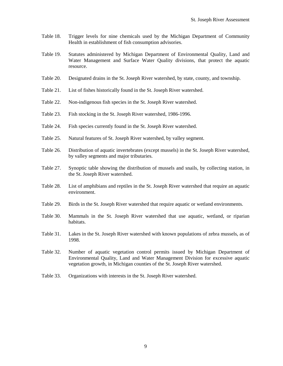- Table 18. Trigger levels for nine chemicals used by the Michigan Department of Community Health in establishment of fish consumption advisories.
- Table 19. Statutes administered by Michigan Department of Environmental Quality, Land and Water Management and Surface Water Quality divisions, that protect the aquatic resource.
- Table 20. Designated drains in the St. Joseph River watershed, by state, county, and township.
- Table 21. List of fishes historically found in the St. Joseph River watershed.
- Table 22. Non-indigenous fish species in the St. Joseph River watershed.
- Table 23. Fish stocking in the St. Joseph River watershed, 1986-1996.
- Table 24. Fish species currently found in the St. Joseph River watershed.
- Table 25. Natural features of St. Joseph River watershed, by valley segment.
- Table 26. Distribution of aquatic invertebrates (except mussels) in the St. Joseph River watershed, by valley segments and major tributaries.
- Table 27. Synoptic table showing the distribution of mussels and snails, by collecting station, in the St. Joseph River watershed.
- Table 28. List of amphibians and reptiles in the St. Joseph River watershed that require an aquatic environment.
- Table 29. Birds in the St. Joseph River watershed that require aquatic or wetland environments.
- Table 30. Mammals in the St. Joseph River watershed that use aquatic, wetland, or riparian habitats.
- Table 31. Lakes in the St. Joseph River watershed with known populations of zebra mussels, as of 1998.
- Table 32. Number of aquatic vegetation control permits issued by Michigan Department of Environmental Quality, Land and Water Management Division for excessive aquatic vegetation growth, in Michigan counties of the St. Joseph River watershed.
- Table 33. Organizations with interests in the St. Joseph River watershed.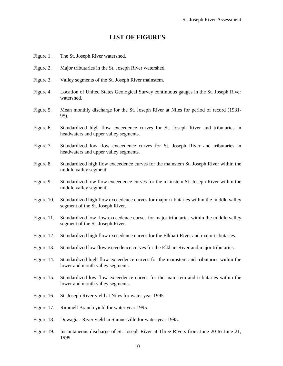#### **LIST OF FIGURES**

- <span id="page-10-0"></span>Figure 1. The St. Joseph River watershed.
- Figure 2. Major tributaries in the St. Joseph River watershed.
- Figure 3. Valley segments of the St. Joseph River mainstem.
- Figure 4. Location of United States Geological Survey continuous gauges in the St. Joseph River watershed.
- Figure 5. Mean monthly discharge for the St. Joseph River at Niles for period of record (1931- 95).
- Figure 6. Standardized high flow exceedence curves for St. Joseph River and tributaries in headwaters and upper valley segments.
- Figure 7. Standardized low flow exceedence curves for St. Joseph River and tributaries in headwaters and upper valley segments.
- Figure 8. Standardized high flow exceedence curves for the mainstem St. Joseph River within the middle valley segment.
- Figure 9. Standardized low flow exceedence curves for the mainstem St. Joseph River within the middle valley segment.
- Figure 10. Standardized high flow exceedence curves for major tributaries within the middle valley segment of the St. Joseph River.
- Figure 11. Standardized low flow exceedence curves for major tributaries within the middle valley segment of the St. Joseph River.
- Figure 12. Standardized high flow exceedence curves for the Elkhart River and major tributaries.
- Figure 13. Standardized low flow exceedence curves for the Elkhart River and major tributaries.
- Figure 14. Standardized high flow exceedence curves for the mainstem and tributaries within the lower and mouth valley segments.
- Figure 15. Standardized low flow exceedence curves for the mainstem and tributaries within the lower and mouth valley segments.
- Figure 16. St. Joseph River yield at Niles for water year 1995
- Figure 17. Rimmell Branch yield for water year 1995.
- Figure 18. Dowagiac River yield in Sumnerville for water year 1995.
- Figure 19. Instantaneous discharge of St. Joseph River at Three Rivers from June 20 to June 21, 1999.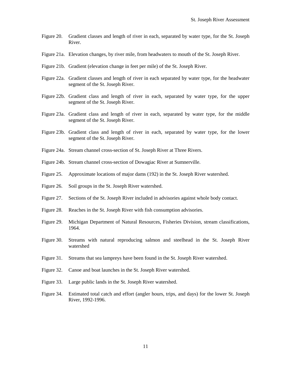- Figure 20. Gradient classes and length of river in each, separated by water type, for the St. Joseph River.
- Figure 21a. Elevation changes, by river mile, from headwaters to mouth of the St. Joseph River.
- Figure 21b. Gradient (elevation change in feet per mile) of the St. Joseph River.
- Figure 22a. Gradient classes and length of river in each separated by water type, for the headwater segment of the St. Joseph River.
- Figure 22b. Gradient class and length of river in each, separated by water type, for the upper segment of the St. Joseph River.
- Figure 23a. Gradient class and length of river in each, separated by water type, for the middle segment of the St. Joseph River.
- Figure 23b. Gradient class and length of river in each, separated by water type, for the lower segment of the St. Joseph River.
- Figure 24a. Stream channel cross-section of St. Joseph River at Three Rivers.
- Figure 24b. Stream channel cross-section of Dowagiac River at Sumnerville.
- Figure 25. Approximate locations of major dams (192) in the St. Joseph River watershed.
- Figure 26. Soil groups in the St. Joseph River watershed.
- Figure 27. Sections of the St. Joseph River included in advisories against whole body contact.
- Figure 28. Reaches in the St. Joseph River with fish consumption advisories.
- Figure 29. Michigan Department of Natural Resources, Fisheries Division, stream classifications, 1964.
- Figure 30. Streams with natural reproducing salmon and steelhead in the St. Joseph River watershed
- Figure 31. Streams that sea lampreys have been found in the St. Joseph River watershed.
- Figure 32. Canoe and boat launches in the St. Joseph River watershed.
- Figure 33. Large public lands in the St. Joseph River watershed.
- Figure 34. Estimated total catch and effort (angler hours, trips, and days) for the lower St. Joseph River, 1992-1996.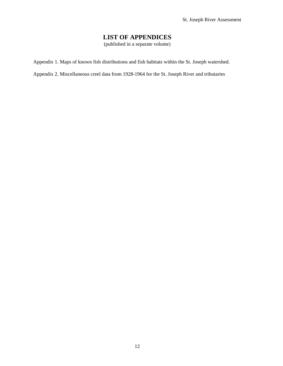# **LIST OF APPENDICES**

(published in a separate volume)

<span id="page-12-0"></span>Appendix 1. Maps of known fish distributions and fish habitats within the St. Joseph watershed.

Appendix 2. Miscellaneous creel data from 1928-1964 for the St. Joseph River and tributaries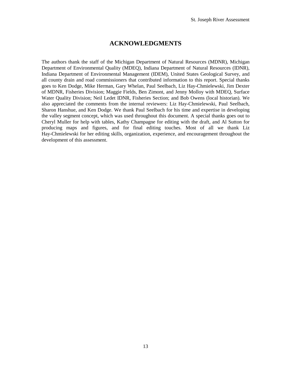#### **ACKNOWLEDGMENTS**

<span id="page-13-0"></span>The authors thank the staff of the Michigan Department of Natural Resources (MDNR), Michigan Department of Environmental Quality (MDEQ), Indiana Department of Natural Resources (IDNR), Indiana Department of Environmental Management (IDEM), United States Geological Survey, and all county drain and road commissioners that contributed information to this report. Special thanks goes to Ken Dodge, Mike Herman, Gary Whelan, Paul Seelbach, Liz Hay-Chmielewski, Jim Dexter of MDNR, Fisheries Division; Maggie Fields, Ben Zimont, and Jenny Molloy with MDEQ, Surface Water Quality Division; Neil Ledet IDNR, Fisheries Section; and Bob Owens (local historian). We also appreciated the comments from the internal reviewers: Liz Hay-Chmielewski, Paul Seelbach, Sharon Hanshue, and Ken Dodge. We thank Paul Seelbach for his time and expertise in developing the valley segment concept, which was used throughout this document. A special thanks goes out to Cheryl Muller for help with tables, Kathy Champagne for editing with the draft, and Al Sutton for producing maps and figures, and for final editing touches. Most of all we thank Liz Hay-Chmielewski for her editing skills, organization, experience, and encouragement throughout the development of this assessment.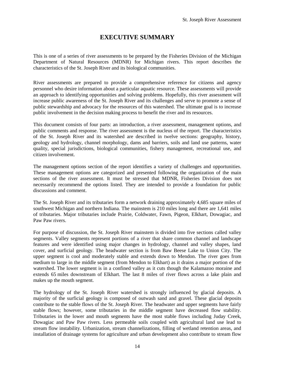# **EXECUTIVE SUMMARY**

<span id="page-14-0"></span>This is one of a series of river assessments to be prepared by the Fisheries Division of the Michigan Department of Natural Resources (MDNR) for Michigan rivers. This report describes the characteristics of the St. Joseph River and its biological communities.

River assessments are prepared to provide a comprehensive reference for citizens and agency personnel who desire information about a particular aquatic resource. These assessments will provide an approach to identifying opportunities and solving problems. Hopefully, this river assessment will increase public awareness of the St. Joseph River and its challenges and serve to promote a sense of public stewardship and advocacy for the resources of this watershed. The ultimate goal is to increase public involvement in the decision making process to benefit the river and its resources.

This document consists of four parts: an introduction, a river assessment, management options, and public comments and response. The river assessment is the nucleus of the report. The characteristics of the St. Joseph River and its watershed are described in twelve sections: geography, history, geology and hydrology, channel morphology, dams and barriers, soils and land use patterns, water quality, special jurisdictions, biological communities, fishery management, recreational use, and citizen involvement.

The management options section of the report identifies a variety of challenges and opportunities. These management options are categorized and presented following the organization of the main sections of the river assessment. It must be stressed that MDNR, Fisheries Division does not necessarily recommend the options listed. They are intended to provide a foundation for public discussions and comment.

The St. Joseph River and its tributaries form a network draining approximately 4,685 square miles of southwest Michigan and northern Indiana. The mainstem is 210 miles long and there are 1,641 miles of tributaries. Major tributaries include Prairie, Coldwater, Fawn, Pigeon, Elkhart, Dowagiac, and Paw Paw rivers.

For purpose of discussion, the St. Joseph River mainstem is divided into five sections called valley segments. Valley segments represent portions of a river that share common channel and landscape features and were identified using major changes in hydrology, channel and valley shapes, land cover, and surficial geology. The headwater section is from Baw Beese Lake to Union City. The upper segment is cool and moderately stable and extends down to Mendon. The river goes from medium to large in the middle segment (from Mendon to Elkhart) as it drains a major portion of the watershed. The lower segment is in a confined valley as it cuts though the Kalamazoo moraine and extends 65 miles downstream of Elkhart. The last 8 miles of river flows across a lake plain and makes up the mouth segment.

The hydrology of the St. Joseph River watershed is strongly influenced by glacial deposits. A majority of the surficial geology is composed of outwash sand and gravel. These glacial deposits contribute to the stable flows of the St. Joseph River. The headwater and upper segments have fairly stable flows; however, some tributaries in the middle segment have decreased flow stability. Tributaries in the lower and mouth segments have the most stable flows including Juday Creek, Dowagiac and Paw Paw rivers. Less permeable soils coupled with agricultural land use lead to stream flow instability. Urbanization, stream channelizations, filling of wetland retention areas, and installation of drainage systems for agriculture and urban development also contribute to stream flow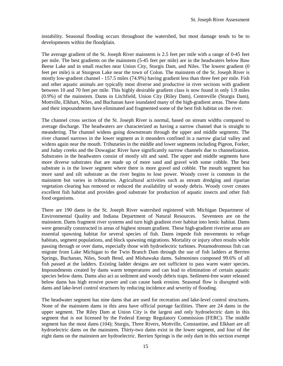instability. Seasonal flooding occurs throughout the watershed, but most damage tends to be to developments within the floodplain.

The average gradient of the St. Joseph River mainstem is 2.5 feet per mile with a range of 0-45 feet per mile. The best gradients on the mainstem (5-45 feet per mile) are in the headwaters below Baw Beese Lake and in small reaches near Union City, Sturgis Dam, and Niles. The lowest gradient (0 feet per mile) is at Sturgeon Lake near the town of Colon. The mainstem of the St. Joseph River is mostly low-gradient channel - 157.5 miles (74.9%) having gradient less than three feet per mile. Fish and other aquatic animals are typically most diverse and productive in river sections with gradient between 10 and 70 feet per mile. This highly desirable gradient class is now found in only 1.9 miles (0.9%) of the mainstem. Dams in Litchfield, Union City (Riley Dam), Centreville (Sturgis Dam), Mottville, Elkhart, Niles, and Buchanan have inundated many of the high-gradient areas. These dams and their impoundments have eliminated and fragmented some of the best fish habitat on the river.

The channel cross section of the St. Joseph River is normal, based on stream widths compared to average discharge. The headwaters are characterized as having a narrow channel that is straight to meandering. The channel widens going downstream through the upper and middle segments. The river channel narrows in the lower segment as it meanders confined in a narrow glacial valley and widens again near the mouth. Tributaries in the middle and lower segments including Pigeon, Forker, and Juday creeks and the Dowagiac River have significantly narrow channels due to channelization. Substrates in the headwaters consist of mostly silt and sand. The upper and middle segments have more diverse substrates that are made up of more sand and gravel with some cobble. The best substrate is in the lower segment where there is more gravel and cobble. The mouth segment has more sand and silt substrate as the river begins to lose power. Woody cover is common in the mainstem but varies in tributaries. Agricultural activities such as stream dredging and riparian vegetation clearing has removed or reduced the availability of woody debris. Woody cover creates excellent fish habitat and provides good substrate for production of aquatic insects and other fish food organisms.

There are 190 dams in the St. Joseph River watershed registered with Michigan Department of Environmental Quality and Indiana Department of Natural Resources. Seventeen are on the mainstem. Dams fragment river systems and turn high gradient river habitat into lentic habitat. Dams were generally constructed in areas of highest stream gradient. These high-gradient riverine areas are essential spawning habitat for several species of fish. Dams impede fish movements to refuge habitats, segment populations, and block spawning migrations. Mortality or injury often results while passing through or over dams, especially those with hydroelectric turbines. Potamodromous fish can migrate from Lake Michigan to the Twin Branch Dam through the use of fish ladders at Berrien Springs, Buchanan, Niles, South Bend, and Mishawaka dams. Salmonines composed 99.6% of all fish passed at the ladders. Existing ladder designs are not sufficient to pass warm water species. Impoundments created by dams warm temperatures and can lead to elimination of certain aquatic species below dams. Dams also act as sediment and woody debris traps. Sediment-free water released below dams has high erosive power and can cause bank erosion. Seasonal flow is disrupted with dams and lake-level control structures by reducing incidence and severity of flooding.

The headwater segment has nine dams that are used for recreation and lake-level control structures. None of the mainstem dams in this area have official portage facilities. There are 24 dams in the upper segment. The Riley Dam at Union City is the largest and only hydroelectric dam in this segment that is not licensed by the Federal Energy Regulatory Commission (FERC). The middle segment has the most dams (104); Sturgis, Three Rivers, Mottville, Constantine, and Elkhart are all hydroelectric dams on the mainstem. Thirty-two dams exist in the lower segment, and four of the eight dams on the mainstem are hydroelectric. Berrien Springs is the only dam in this section exempt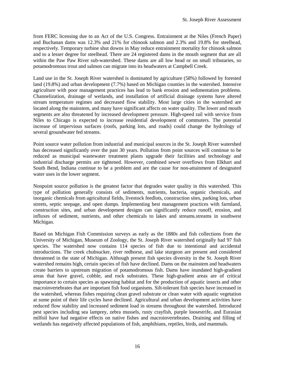from FERC licensing due to an Act of the U.S. Congress. Entrainment at the Niles (French Paper) and Buchanan dams was 12.3% and 21% for chinook salmon and 2.3% and 19.8% for steelhead, respectively. Temporary turbine shut downs in May reduce entrainment mortality for chinook salmon and to a lesser degree for steelhead. There are 24 registered dams in the mouth segment that are all within the Paw Paw River sub-watershed. These dams are all low head or on small tributaries, so potamodromous trout and salmon can migrate into its headwaters at Campbell Creek.

Land use in the St. Joseph River watershed is dominated by agriculture (58%) followed by forested land (19.8%) and urban development (7.7%) based on Michigan counties in the watershed. Intensive agriculture with poor management practices has lead to bank erosion and sedimentation problems. Channelization, drainage of wetlands, and installation of artificial drainage systems have altered stream temperature regimes and decreased flow stability. Most large cities in the watershed are located along the mainstem, and many have significant affects on water quality. The lower and mouth segments are also threatened by increased development pressure. High-speed rail with service from Niles to Chicago is expected to increase residential development of commuters. The potential increase of impervious surfaces (roofs, parking lots, and roads) could change the hydrology of several groundwater fed streams.

Point source water pollution from industrial and municipal sources in the St. Joseph River watershed has decreased significantly over the past 30 years. Pollution from point sources will continue to be reduced as municipal wastewater treatment plants upgrade their facilities and technology and industrial discharge permits are tightened. However, combined sewer overflows from Elkhart and South Bend, Indiana continue to be a problem and are the cause for non-attainment of designated water uses in the lower segment.

Nonpoint source pollution is the greatest factor that degrades water quality in this watershed. This type of pollution generally consists of sediments, nutrients, bacteria, organic chemicals, and inorganic chemicals from agricultural fields, livestock feedlots, construction sites, parking lots, urban streets, septic seepage, and open dumps. Implementing best management practices with farmland, construction sites, and urban development designs can significantly reduce runoff, erosion, and influxes of sediment, nutrients, and other chemicals to lakes and streams.streams in southwest Michigan.

Based on Michigan Fish Commission surveys as early as the 1880s and fish collections from the University of Michigan, Museum of Zoology, the St. Joseph River watershed originally had 97 fish species. The watershed now contains 114 species of fish due to intentional and accidental introductions. The creek chubsucker, river redhorse, and lake sturgeon are present and considered threatened in the state of Michigan. Although present fish species diversity in the St. Joseph River watershed remains high, certain species of fish have declined. Dams on the mainstem and headwaters create barriers to upstream migration of potamodromous fish. Dams have inundated high-gradient areas that have gravel, cobble, and rock substrates. These high-gradient areas are of critical importance to certain species as spawning habitat and for the production of aquatic insects and other macroinvertebrates that are important fish food organisms. Silt-tolerant fish species have increased in the watershed, whereas fishes requiring clean gravel substrate or clean water with aquatic vegetation at some point of their life cycles have declined. Agricultural and urban development activities have reduced flow stability and increased sediment load in streams throughout the watershed. Introduced pest species including sea lamprey, zebra mussels, rusty crayfish, purple loosestrife, and Eurasian milfoil have had negative effects on native fishes and macroinvertebrates. Draining and filling of wetlands has negatively affected populations of fish, amphibians, reptiles, birds, and mammals.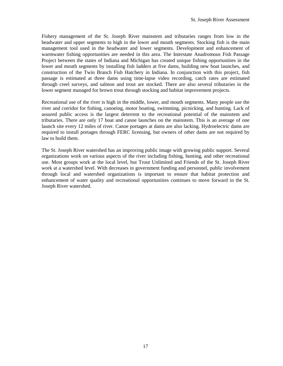Fishery management of the St. Joseph River mainstem and tributaries ranges from low in the headwater and upper segments to high in the lower and mouth segments. Stocking fish is the main management tool used in the headwater and lower segments. Development and enhancement of warmwater fishing opportunities are needed in this area. The Interstate Anadromous Fish Passage Project between the states of Indiana and Michigan has created unique fishing opportunities in the lower and mouth segments by installing fish ladders at five dams, building new boat launches, and construction of the Twin Branch Fish Hatchery in Indiana. In conjunction with this project, fish passage is estimated at three dams using time-lapse video recording, catch rates are estimated through creel surveys, and salmon and trout are stocked. There are also several tributaries in the lower segment managed for brown trout through stocking and habitat improvement projects.

Recreational use of the river is high in the middle, lower, and mouth segments. Many people use the river and corridor for fishing, canoeing, motor boating, swimming, picnicking, and hunting. Lack of assured public access is the largest deterrent to the recreational potential of the mainstem and tributaries. There are only 17 boat and canoe launches on the mainstem. This is an average of one launch site every 12 miles of river. Canoe portages at dams are also lacking. Hydroelectric dams are required to install portages through FERC licensing, but owners of other dams are not required by law to build them.

The St. Joseph River watershed has an improving public image with growing public support. Several organizations work on various aspects of the river including fishing, hunting, and other recreational use. Most groups work at the local level, but Trout Unlimited and Friends of the St. Joseph River work at a watershed level. With decreases in government funding and personnel, public involvement through local and watershed organizations is important to ensure that habitat protection and enhancement of water quality and recreational opportunities continues to move forward in the St. Joseph River watershed.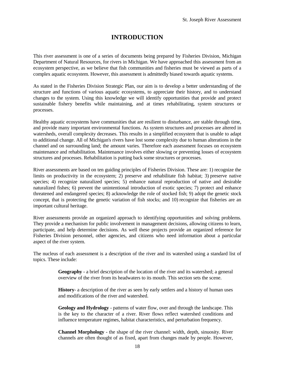# **INTRODUCTION**

<span id="page-18-0"></span>This river assessment is one of a series of documents being prepared by Fisheries Division, Michigan Department of Natural Resources, for rivers in Michigan. We have approached this assessment from an ecosystem perspective, as we believe that fish communities and fisheries must be viewed as parts of a complex aquatic ecosystem. However, this assessment is admittedly biased towards aquatic systems.

As stated in the Fisheries Division Strategic Plan, our aim is to develop a better understanding of the structure and functions of various aquatic ecosystems, to appreciate their history, and to understand changes to the system. Using this knowledge we will identify opportunities that provide and protect sustainable fishery benefits while maintaining, and at times rehabilitating, system structures or processes.

Healthy aquatic ecosystems have communities that are resilient to disturbance, are stable through time, and provide many important environmental functions. As system structures and processes are altered in watersheds, overall complexity decreases. This results in a simplified ecosystem that is unable to adapt to additional change. All of Michigan's rivers have lost some complexity due to human alterations in the channel and on surrounding land; the amount varies. Therefore each assessment focuses on ecosystem maintenance and rehabilitation. Maintenance involves either slowing or preventing losses of ecosystem structures and processes. Rehabilitation is putting back some structures or processes.

River assessments are based on ten guiding principles of Fisheries Division. These are: 1) recognize the limits on productivity in the ecosystem; 2) preserve and rehabilitate fish habitat; 3) preserve native species; 4) recognize naturalized species; 5) enhance natural reproduction of native and desirable naturalized fishes; 6) prevent the unintentional introduction of exotic species; 7) protect and enhance threatened and endangered species; 8) acknowledge the role of stocked fish; 9) adopt the genetic stock concept, that is protecting the genetic variation of fish stocks; and 10) recognize that fisheries are an important cultural heritage.

River assessments provide an organized approach to identifying opportunities and solving problems. They provide a mechanism for public involvement in management decisions, allowing citizens to learn, participate, and help determine decisions. As well these projects provide an organized reference for Fisheries Division personnel, other agencies, and citizens who need information about a particular aspect of the river system.

The nucleus of each assessment is a description of the river and its watershed using a standard list of topics. These include:

> **Geography** - a brief description of the location of the river and its watershed; a general overview of the river from its headwaters to its mouth. This section sets the scene.

> **History**- a description of the river as seen by early settlers and a history of human uses and modifications of the river and watershed.

> **Geology and Hydrology** - patterns of water flow, over and through the landscape. This is the key to the character of a river. River flows reflect watershed conditions and influence temperature regimes, habitat characteristics, and perturbation frequency.

> **Channel Morphology** - the shape of the river channel: width, depth, sinuosity. River channels are often thought of as fixed, apart from changes made by people. However,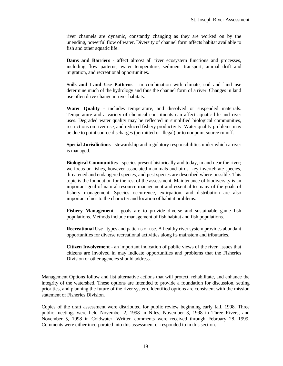river channels are dynamic, constantly changing as they are worked on by the unending, powerful flow of water. Diversity of channel form affects habitat available to fish and other aquatic life.

**Dams and Barriers** - affect almost all river ecosystem functions and processes, including flow patterns, water temperature, sediment transport, animal drift and migration, and recreational opportunities.

**Soils and Land Use Patterns** - in combination with climate, soil and land use determine much of the hydrology and thus the channel form of a river. Changes in land use often drive change in river habitats.

**Water Quality** - includes temperature, and dissolved or suspended materials. Temperature and a variety of chemical constituents can affect aquatic life and river uses. Degraded water quality may be reflected in simplified biological communities, restrictions on river use, and reduced fishery productivity. Water quality problems may be due to point source discharges (permitted or illegal) or to nonpoint source runoff.

**Special Jurisdictions** - stewardship and regulatory responsibilities under which a river is managed.

**Biological Communities** - species present historically and today, in and near the river; we focus on fishes, however associated mammals and birds, key invertebrate species, threatened and endangered species, and pest species are described where possible. This topic is the foundation for the rest of the assessment. Maintenance of biodiversity is an important goal of natural resource management and essential to many of the goals of fishery management. Species occurrence, extirpation, and distribution are also important clues to the character and location of habitat problems.

**Fishery Management** - goals are to provide diverse and sustainable game fish populations. Methods include management of fish habitat and fish populations.

**Recreational Use** - types and patterns of use. A healthy river system provides abundant opportunities for diverse recreational activities along its mainstem and tributaries.

**Citizen Involvement** - an important indication of public views of the river. Issues that citizens are involved in may indicate opportunities and problems that the Fisheries Division or other agencies should address.

Management Options follow and list alternative actions that will protect, rehabilitate, and enhance the integrity of the watershed. These options are intended to provide a foundation for discussion, setting priorities, and planning the future of the river system. Identified options are consistent with the mission statement of Fisheries Division.

Copies of the draft assessment were distributed for public review beginning early fall, 1998. Three public meetings were held November 2, 1998 in Niles, November 3, 1998 in Three Rivers, and November 5, 1998 in Coldwater. Written comments were received through February 28, 1999. Comments were either incorporated into this assessment or responded to in this section.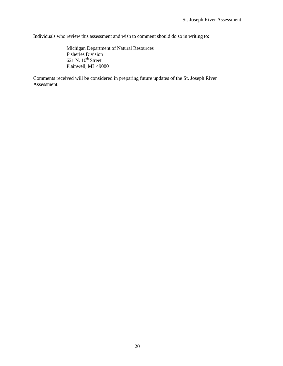Individuals who review this assessment and wish to comment should do so in writing to:

Michigan Department of Natural Resources Fisheries Division  $621$  N.  $10<sup>th</sup>$  Street Plainwell, MI 49080

Comments received will be considered in preparing future updates of the St. Joseph River Assessment.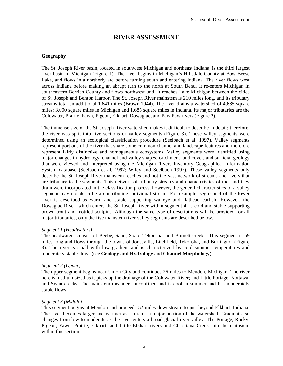## **RIVER ASSESSMENT**

#### <span id="page-21-0"></span>**Geography**

The St. Joseph River basin, located in southwest Michigan and northeast Indiana, is the third largest river basin in Michigan (Figure 1). The river begins in Michigan's Hillsdale County at Baw Beese Lake, and flows in a northerly arc before turning south and entering Indiana. The river flows west across Indiana before making an abrupt turn to the north at South Bend. It re-enters Michigan in southeastern Berrien County and flows northwest until it reaches Lake Michigan between the cities of St. Joseph and Benton Harbor. The St. Joseph River mainstem is 210 miles long, and its tributary streams total an additional 1,641 miles (Brown 1944). The river drains a watershed of 4,685 square miles: 3,000 square miles in Michigan and 1,685 square miles in Indiana. Its major tributaries are the Coldwater, Prairie, Fawn, Pigeon, Elkhart, Dowagiac, and Paw Paw rivers (Figure 2).

The immense size of the St. Joseph River watershed makes it difficult to describe in detail; therefore, the river was split into five sections or valley segments (Figure 3). These valley segments were determined using an ecological classification procedure (Seelbach et al. 1997). Valley segments represent portions of the river that share some common channel and landscape features and therefore represent fairly distinctive and homogeneous ecosystems. Valley segments were identified using major changes in hydrology, channel and valley shapes, catchment land cover, and surficial geology that were viewed and interpreted using the Michigan Rivers Inventory Geographical Information System database (Seelbach et al. 1997; Wiley and Seelbach 1997). These valley segments only describe the St. Joseph River mainstem reaches and not the vast network of streams and rivers that are tributary to the segments. This network of tributary streams and characteristics of the land they drain were incorporated in the classification process; however, the general characteristics of a valley segment may not describe a contributing individual stream. For example, segment 4 of the lower river is described as warm and stable supporting walleye and flathead catfish. However, the Dowagiac River, which enters the St. Joseph River within segment 4, is cold and stable supporting brown trout and mottled sculpins. Although the same type of descriptions will be provided for all major tributaries, only the five mainstem river valley segments are described below.

#### *Segment 1 (Headwaters)*

The headwaters consist of Beebe, Sand, Soap, Tekonsha, and Burnett creeks. This segment is 59 miles long and flows through the towns of Jonesville, Litchfield, Tekonsha, and Burlington (Figure 3). The river is small with low gradient and is characterized by cool summer temperatures and moderately stable flows (see **Geology and Hydrology** and **Channel Morphology**)

#### *Segment 2 (Upper)*

The upper segment begins near Union City and continues 26 miles to Mendon, Michigan. The river here is medium-sized as it picks up the drainage of the Coldwater River; and Little Portage, Nottawa, and Swan creeks. The mainstem meanders unconfined and is cool in summer and has moderately stable flows.

#### *Segment 3 (Middle)*

This segment begins at Mendon and proceeds 52 miles downstream to just beyond Elkhart, Indiana. The river becomes larger and warmer as it drains a major portion of the watershed. Gradient also changes from low to moderate as the river enters a broad glacial river valley. The Portage, Rocky, Pigeon, Fawn, Prairie, Elkhart, and Little Elkhart rivers and Christiana Creek join the mainstem within this section.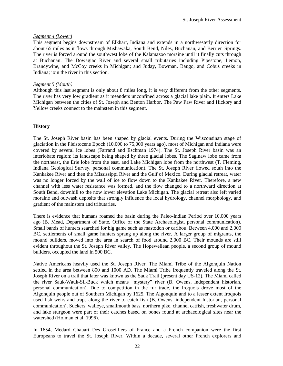#### <span id="page-22-0"></span>*Segment 4 (Lower)*

This segment begins downstream of Elkhart, Indiana and extends in a northwesterly direction for about 65 miles as it flows through Mishawaka, South Bend, Niles, Buchanan, and Berrien Springs. The river is forced around the southwest lobe of the Kalamazoo moraine until it finally cuts through at Buchanan. The Dowagiac River and several small tributaries including Pipestone, Lemon, Brandywine, and McCoy creeks in Michigan; and Juday, Bowman, Baugo, and Cobus creeks in Indiana; join the river in this section.

#### *Segment 5 (Mouth)*

Although this last segment is only about 8 miles long, it is very different from the other segments. The river has very low gradient as it meanders unconfined across a glacial lake plain. It enters Lake Michigan between the cities of St. Joseph and Benton Harbor. The Paw Paw River and Hickory and Yellow creeks connect to the mainstem in this segment.

#### **History**

The St. Joseph River basin has been shaped by glacial events. During the Wisconsinan stage of glaciation in the Pleistocene Epoch (10,000 to 75,000 years ago), most of Michigan and Indiana were covered by several ice lobes (Farrand and Eschman 1974). The St. Joseph River basin was an interlobate region; its landscape being shaped by three glacial lobes. The Saginaw lobe came from the northeast, the Erie lobe from the east, and Lake Michigan lobe from the northwest (T. Fleming, Indiana Geological Survey, personal communication). The St. Joseph River flowed south into the Kankakee River and then the Mississippi River and the Gulf of Mexico. During glacial retreat, water was no longer forced by the wall of ice to flow down to the Kankakee River. Therefore, a new channel with less water resistance was formed, and the flow changed to a northward direction at South Bend, downhill to the now lower elevation Lake Michigan. The glacial retreat also left varied moraine and outwash deposits that strongly influence the local hydrology, channel morphology, and gradient of the mainstem and tributaries.

There is evidence that humans roamed the basin during the Paleo-Indian Period over 10,000 years ago (B. Mead, Department of State, Office of the State Archaeologist, personal communication). Small bands of hunters searched for big game such as mastodon or caribou. Between 4,000 and 2,000 BC, settlements of small game hunters sprang up along the river. A larger group of migrants, the mound builders, moved into the area in search of food around 2,000 BC. Their mounds are still evident throughout the St. Joseph River valley. The Hopewellean people, a second group of mound builders, occupied the land in 500 BC.

Native Americans heavily used the St. Joseph River. The Miami Tribe of the Algonquin Nation settled in the area between 800 and 1000 AD. The Miami Tribe frequently traveled along the St. Joseph River on a trail that later was known as the Sauk Trail (present day US-12). The Miami called the river Sauk-Wauk-Sil-Buck which means "mystery" river (B. Owens, independent historian, personal communication). Due to competition in the fur trade, the Iroquois drove most of the Algonquin people out of Southern Michigan by 1625. The Algonquin and to a lesser extent Iroquois used fish weirs and traps along the river to catch fish (B. Owens, independent historian, personal communication). Suckers, walleye, smallmouth bass, northern pike, channel catfish, freshwater drum, and lake sturgeon were part of their catches based on bones found at archaeological sites near the watershed (Holman et al. 1996).

In 1654, Medard Chauart Des Groseilliers of France and a French companion were the first Europeans to travel the St. Joseph River. Within a decade, several other French explorers and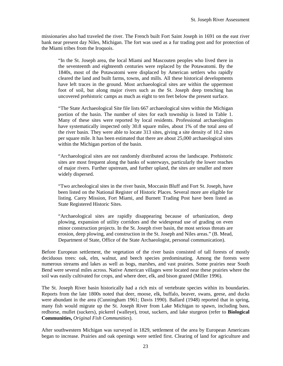missionaries also had traveled the river. The French built Fort Saint Joseph in 1691 on the east river bank near present day Niles, Michigan. The fort was used as a fur trading post and for protection of the Miami tribes from the Iroquois.

"In the St. Joseph area, the local Miami and Mascouten peoples who lived there in the seventeenth and eighteenth centuries were replaced by the Potawatomi. By the 1840s, most of the Potawatomi were displaced by American settlers who rapidly cleared the land and built farms, towns, and mills. All these historical developments have left traces in the ground. Most archaeological sites are within the uppermost foot of soil, but along major rivers such as the St. Joseph deep trenching has uncovered prehistoric camps as much as eight to ten feet below the present surface.

"The State Archaeological Site file lists 667 archaeological sites within the Michigan portion of the basin. The number of sites for each township is listed in Table 1. Many of these sites were reported by local residents. Professional archaeologists have systematically inspected only 30.8 square miles, about 1% of the total area of the river basin. They were able to locate 313 sites, giving a site density of 10.2 sites per square mile. It has been estimated that there are about 25,000 archaeological sites within the Michigan portion of the basin.

"Archaeological sites are not randomly distributed across the landscape. Prehistoric sites are most frequent along the banks of waterways, particularly the lower reaches of major rivers. Further upstream, and further upland, the sites are smaller and more widely dispersed.

"Two archeological sites in the river basin, Moccasin Bluff and Fort St. Joseph, have been listed on the National Register of Historic Places. Several more are eligible for listing. Carey Mission, Fort Miami, and Burnett Trading Post have been listed as State Registered Historic Sites.

"Archaeological sites are rapidly disappearing because of urbanization, deep plowing, expansion of utility corridors and the widespread use of grading on even minor construction projects. In the St. Joseph river basin, the most serious threats are erosion, deep plowing, and construction in the St. Joseph and Niles areas." (B. Mead, Department of State, Office of the State Archaeologist, personal communication).

Before European settlement, the vegetation of the river basin consisted of tall forests of mostly deciduous trees: oak, elm, walnut, and beech species predominating. Among the forests were numerous streams and lakes as well as bogs, marshes, and vast prairies. Some prairies near South Bend were several miles across. Native American villages were located near these prairies where the soil was easily cultivated for crops, and where deer, elk, and bison grazed (Miller 1996).

The St. Joseph River basin historically had a rich mix of vertebrate species within its boundaries. Reports from the late 1800s noted that deer, moose, elk, buffalo, beaver, swans, geese, and ducks were abundant in the area (Cunningham 1961; Davis 1990). Ballard (1948) reported that in spring, many fish would migrate up the St. Joseph River from Lake Michigan to spawn, including bass, redhorse, mullet (suckers), pickerel (walleye), trout, suckers, and lake sturgeon (refer to **Biological Communities,** *Original Fish Communities*).

After southwestern Michigan was surveyed in 1829, settlement of the area by European Americans began to increase. Prairies and oak openings were settled first. Clearing of land for agriculture and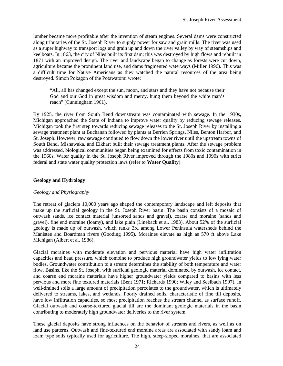<span id="page-24-0"></span>lumber became more profitable after the invention of steam engines. Several dams were constructed along tributaries of the St. Joseph River to supply power for saw and grain mills. The river was used as a super highway to transport logs and grain up and down the river valley by way of steamships and keelboats. In 1863, the city of Niles built its first dam; this was destroyed by high flows and rebuilt in 1871 with an improved design. The river and landscape began to change as forests were cut down, agriculture became the prominent land use, and dams fragmented waterways (Miller 1996). This was a difficult time for Native Americans as they watched the natural resources of the area being destroyed. Simon Pokagon of the Potawatomi wrote:

"All, all has changed except the sun, moon, and stars and they have not because their God and our God in great wisdom and mercy, hung them beyond the white man's reach" (Cunningham 1961).

By 1925, the river from South Bend downstream was contaminated with sewage. In the 1930s, Michigan approached the State of Indiana to improve water quality by reducing sewage releases. Michigan took the first step towards reducing sewage releases to the St. Joseph River by installing a sewage treatment plant at Buchanan followed by plants at Berrien Springs, Niles, Benton Harbor, and St. Joseph. However, raw sewage continued to flow down the lower river until the upstream towns of South Bend, Mishawaka, and Elkhart built their sewage treatment plants. After the sewage problem was addressed, biological communities began being examined for effects from toxic contamination in the 1960s. Water quality in the St. Joseph River improved through the 1980s and 1990s with strict federal and state water quality protection laws (refer to **Water Quality**).

#### **Geology and Hydrology**

#### *Geology and Physiography*

The retreat of glaciers 10,000 years ago shaped the contemporary landscape and left deposits that make up the surficial geology in the St. Joseph River basin. The basin consists of a mosaic of outwash sands, ice contact material (unsorted sands and gravel), coarse end moraine (sands and gravel), fine end moraine (loamy), and lake plain (Lineback et al. 1983). About 52% of the surficial geology is made up of outwash, which ranks 3rd among Lower Peninsula watersheds behind the Manistee and Boardman rivers (Gooding 1995). Moraines elevate as high as 570 ft above Lake Michigan (Albert et al. 1986).

Glacial moraines with moderate elevation and pervious material have high water infiltration capacities and head pressure, which combine to produce high groundwater yields to low lying water bodies. Groundwater contribution to a stream determines the stability of both temperature and water flow. Basins, like the St. Joseph, with surficial geologic material dominated by outwash, ice contact, and coarse end moraine materials have higher groundwater yields compared to basins with less pervious and more fine textured materials (Bent 1971; Richards 1990; Wiley and Seelbach 1997). In well-drained soils a large amount of precipitation percolates to the groundwater, which is ultimately delivered to streams, lakes, and wetlands. Poorly drained soils, characteristic of fine till deposits, have low infiltration capacities, so most precipitation reaches the stream channel as surface runoff. Glacial outwash and coarse-textured glacial till are the dominant geologic materials in the basin contributing to moderately high groundwater deliveries to the river system.

These glacial deposits have strong influences on the behavior of streams and rivers, as well as on land use patterns. Outwash and fine-textured end moraine areas are associated with sandy loam and loam type soils typically used for agriculture. The high, steep-sloped moraines, that are associated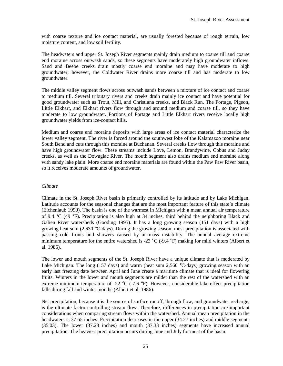<span id="page-25-0"></span>with coarse texture and ice contact material, are usually forested because of rough terrain, low moisture content, and low soil fertility.

The headwaters and upper St. Joseph River segments mainly drain medium to coarse till and coarse end moraine across outwash sands, so these segments have moderately high groundwater inflows. Sand and Beebe creeks drain mostly coarse end moraine and may have moderate to high groundwater; however, the Coldwater River drains more coarse till and has moderate to low groundwater.

The middle valley segment flows across outwash sands between a mixture of ice contact and coarse to medium till. Several tributary rivers and creeks drain mainly ice contact and have potential for good groundwater such as Trout, Mill, and Christiana creeks, and Black Run. The Portage, Pigeon, Little Elkhart, and Elkhart rivers flow through and around medium and coarse till, so they have moderate to low groundwater. Portions of Portage and Little Elkhart rivers receive locally high groundwater yields from ice-contact hills.

Medium and coarse end moraine deposits with large areas of ice contact material characterize the lower valley segment. The river is forced around the southwest lobe of the Kalamazoo moraine near South Bend and cuts through this moraine at Buchanan. Several creeks flow through this moraine and have high groundwater flow. These streams include Love, Lemon, Brandywine, Cobus and Juday creeks, as well as the Dowagiac River. The mouth segment also drains medium end moraine along with sandy lake plain. More coarse end moraine materials are found within the Paw Paw River basin, so it receives moderate amounts of groundwater.

#### *Climate*

Climate in the St. Joseph River basin is primarily controlled by its latitude and by Lake Michigan. Latitude accounts for the seasonal changes that are the most important feature of this state's climate (Eichenlaub 1990). The basin is one of the warmest in Michigan with a mean annual air temperature of 9.4 °C (49 °F). Precipitation is also high at 34 inches, third behind the neighboring Black and Galien River watersheds (Gooding 1995). It has a long growing season (151 days) with a high growing heat sum (2,630 °C-days). During the growing season, most precipitation is associated with passing cold fronts and showers caused by air-mass instability. The annual average extreme minimum temperature for the entire watershed is -23  $^{\circ}$ C (-9.4  $^{\circ}$ F) making for mild winters (Albert et al. 1986).

The lower and mouth segments of the St. Joseph River have a unique climate that is moderated by Lake Michigan. The long (157 days) and warm (heat sum 2,560  $\degree$ C-days) growing season with an early last freezing date between April and June create a maritime climate that is ideal for flowering fruits. Winters in the lower and mouth segments are milder than the rest of the watershed with an extreme minimum temperature of -22  $^{\circ}$ C (-7.6  $^{\circ}$ F). However, considerable lake-effect precipitation falls during fall and winter months (Albert et al. 1986).

Net precipitation, because it is the source of surface runoff, through flow, and groundwater recharge, is the ultimate factor controlling stream flow. Therefore, differences in precipitation are important considerations when comparing stream flows within the watershed. Annual mean precipitation in the headwaters is 37.65 inches. Precipitation decreases in the upper (34.27 inches) and middle segments (35.03). The lower (37.23 inches) and mouth (37.33 inches) segments have increased annual precipitation. The heaviest precipitation occurs during June and July for most of the basin.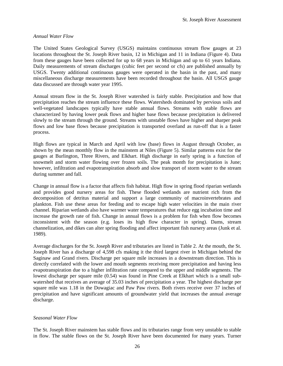#### <span id="page-26-0"></span>*Annual Water Flow*

The United States Geological Survey (USGS) maintains continuous stream flow gauges at 23 locations throughout the St. Joseph River basin, 12 in Michigan and 11 in Indiana (Figure 4). Data from these gauges have been collected for up to 68 years in Michigan and up to 61 years Indiana. Daily measurements of stream discharges (cubic feet per second or cfs) are published annually by USGS. Twenty additional continuous gauges were operated in the basin in the past, and many miscellaneous discharge measurements have been recorded throughout the basin. All USGS gauge data discussed are through water year 1995.

Annual stream flow in the St. Joseph River watershed is fairly stable. Precipitation and how that precipitation reaches the stream influence these flows. Watersheds dominated by pervious soils and well-vegetated landscapes typically have stable annual flows. Streams with stable flows are characterized by having lower peak flows and higher base flows because precipitation is delivered slowly to the stream through the ground. Streams with unstable flows have higher and sharper peak flows and low base flows because precipitation is transported overland as run-off that is a faster process.

High flows are typical in March and April with low (base) flows in August through October, as shown by the mean monthly flow in the mainstem at Niles (Figure 5). Similar patterns exist for the gauges at Burlington, Three Rivers, and Elkhart. High discharge in early spring is a function of snowmelt and storm water flowing over frozen soils. The peak month for precipitation is June; however, infiltration and evapotranspiration absorb and slow transport of storm water to the stream during summer and fall.

Change in annual flow is a factor that affects fish habitat. High flow in spring flood riparian wetlands and provides good nursery areas for fish. These flooded wetlands are nutrient rich from the decomposition of detritus material and support a large community of macroinvertebrates and plankton. Fish use these areas for feeding and to escape high water velocities in the main river channel. Riparian wetlands also have warmer water temperatures that reduce egg incubation time and increase the growth rate of fish. Change in annual flows is a problem for fish when flow becomes inconsistent with the season (e.g. loses its high flow character in spring). Dams, stream channelization, and dikes can alter spring flooding and affect important fish nursery areas (Junk et al. 1989).

Average discharges for the St. Joseph River and tributaries are listed in Table 2. At the mouth, the St. Joseph River has a discharge of 4,598 cfs making it the third largest river in Michigan behind the Saginaw and Grand rivers. Discharge per square mile increases in a downstream direction. This is directly correlated with the lower and mouth segments receiving more precipitation and having less evapotranspiration due to a higher infiltration rate compared to the upper and middle segments. The lowest discharge per square mile (0.54) was found in Pine Creek at Elkhart which is a small subwatershed that receives an average of 35.03 inches of precipitation a year. The highest discharge per square mile was 1.18 in the Dowagiac and Paw Paw rivers. Both rivers receive over 37 inches of precipitation and have significant amounts of groundwater yield that increases the annual average discharge.

#### *Seasonal Water Flow*

The St. Joseph River mainstem has stable flows and its tributaries range from very unstable to stable in flow. The stable flows on the St. Joseph River have been documented for many years. Turner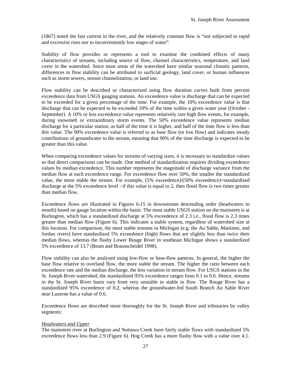<span id="page-27-0"></span>(1867) noted the fast current in the river, and the relatively constant flow is "not subjected to rapid and excessive rises nor to inconveniently low stages of water".

Stability of flow provides or represents a tool to examine the combined effects of many characteristics of streams, including source of flow, channel characteristics, temperature, and land cover in the watershed. Since most areas of the watershed have similar seasonal climatic patterns, differences in flow stability can be attributed to surficial geology, land cover, or human influences such as storm sewers, stream channelization, or land use.

Flow stability can be described or characterized using flow duration curves built from percent exceedence data from USGS gauging stations. An exceedence value is discharge that can be expected to be exceeded for a given percentage of the time. For example, the 10% exceedence value is that discharge that can be expected to be exceeded 10% of the time within a given water year (October - September). A 10% or less exceedence value represents relatively rare high flow events, for example, during snowmelt or extraordinary storm events. The 50% exceedence value represents median discharge for a particular station, as half of the time it is higher, and half of the time flow is less than this value. The 90% exceedence value is referred to as base flow (or low flow) and indicates steady contributions of groundwater to the stream, meaning that 90% of the time discharge is expected to be greater than this value.

When comparing exceedence values for streams of varying sizes, it is necessary to standardize values so that direct comparisons can be made. One method of standardization requires dividing exceedence values by median exceedence. This number represents the magnitude of discharge variance from the median flow at each exceedence range. For exceedence flow over 50%, the smaller the standardized value, the more stable the stream. For example, (5% exceedence)/(50% exceedence)=standardized discharge at the 5% exceedence level - if this value is equal to 2, then flood flow is two times greater than median flow.

Exceedence flows are illustrated in Figures 6-15 in downstream descending order (headwaters to mouth) based on gauge location within the basin. The most stable USGS station on the mainstem is at Burlington, which has a standardized discharge at 5% exceedence of 2.3 i.e., flood flow is 2.3 times greater than median flow (Figure 6). This indicates a stable system, regardless of watershed size at this location. For comparison, the most stable streams in Michigan (e.g. the Au Sable, Manistee, and Jordan rivers) have standardized 5% exceedence (high) flows that are slightly less than twice their median flows, whereas the flashy Lower Rouge River in southeast Michigan shows a standardized 5% exceedence of 13.7 (Beam and Braunscheidel 1998).

Flow stability can also be analyzed using low-flow or base-flow patterns. In general, the higher the base flow relative to overland flow, the more stable the stream. The higher the ratio between each exceedence rate and the median discharge, the less variation in stream flow. For USGS stations in the St. Joseph River watershed, the standardized 95% exceedence ranges from 0.1 to 0.6. Hence, streams in the St. Joseph River basin vary from very unstable to stable in flow. The Rouge River has a standardized 95% exceedence of 0.2, whereas the groundwater-fed South Branch Au Sable River near Luzerne has a value of 0.6.

Exceedence flows are described more thoroughly for the St. Joseph River and tributaries by valley segments:

#### *Headwaters and Upper*

The mainstem river at Burlington and Nottawa Creek have fairly stable flows with standardized 5% exceedence flows less than 2.9 (Figure 6). Hog Creek has a more flashy flow with a value over 4.1.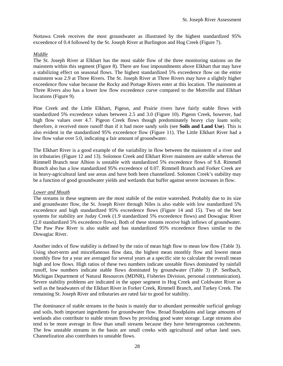<span id="page-28-0"></span>Nottawa Creek receives the most groundwater as illustrated by the highest standardized 95% exceedence of 0.4 followed by the St. Joseph River at Burlington and Hog Creek (Figure 7).

#### *Middle*

The St. Joseph River at Elkhart has the most stable flow of the three monitoring stations on the mainstem within this segment (Figure 8). There are four impoundments above Elkhart that may have a stabilizing effect on seasonal flows. The highest standardized 5% exceedence flow on the entire mainstem was 2.9 at Three Rivers. The St. Joseph River at Three Rivers may have a slightly higher exceedence flow value because the Rocky and Portage Rivers enter at this location. The mainstem at Three Rivers also has a lower low flow exceedence curve compared to the Mottville and Elkhart locations (Figure 9).

Pine Creek and the Little Elkhart, Pigeon, and Prairie rivers have fairly stable flows with standardized 5% exceedence values between 2.5 and 3.0 (Figure 10). Pigeon Creek, however, had high flow values over 4.7. Pigeon Creek flows though predominately heavy clay loam soils; therefore, it received more runoff than if it had more sandy soils (see **Soils and Land Use**). This is also evident in the standardized 95% exceedence flow (Figure 11). The Little Elkhart River had a low flow value over 5.0, indicating a fair amount of groundwater.

The Elkhart River is a good example of the variability in flow between the mainstem of a river and its tributaries (Figure 12 and 13). Solomon Creek and Elkhart River mainstem are stable whereas the Rimmell Branch near Albion is unstable with standardized 5% exceedence flows of 9.8. Rimmell Branch also has a low standardized 95% exceedence of 0.07. Rimmell Branch and Forker Creek are in heavy-agricultural land use areas and have both been channelized. Solomon Creek's stability may be a function of good groundwater yields and wetlands that buffer against severe increases in flow.

#### *Lower and Mouth*

The streams in these segments are the most stabile of the entire watershed. Probably due to its size and groundwater flow, the St. Joseph River through Niles is also stable with low standardized 5% exceedence and high standardized 95% exceedence flows (Figure 14 and 15). Two of the best systems for stability are Juday Creek (1.9 standardized 5% exceedence flows) and Dowagiac River (2.0 standardized 5% exceedence flows). Both of these streams receive high inflows of groundwater. The Paw Paw River is also stable and has standardized 95% exceedence flows similar to the Dowagiac River.

Another index of flow stability is defined by the ratio of mean high flow to mean low flow (Table 3). Using short-term and miscellaneous flow data, the highest mean monthly flow and lowest mean monthly flow for a year are averaged for several years at a specific site to calculate the overall mean high and low flows. High ratios of these two numbers indicate unstable flows dominated by rainfall runoff, low numbers indicate stable flows dominated by groundwater (Table 3) (P. Seelbach, Michigan Department of Natural Resources (MDNR), Fisheries Division, personal communication). Severe stability problems are indicated in the upper segment in Hog Creek and Coldwater River as well as the headwaters of the Elkhart River in Forker Creek, Rimmell Branch, and Turkey Creek. The remaining St. Joseph River and tributaries are rated fair to good for stability.

The dominance of stable streams in the basin is mainly due to abundant permeable surficial geology and soils, both important ingredients for groundwater flow. Broad floodplains and large amounts of wetlands also contribute to stable stream flows by providing good water storage. Large streams also tend to be more average in flow than small streams because they have heterogeneous catchments. The few unstable streams in the basin are small creeks with agricultural and urban land uses. Channelization also contributes to unstable flows.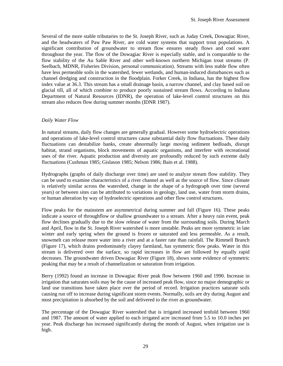<span id="page-29-0"></span>Several of the more stable tributaries to the St. Joseph River, such as Juday Creek, Dowagiac River, and the headwaters of Paw Paw River, are cold water systems that support trout populations. A significant contribution of groundwater to stream flow ensures steady flows and cool water throughout the year. The flow of the Dowagiac River is especially stable, and is comparable to the flow stability of the Au Sable River and other well-known northern Michigan trout streams (P. Seelbach, MDNR, Fisheries Division, personal communication). Streams with less stable flow often have less permeable soils in the watershed, fewer wetlands, and human-induced disturbances such as channel dredging and construction in the floodplain. Forker Creek, in Indiana, has the highest flow index value at 36.3. This stream has a small drainage basin, a narrow channel, and clay based soil on glacial till, all of which combine to produce poorly sustained stream flows. According to Indiana Department of Natural Resources (IDNR), the operation of lake-level control structures on this stream also reduces flow during summer months (IDNR 1987).

#### *Daily Water Flow*

In natural streams, daily flow changes are generally gradual. However some hydroelectric operations and operations of lake-level control structures cause substantial daily flow fluctuations. These daily fluctuations can destabilize banks, create abnormally large moving sediment bedloads, disrupt habitat, strand organisms, block movements of aquatic organisms, and interfere with recreational uses of the river. Aquatic production and diversity are profoundly reduced by such extreme daily fluctuations (Cushman 1985; Gislason 1985; Nelson 1986; Bain et al. 1988).

Hydrographs (graphs of daily discharge over time) are used to analyze stream flow stability. They can be used to examine characteristics of a river channel as well as the source of flow. Since climate is relatively similar across the watershed, change in the shape of a hydrograph over time (several years) or between sites can be attributed to variations in geology, land use, water from storm drains, or human alteration by way of hydroelectric operations and other flow control structures.

Flow peaks for the mainstem are asymmetrical during summer and fall (Figure 16). These peaks indicate a source of throughflow or shallow groundwater to a stream. After a heavy rain event, peak flow declines gradually due to the slow release of water from the surrounding soils. During March and April, flow in the St. Joseph River watershed is more unstable. Peaks are more symmetric in late winter and early spring when the ground is frozen or saturated and less permeable. As a result, snowmelt can release more water into a river and at a faster rate than rainfall. The Rimmell Branch (Figure 17), which drains predominately clayey farmland, has symmetric flow peaks. Water in this stream is delivered over the surface, so rapid increases in flow are followed by equally rapid decreases. The groundwater driven Dowagiac River (Figure 18), shows some evidence of symmetric peaking that may be a result of channelization or saturation from irrigation.

Berry (1992) found an increase in Dowagiac River peak flow between 1960 and 1990. Increase in irrigation that saturates soils may be the cause of increased peak flow, since no major demographic or land use transitions have taken place over the period of record. Irrigation practices saturate soils causing run off to increase during significant storm events. Normally, soils are dry during August and most precipitation is absorbed by the soil and delivered to the river as groundwater.

The percentage of the Dowagiac River watershed that is irrigated increased tenfold between 1960 and 1987. The amount of water applied to each irrigated acre increased from 5.5 to 10.0 inches per year. Peak discharge has increased significantly during the month of August, when irrigation use is high.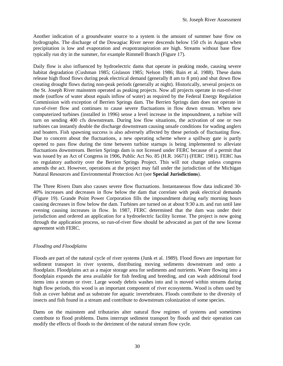<span id="page-30-0"></span>Another indication of a groundwater source to a system is the amount of summer base flow on hydrographs. The discharge of the Dowagiac River never descends below 150 cfs in August when precipitation is low and evaporation and evapotranspiration are high. Streams without base flow typically run dry in the summer, for example Rimmell Branch (Figure 17).

Daily flow is also influenced by hydroelectric dams that operate in peaking mode, causing severe habitat degradation (Cushman 1985; Gislason 1985; Nelson 1986; Bain et al. 1988). These dams release high flood flows during peak electrical demand (generally 8 am to 8 pm) and shut down flow creating drought flows during non-peak periods (generally at night). Historically, several projects on the St. Joseph River mainstem operated as peaking projects. Now all projects operate in run-of-river mode (outflow of water about equals inflow of water) as required by the Federal Energy Regulation Commission with exception of Berrien Springs dam. The Berrien Springs dam does not operate in run-of-river flow and continues to cause severe fluctuations in flow down stream. When new computerized turbines (installed in 1996) sense a level increase in the impoundment, a turbine will turn on sending 400 cfs downstream. During low flow situations, the activation of one or two turbines can instantly double the discharge downstream causing unsafe conditions for wading anglers and boaters. Fish spawning success is also adversely affected by these periods of fluctuating flow. Due to concern about the fluctuations, a new operating scheme where a spillway gate is partly opened to pass flow during the time between turbine startups is being implemented to alleviate fluctuations downstream. Berrien Springs dam is not licensed under FERC because of a permit that was issued by an Act of Congress in 1906, Public Act No. 85 (H.R. 16671) (FERC 1981). FERC has no regulatory authority over the Berrien Springs Project. This will not change unless congress amends the act. However, operations at the project may fall under the jurisdiction of the Michigan Natural Resources and Environmental Protection Act (see **Special Jurisdictions**).

The Three Rivers Dam also causes severe flow fluctuations. Instantaneous flow data indicated 30- 40% increases and decreases in flow below the dam that correlate with peak electrical demands (Figure 19). Grande Point Power Corporation fills the impoundment during early morning hours causing decreases in flow below the dam. Turbines are turned on at about 9:30 a.m. and run until late evening causing increases in flow. In 1987, FERC determined that the dam was under their jurisdiction and ordered an application for a hydroelectric facility license. The project is now going through the application process, so run-of-river flow should be advocated as part of the new license agreement with FERC.

#### *Flooding and Floodplains*

Floods are part of the natural cycle of river systems (Junk et al. 1989). Flood flows are important for sediment transport in river systems, distributing moving sediments downstream and onto a floodplain. Floodplains act as a major storage area for sediments and nutrients. Water flowing into a floodplain expands the area available for fish feeding and breeding, and can wash additional food items into a stream or river. Large woody debris washes into and is moved within streams during high flow periods, this wood is an important component of river ecosystems. Wood is often used by fish as cover habitat and as substrate for aquatic invertebrates. Floods contribute to the diversity of insects and fish found in a stream and contribute to downstream colonization of some species.

Dams on the mainstem and tributaries alter natural flow regimes of systems and sometimes contribute to flood problems. Dams interrupt sediment transport by floods and their operation can modify the effects of floods to the detriment of the natural stream flow cycle.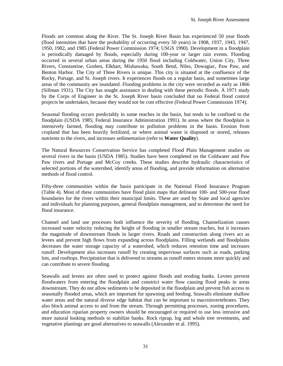Floods are common along the River. The St. Joseph River Basin has experienced 50 year floods (flood intensities that have the probability of occurring every 50 years) in 1908, 1937, 1943, 1947, 1950, 1982, and 1985 (Federal Power Commission 1974; USGS 1990). Development in a floodplain is periodically damaged by floods, especially during 100-year or larger rain events. Flooding occurred in several urban areas during the 1950 flood including Coldwater, Union City, Three Rivers, Constantine, Goshen, Elkhart, Mishawaka, South Bend, Niles, Dowagiac, Paw Paw, and Benton Harbor. The City of Three Rivers is unique. This city is situated at the confluence of the Rocky, Portage, and St. Joseph rivers. It experiences floods on a regular basis, and sometimes large areas of the community are inundated. Flooding problems in the city were recorded as early as 1866 (Sillman 1931). The City has sought assistance in dealing with these periodic floods. A 1971 study by the Corps of Engineer in the St. Joseph River basin concluded that no Federal flood control projects be undertaken, because they would not be cost effective (Federal Power Commission 1974).

Seasonal flooding occurs predictably in some reaches in the basin, but tends to be confined to the floodplain (USDA 1985; Federal Insurance Administration 1991). In areas where the floodplain is intensively farmed, flooding may contribute to pollution problems in the basin. Erosion from cropland that has been heavily fertilized, or where animal waste is disposed or stored, releases nutrients to the rivers, and increases sedimentation (refer to **Water Quality**).

The Natural Resources Conservation Service has completed Flood Plain Management studies on several rivers in the basin (USDA 1985). Studies have been completed on the Coldwater and Paw Paw rivers and Portage and McCoy creeks. These studies describe hydraulic characteristics of selected portions of the watershed, identify areas of flooding, and provide information on alternative methods of flood control.

Fifty-three communities within the basin participate in the National Flood Insurance Program (Table 4). Most of these communities have flood plain maps that delineate 100- and 500-year flood boundaries for the rivers within their municipal limits. These are used by State and local agencies and individuals for planning purposes, general floodplain management, and to determine the need for flood insurance.

Channel and land use processes both influence the severity of flooding. Channelization causes increased water velocity reducing the height of flooding in smaller stream reaches, but it increases the magnitude of downstream floods in larger rivers. Roads and construction along rivers act as levees and prevent high flows from expanding across floodplains. Filling wetlands and floodplains decreases the water storage capacity of a watershed, which reduces retention time and increases runoff. Development also increases runoff by creating impervious surfaces such as roads, parking lots, and rooftops. Precipitation that is delivered to streams as runoff enters streams more quickly and can contribute to severe flooding.

Seawalls and levees are often used to protect against floods and eroding banks. Levees prevent floodwaters from entering the floodplain and constrict water flow causing flood peaks in areas downstream. They do not allow sediments to be deposited in the floodplain and prevent fish access to seasonally flooded areas, which are important for spawning and feeding. Seawalls eliminate shallow water areas and the natural diverse edge habitat that can be important to macroinvertebrates. They also block animal access to and from the stream. Through permitting processes, zoning procedures, and education riparian property owners should be encouraged or required to use less intrusive and more natural looking methods to stabilize banks. Rock riprap, log and whole tree revetments, and vegetative plantings are good alternatives to seawalls (Alexander et al. 1995).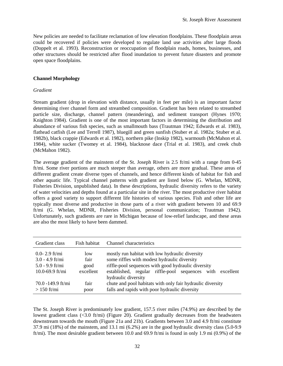<span id="page-32-0"></span>New policies are needed to facilitate reclamation of low elevation floodplains. These floodplain areas could be recovered if policies were developed to regulate land use activities after large floods (Doppelt et al. 1993). Reconstruction or reoccupation of floodplain roads, homes, businesses, and other structures should be restricted after flood inundation to prevent future disasters and promote open space floodplains.

#### **Channel Morphology**

#### *Gradient*

Stream gradient (drop in elevation with distance, usually in feet per mile) is an important factor determining river channel form and streambed composition. Gradient has been related to streambed particle size, discharge, channel pattern (meandering), and sediment transport (Hynes 1970; Knighton 1984). Gradient is one of the most important factors in determining the distribution and abundance of various fish species, such as smallmouth bass (Trautman 1942; Edwards et al. 1983), flathead catfish (Lee and Terrell 1987), bluegill and green sunfish (Stuber et al. 1982a; Stuber et al. 1982b), black crappie (Edwards et al. 1982), northern pike (Inskip 1982), warmouth (McMahon et al. 1984), white sucker (Twomey et al. 1984), blacknose dace (Trial et al. 1983), and creek chub (McMahon 1982).

The average gradient of the mainstem of the St. Joseph River is 2.5 ft/mi with a range from 0-45 ft/mi. Some river portions are much steeper than average, others are more gradual. These areas of different gradient create diverse types of channels, and hence different kinds of habitat for fish and other aquatic life. Typical channel patterns with gradient are listed below (G. Whelan, MDNR, Fisheries Division, unpublished data). In these descriptions, hydraulic diversity refers to the variety of water velocities and depths found at a particular site in the river. The most productive river habitat offers a good variety to support different life histories of various species. Fish and other life are typically most diverse and productive in those parts of a river with gradient between 10 and 69.9 ft/mi (G. Whelan, MDNR, Fisheries Division, personal communication; Trautman 1942). Unfortunately, such gradients are rare in Michigan because of low-relief landscape, and these areas are also the most likely to have been dammed.

| Gradient class                                                                 | Fish habitat                     | Channel characteristics                                                                                                                                                                                             |
|--------------------------------------------------------------------------------|----------------------------------|---------------------------------------------------------------------------------------------------------------------------------------------------------------------------------------------------------------------|
| $0.0 - 2.9$ ft/mi<br>$3.0 - 4.9$ ft/mi<br>$5.0 - 9.9$ ft/mi<br>10.0-69.9 ft/mi | low<br>fair<br>good<br>excellent | mostly run habitat with low hydraulic diversity<br>some riffles with modest hydraulic diversity<br>riffle-pool sequences with good hydraulic diversity<br>established, regular riffle-pool sequences with excellent |
| $70.0 - 149.9$ ft/mi<br>$>150$ ft/mi                                           | fair<br>poor                     | hydraulic diversity<br>chute and pool habitats with only fair hydraulic diversity<br>falls and rapids with poor hydraulic diversity                                                                                 |

The St. Joseph River is predominately low gradient, 157.5 river miles (74.9%) are described by the lowest gradient class (<3.0 ft/mi) (Figure 20). Gradient gradually decreases from the headwaters downstream towards the mouth (Figure 21a and 21b). Gradients between 3.0 and 4.9 ft/mi constitute 37.9 mi (18%) of the mainstem, and 13.1 mi (6.2%) are in the good hydraulic diversity class (5.0-9.9 ft/mi). The most desirable gradient between 10.0 and 69.9 ft/mi is found in only 1.9 mi (0.9%) of the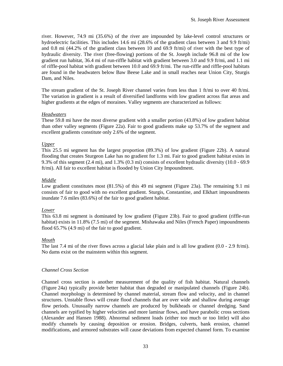<span id="page-33-0"></span>river. However, 74.9 mi (35.6%) of the river are impounded by lake-level control structures or hydroelectric facilities. This includes 14.6 mi (28.6% of the gradient class between 3 and 9.9 ft/mi) and 0.8 mi (44.2% of the gradient class between 10 and 69.9 ft/mi) of river with the best type of hydraulic diversity. The river (free-flowing) portions of the St. Joseph include 96.8 mi of the low gradient run habitat, 36.4 mi of run-riffle habitat with gradient between 3.0 and 9.9 ft/mi, and 1.1 mi of riffle-pool habitat with gradient between 10.0 and 69.9 ft/mi. The run-riffle and riffle-pool habitats are found in the headwaters below Baw Beese Lake and in small reaches near Union City, Sturgis Dam, and Niles.

The stream gradient of the St. Joseph River channel varies from less than 1 ft/mi to over 40 ft/mi. The variation in gradient is a result of diversified landforms with low gradient across flat areas and higher gradients at the edges of moraines. Valley segments are characterized as follows:

#### *Headwaters*

These 59.8 mi have the most diverse gradient with a smaller portion (43.8%) of low gradient habitat than other valley segments (Figure 22a). Fair to good gradients make up 53.7% of the segment and excellent gradients constitute only 2.6% of the segment.

#### *Upper*

This 25.5 mi segment has the largest proportion (89.3%) of low gradient (Figure 22b). A natural flooding that creates Sturgeon Lake has no gradient for 1.3 mi. Fair to good gradient habitat exists in 9.3% of this segment (2.4 mi), and 1.3% (0.3 mi) consists of excellent hydraulic diversity (10.0 - 69.9 ft/mi). All fair to excellent habitat is flooded by Union City Impoundment.

#### *Middle*

Low gradient constitutes most (81.5%) of this 49 mi segment (Figure 23a). The remaining 9.1 mi consists of fair to good with no excellent gradient. Sturgis, Constantine, and Elkhart impoundments inundate 7.6 miles (83.6%) of the fair to good gradient habitat.

#### *Lower*

This 63.8 mi segment is dominated by low gradient (Figure 23b). Fair to good gradient (riffle-run habitat) exists in 11.8% (7.5 mi) of the segment. Mishawaka and Niles (French Paper) impoundments flood 65.7% (4.9 mi) of the fair to good gradient.

#### *Mouth*

The last 7.4 mi of the river flows across a glacial lake plain and is all low gradient (0.0 - 2.9 ft/mi). No dams exist on the mainstem within this segment.

#### *Channel Cross Section*

Channel cross section is another measurement of the quality of fish habitat. Natural channels (Figure 24a) typically provide better habitat than degraded or manipulated channels (Figure 24b). Channel morphology is determined by channel material, stream flow and velocity, and in channel structures. Unstable flows will create flood channels that are over wide and shallow during average flow periods. Unusually narrow channels are produced by bulkheads or channel dredging. Sand channels are typified by higher velocities and more laminar flows, and have parabolic cross sections (Alexander and Hansen 1988). Abnormal sediment loads (either too much or too little) will also modify channels by causing deposition or erosion. Bridges, culverts, bank erosion, channel modifications, and armored substrates will cause deviations from expected channel form. To examine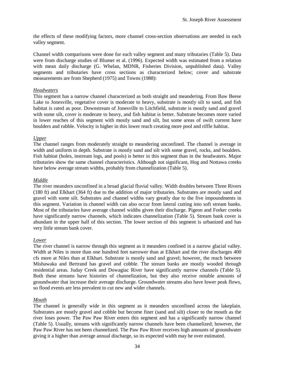<span id="page-34-0"></span>the effects of these modifying factors, more channel cross-section observations are needed in each valley segment.

Channel width comparisons were done for each valley segment and many tributaries (Table 5). Data were from discharge studies of Blumer et al. (1996). Expected width was estimated from a relation with mean daily discharge (G. Whelan, MDNR, Fisheries Division, unpublished data). Valley segments and tributaries have cross sections as characterized below; cover and substrate measurements are from Shepherd (1975) and Towns (1988):

#### *Headwaters*

This segment has a narrow channel characterized as both straight and meandering. From Baw Beese Lake to Jonesville, vegetative cover is moderate to heavy, substrate is mostly silt to sand, and fish habitat is rated as poor. Downstream of Jonesville to Litchfield, substrate is mostly sand and gravel with some silt, cover is moderate to heavy, and fish habitat is better. Substrate becomes more varied in lower reaches of this segment with mostly sand and silt, but some areas of swift current have boulders and rubble. Velocity is higher in this lower reach creating more pool and riffle habitat.

#### *Upper*

The channel ranges from moderately straight to meandering unconfined. The channel is average in width and uniform in depth. Substrate is mostly sand and silt with some gravel, rocks, and boulders. Fish habitat (holes, instream logs, and pools) is better in this segment than in the headwaters. Major tributaries show the same channel characteristics. Although not significant, Hog and Nottawa creeks have below average stream widths, probably from channelization (Table 5).

#### *Middle*

The river meanders unconfined in a broad glacial fluvial valley. Width doubles between Three Rivers (180 ft) and Elkhart (364 ft) due to the addition of major tributaries. Substrates are mostly sand and gravel with some silt. Substrates and channel widths vary greatly due to the five impoundments in this segment. Variation in channel width can also occur from lateral cutting into soft stream banks. Most of the tributaries have average channel widths given their discharge. Pigeon and Forker creeks have significantly narrow channels, which indicates channelization (Table 5). Stream bank cover is abundant in the upper half of this section. The lower section of this segment is urbanized and has very little stream bank cover.

#### *Lower*

The river channel is narrow through this segment as it meanders confined in a narrow glacial valley. Width at Niles is more than one hundred feet narrower than at Elkhart and the river discharges 400 cfs more at Niles than at Elkhart. Substrate is mostly sand and gravel; however, the reach between Mishawaka and Bertrand has gravel and cobble. The stream banks are mostly wooded through residential areas. Juday Creek and Dowagiac River have significantly narrow channels (Table 5). Both these streams have histories of channelization, but they also receive notable amounts of groundwater that increase their average discharge. Groundwater streams also have lower peak flows, so flood events are less prevalent to cut new and wider channels.

#### *Mouth*

The channel is generally wide in this segment as it meanders unconfined across the lakeplain. Substrates are mostly gravel and cobble but become finer (sand and silt) closer to the mouth as the river loses power. The Paw Paw River enters this segment and has a significantly narrow channel (Table 5). Usually, streams with significantly narrow channels have been channelized; however, the Paw Paw River has not been channelized. The Paw Paw River receives high amounts of groundwater giving it a higher than average annual discharge, so its expected width may be over estimated.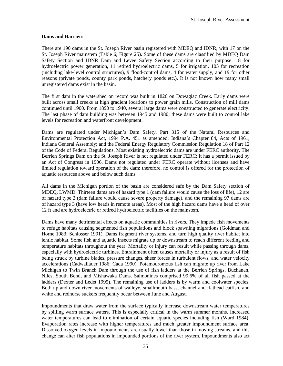#### <span id="page-35-0"></span>**Dams and Barriers**

There are 190 dams in the St. Joseph River basin registered with MDEQ and IDNR, with 17 on the St. Joseph River mainstem (Table 6; Figure 25). Some of these dams are classified by MDEQ Dam Safety Section and IDNR Dam and Levee Safety Section according to their purpose: 18 for hydroelectric power generation, 11 retired hydroelectric dams, 5 for irrigation, 105 for recreation (including lake-level control structures), 9 flood-control dams, 4 for water supply, and 19 for other reasons (private ponds, county park ponds, hatchery ponds etc.). It is not known how many small unregistered dams exist in the basin.

The first dam in the watershed on record was built in 1826 on Dowagiac Creek. Early dams were built across small creeks at high gradient locations to power grain mills. Construction of mill dams continued until 1900. From 1890 to 1940, several large dams were constructed to generate electricity. The last phase of dam building was between 1945 and 1980; these dams were built to control lake levels for recreation and waterfront development.

Dams are regulated under Michigan's Dam Safety, Part 315 of the Natural Resources and Environmental Protection Act, 1994 P.A. 451 as amended; Indiana's Chapter 84, Acts of 1961, Indiana General Assembly; and the Federal Energy Regulatory Commission Regulation 18 of Part 12 of the Code of Federal Regulations. Most existing hydroelectric dams are under FERC authority. The Berrien Springs Dam on the St. Joseph River is not regulated under FERC; it has a permit issued by an Act of Congress in 1906. Dams not regulated under FERC operate without licenses and have limited regulation toward operation of the dam; therefore, no control is offered for the protection of aquatic resources above and below such dams.

All dams in the Michigan portion of the basin are considered safe by the Dam Safety section of MDEQ, LWMD. Thirteen dams are of hazard type 1 (dam failure would cause the loss of life), 12 are of hazard type 2 (dam failure would cause severe property damage), and the remaining 97 dams are of hazard type 3 (have low heads in remote areas). Most of the high hazard dams have a head of over 12 ft and are hydroelectric or retired hydroelectric facilities on the mainstem.

Dams have many detrimental effects on aquatic communities in rivers. They impede fish movements to refuge habitats causing segmented fish populations and block spawning migrations (Goldman and Horne 1983; Schlosser 1991). Dams fragment river systems, and turn high quality river habitat into lentic habitat. Some fish and aquatic insects migrate up or downstream to reach different feeding and temperature habitats throughout the year. Mortality or injury can result while passing through dams, especially with hydroelectric turbines. Entrainment often causes mortality or injury as a result of fish being struck by turbine blades, pressure changes, sheer forces in turbulent flows, and water velocity accelerations (Cadwallader 1986; Cada 1990). Potamodromous fish can migrate up river from Lake Michigan to Twin Branch Dam through the use of fish ladders at the Berrien Springs, Buchanan, Niles, South Bend, and Mishawaka Dams. Salmonines comprised 99.6% of all fish passed at the ladders (Dexter and Ledet 1995). The remaining use of ladders is by warm and coolwater species. Both up and down river movements of walleye, smallmouth bass, channel and flathead catfish, and white and redhorse suckers frequently occur between June and August.

Impoundments that draw water from the surface typically increase downstream water temperatures by spilling warm surface waters. This is especially critical in the warm summer months. Increased water temperatures can lead to elimination of certain aquatic species including fish (Ward 1984). Evaporation rates increase with higher temperatures and much greater impoundment surface area. Dissolved oxygen levels in impoundments are usually lower than those in moving streams, and this change can alter fish populations in impounded portions of the river system. Impoundments also act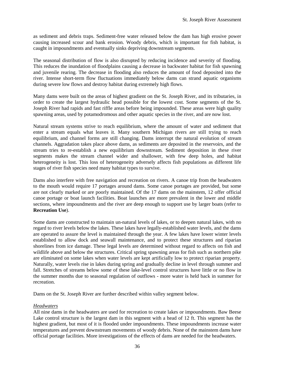as sediment and debris traps. Sediment-free water released below the dam has high erosive power causing increased scour and bank erosion. Woody debris, which is important for fish habitat, is caught in impoundments and eventually sinks depriving downstream segments.

The seasonal distribution of flow is also disrupted by reducing incidence and severity of flooding. This reduces the inundation of floodplains causing a decrease in backwater habitat for fish spawning and juvenile rearing. The decrease in flooding also reduces the amount of food deposited into the river. Intense short-term flow fluctuations immediately below dams can strand aquatic organisms during severe low flows and destroy habitat during extremely high flows.

Many dams were built on the areas of highest gradient on the St. Joseph River, and its tributaries, in order to create the largest hydraulic head possible for the lowest cost. Some segments of the St. Joseph River had rapids and fast riffle areas before being impounded. These areas were high quality spawning areas, used by potamodromous and other aquatic species in the river, and are now lost.

Natural stream systems strive to reach equilibrium, where the amount of water and sediment that enter a stream equals what leaves it. Many southern Michigan rivers are still trying to reach equilibrium, and channel forms are still changing. Dams interrupt the natural evolution of stream channels. Aggradation takes place above dams, as sediments are deposited in the reservoirs, and the stream tries to re-establish a new equilibrium downstream. Sediment deposition in these river segments makes the stream channel wider and shallower, with few deep holes, and habitat heterogeneity is lost. This loss of heterogeneity adversely affects fish populations as different life stages of river fish species need many habitat types to survive.

Dams also interfere with free navigation and recreation on rivers. A canoe trip from the headwaters to the mouth would require 17 portages around dams. Some canoe portages are provided, but some are not clearly marked or are poorly maintained. Of the 17 dams on the mainstem, 12 offer official canoe portage or boat launch facilities. Boat launches are more prevalent in the lower and middle sections, where impoundments and the river are deep enough to support use by larger boats (refer to **Recreation Use**).

Some dams are constructed to maintain un-natural levels of lakes, or to deepen natural lakes, with no regard to river levels below the lakes. These lakes have legally-established water levels, and the dams are operated to assure the level is maintained through the year. A few lakes have lower winter levels established to allow dock and seawall maintenance, and to protect these structures and riparian shorelines from ice damage. These legal levels are determined without regard to affects on fish and wildlife above and below the structures. Critical spring spawning areas for fish such as northern pike are eliminated on some lakes when water levels are kept artificially low to protect riparian property. Naturally, water levels rise in lakes during spring and gradually decline in level through summer and fall. Stretches of streams below some of these lake-level control structures have little or no flow in the summer months due to seasonal regulation of outflows - more water is held back in summer for recreation.

Dams on the St. Joseph River are further described within valley segment below.

# *Headwaters*

All nine dams in the headwaters are used for recreation to create lakes or impoundments. Baw Beese Lake control structure is the largest dam in this segment with a head of 12 ft. This segment has the highest gradient, but most of it is flooded under impoundments. These impoundments increase water temperatures and prevent downstream movements of woody debris. None of the mainstem dams have official portage facilities. More investigations of the effects of dams are needed for the headwaters.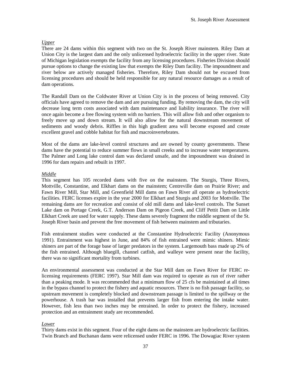# *Upper*

There are 24 dams within this segment with two on the St. Joseph River mainstem. Riley Dam at Union City is the largest dam and the only unlicensed hydroelectric facility in the upper river. State of Michigan legislation exempts the facility from any licensing procedures. Fisheries Division should pursue options to change the existing law that exempts the Riley Dam facility. The impoundment and river below are actively managed fisheries. Therefore, Riley Dam should not be excused from licensing procedures and should be held responsible for any natural resource damages as a result of dam operations.

The Randall Dam on the Coldwater River at Union City is in the process of being removed. City officials have agreed to remove the dam and are pursuing funding. By removing the dam, the city will decrease long term costs associated with dam maintenance and liability insurance. The river will once again become a free flowing system with no barriers. This will allow fish and other organism to freely move up and down stream. It will also allow for the natural downstream movement of sediments and woody debris. Riffles in this high gradient area will become exposed and create excellent gravel and cobble habitat for fish and macroinvertebrates.

Most of the dams are lake-level control structures and are owned by county governments. These dams have the potential to reduce summer flows in small creeks and to increase water temperatures. The Palmer and Long lake control dam was declared unsafe, and the impoundment was drained in 1996 for dam repairs and rebuilt in 1997.

# *Middle*

This segment has 105 recorded dams with five on the mainstem. The Sturgis, Three Rivers, Mottville, Constantine, and Elkhart dams on the mainstem; Centreville dam on Prairie River; and Fawn River Mill, Star Mill, and Greenfield Mill dams on Fawn River all operate as hydroelectric facilities. FERC licenses expire in the year 2000 for Elkhart and Sturgis and 2003 for Mottville. The remaining dams are for recreation and consist of old mill dams and lake-level controls. The Sunset Lake dam on Portage Creek, G.T. Anderson Dam on Pigeon Creek, and Cliff Pettit Dam on Little Elkhart Creek are used for water supply. These dams severely fragment the middle segment of the St. Joseph River basin and prevent the free movement of fish between mainstem and tributaries.

Fish entrainment studies were conducted at the Constantine Hydroelectric Facility (Anonymous 1991). Entrainment was highest in June, and 84% of fish entrained were mimic shiners. Mimic shiners are part of the forage base of larger predators in the system. Largemouth bass made up 2% of the fish entrained. Although bluegill, channel catfish, and walleye were present near the facility, there was no significant mortality from turbines.

An environmental assessment was conducted at the Star Mill dam on Fawn River for FERC relicensing requirements (FERC 1997). Star Mill dam was required to operate as run of river rather than a peaking mode. It was recommended that a minimum flow of 25 cfs be maintained at all times in the bypass channel to protect the fishery and aquatic resources. There is no fish passage facility, so upstream movement is completely blocked and downstream passage is limited to the spillway or the powerhouse. A trash bar was installed that prevents larger fish from entering the intake water. However, fish less than two inches may be entrained. In order to protect the fishery, increased protection and an entrainment study are recommended.

# *Lower*

Thirty dams exist in this segment. Four of the eight dams on the mainstem are hydroelectric facilities. Twin Branch and Buchanan dams were relicensed under FERC in 1996. The Dowagiac River system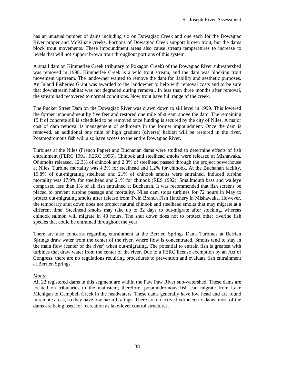has an unusual number of dams including six on Dowagiac Creek and one each for the Dowagiac River proper and McKinzie creeks. Portions of Dowagiac Creek support brown trout, but the dams block trout movements. These impoundment areas also cause stream temperatures to increase to levels that will not support brown trout throughout portions of this system.

A small dam on Kimmerlee Creek (tributary to Pokagon Creek) of the Dowagiac River subwatershed was removed in 1998. Kimmerlee Creek is a wild trout stream, and the dam was blocking trout movement upstream. The landowner wanted to remove the dam for liability and aesthetic purposes. An Inland Fisheries Grant was awarded to the landowner to help with removal costs and to be sure that downstream habitat was not degraded during removal. In less than three months after removal, the stream had recovered to normal conditions. Now trout have full range of the creek.

The Pucker Street Dam on the Dowagiac River was drawn down to sill level in 1999. This lowered the former impoundment by five feet and restored one mile of stream above the dam. The remaining 15 ft of concrete sill is scheduled to be removed once funding is secured by the city of Niles. A major cost of dam removal is management of sediments in the former impoundment. Once the dam is removed, an additional one mile of high gradient (diverse) habitat will be restored in the river. Potamodromous fish will also have access to the entire Dowagiac River.

Turbines at the Niles (French Paper) and Buchanan dams were studied to determine effects of fish entrainment (FERC 1991; FERC 1996). Chinook and steelhead smolts were released at Mishawaka. Of smolts released, 12.3% of chinook and 2.3% of steelhead passed through the project powerhouse at Niles. Turbine mortality was 4.2% for steelhead and 1.2% for chinook. At the Buchanan facility, 19.8% of out-migrating steelhead and 21% of chinook smolts were entrained. Induced turbine mortality was 17.9% for steelhead and 21% for chinook (RES 1992). Smallmouth bass and walleye comprised less than 1% of all fish entrained at Buchanan. It was recommended that fish screens be placed to prevent turbine passage and mortality. Niles dam stops turbines for 72 hours in May to protect out-migrating smolts after release from Twin Branch Fish Hatchery in Mishawaka. However, the temporary shut down does not protect natural chinook and steelhead smolts that may migrate at a different time. Steelhead smolts may take up to 32 days to out-migrate after stocking, whereas chinook salmon will migrate in 48 hours. The shut down does not to protect other riverine fish species that could be entrained throughout the year.

There are also concerns regarding entrainment at the Berrien Springs Dam. Turbines at Berrien Springs draw water from the center of the river, where flow is concentrated. Smolts tend to stay in the main flow (center of the river) when out-migrating. The potential to entrain fish is greatest with turbines that draw water from the center of the river. Due to a FERC license exemption by an Act of Congress, there are no regulations requiring procedures to prevention and evaluate fish entrainment at Berrien Springs.

# *Mouth*

All 22 registered dams in this segment are within the Paw Paw River sub-watershed. These dams are located on tributaries to the mainstem; therefore, potamodromous fish can migrate from Lake Michigan to Campbell Creek in the headwaters. These dams generally have low head and are found in remote areas, so they have low hazard ratings. There are no active hydroelectric dams, most of the dams are being used for recreation as lake-level control structures.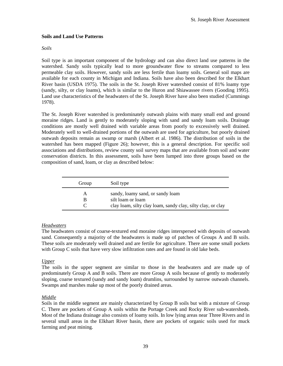# **Soils and Land Use Patterns**

# *Soils*

Soil type is an important component of the hydrology and can also direct land use patterns in the watershed. Sandy soils typically lead to more groundwater flow to streams compared to less permeable clay soils. However, sandy soils are less fertile than loamy soils. General soil maps are available for each county in Michigan and Indiana. Soils have also been described for the Elkhart River basin (USDA 1975). The soils in the St. Joseph River watershed consist of 81% loamy type (sandy, silty, or clay loams), which is similar to the Huron and Shiawassee rivers (Gooding 1995). Land use characteristics of the headwaters of the St. Joseph River have also been studied (Cummings 1978).

The St. Joseph River watershed is predominately outwash plains with many small end and ground moraine ridges. Land is gently to moderately sloping with sand and sandy loam soils. Drainage conditions are mostly well drained with variable areas from poorly to excessively well drained. Moderately well to well-drained portions of the outwash are used for agriculture, but poorly drained outwash deposits remain as swamp or marsh (Albert et al. 1986). The distribution of soils in the watershed has been mapped (Figure 26); however, this is a general description. For specific soil associations and distributions, review county soil survey maps that are available from soil and water conservation districts. In this assessment, soils have been lumped into three groups based on the composition of sand, loam, or clay as described below:

| Group | Soil type                                                   |
|-------|-------------------------------------------------------------|
| А     | sandy, loamy sand, or sandy loam                            |
| В     | silt loam or loam                                           |
|       | clay loam, silty clay loam, sandy clay, silty clay, or clay |

# *Headwaters*

The headwaters consist of coarse-textured end moraine ridges interspersed with deposits of outwash sand. Consequently a majority of the headwaters is made up of patches of Groups A and B soils. These soils are moderately well drained and are fertile for agriculture. There are some small pockets with Group C soils that have very slow infiltration rates and are found in old lake beds.

# *Upper*

The soils in the upper segment are similar to those in the headwaters and are made up of predominately Group A and B soils. There are more Group A soils because of gently to moderately sloping, coarse textured (sandy and sandy loam) drumlins, surrounded by narrow outwash channels. Swamps and marshes make up most of the poorly drained areas.

# *Middle*

Soils in the middle segment are mainly characterized by Group B soils but with a mixture of Group C. There are pockets of Group A soils within the Portage Creek and Rocky River sub-watersheds. Most of the Indiana drainage also consists of loamy soils. In low lying areas near Three Rivers and in several small areas in the Elkhart River basin, there are pockets of organic soils used for muck farming and peat mining.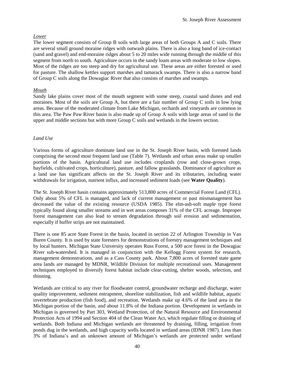# *Lower*

The lower segment consists of Group B soils with large areas of both Groups A and C soils. There are several small ground moraine ridges with outwash plains. There is also a long band of ice-contact (sand and gravel) and end-moraine ridges about 5 to 20 miles wide running through the middle of this segment from north to south. Agriculture occurs in the sandy loam areas with moderate to low slopes. Most of the ridges are too steep and dry for agricultural use. These areas are either forested or used for pasture. The shallow kettles support marshes and tamarack swamps. There is also a narrow band of Group C soils along the Dowagiac River that also consists of marshes and swamps.

# *Mouth*

Sandy lake plains cover most of the mouth segment with some steep, coastal sand dunes and end moraines. Most of the soils are Group A, but there are a fair number of Group C soils in low lying areas. Because of the moderated climate from Lake Michigan, orchards and vineyards are common in this area. The Paw Paw River basin is also made up of Group A soils with large areas of sand in the upper and middle sections but with more Group C soils and wetlands in the lowers section.

#### *Land Use*

Various forms of agriculture dominate land use in the St. Joseph River basin, with forested lands comprising the second most frequent land use (Table 7). Wetlands and urban areas make up smaller portions of the basin. Agricultural land use includes croplands (row and close-grown crops, hayfields, cultivated crops, horticulture), pasture, and fallow grasslands. Dominance of agriculture as a land use has significant affects on the St. Joseph River and its tributaries, including water withdrawals for irrigation, nutrient influx, and increased sediment loads (see **Water Quality**).

The St. Joseph River basin contains approximately 513,800 acres of Commercial Forest Land (CFL). Only about 5% of CFL is managed, and lack of current management or past mismanagement has decreased the value of the existing resource (USDA 1985). The elm-ash-soft maple type forest typically found along smaller streams and in wet areas composes 31% of the CFL acreage. Improper forest management can also lead to stream degradation through soil erosion and sedimentation, especially if buffer strips are not maintained.

There is one 85 acre State Forest in the basin, located in section 22 of Arlington Township in Van Buren County. It is used by state foresters for demonstrations of forestry management techniques and by local hunters. Michigan State University operates Russ Forest, a 500 acre forest in the Dowagiac River sub-watershed. It is managed in conjunction with the Kellogg Forest system for research, management demonstrations, and as a Cass County park. About 7,800 acres of forested state game area lands are managed by MDNR, Wildlife Division for multiple recreational uses. Management techniques employed to diversify forest habitat include clear-cutting, shelter woods, selection, and thinning.

Wetlands are critical to any river for floodwater control, groundwater recharge and discharge, water quality improvement, sediment entrapment, shoreline stabilization, fish and wildlife habitat, aquatic invertebrate production (fish food), and recreation. Wetlands make up 4.6% of the land area in the Michigan portion of the basin, and about 11.8% of the Indiana portion. Development in wetlands in Michigan is governed by Part 303, Wetland Protection, of the Natural Resource and Environmental Protection Acts of 1994 and Section 404 of the Clean Water Act, which regulate filling or draining of wetlands. Both Indiana and Michigan wetlands are threatened by draining, filling, irrigation from ponds dug in the wetlands, and high capacity wells located in wetland areas (IDNR 1987). Less than 3% of Indiana's and an unknown amount of Michigan's wetlands are protected under wetland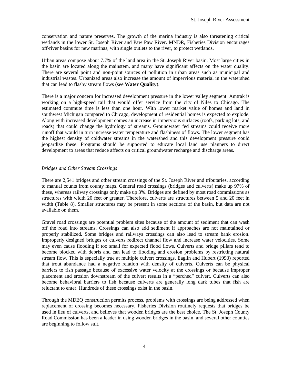conservation and nature preserves. The growth of the marina industry is also threatening critical wetlands in the lower St. Joseph River and Paw Paw River. MNDR, Fisheries Division encourages off-river basins for new marinas, with single outlets to the river, to protect wetlands.

Urban areas compose about 7.7% of the land area in the St. Joseph River basin. Most large cities in the basin are located along the mainstem, and many have significant affects on the water quality. There are several point and non-point sources of pollution in urban areas such as municipal and industrial wastes. Urbanized areas also increase the amount of impervious material in the watershed that can lead to flashy stream flows (see **Water Quality**).

There is a major concern for increased development pressure in the lower valley segment. Amtrak is working on a high-speed rail that would offer service from the city of Niles to Chicago. The estimated commute time is less than one hour. With lower market value of homes and land in southwest Michigan compared to Chicago, development of residential homes is expected to explode. Along with increased development comes an increase in impervious surfaces (roofs, parking lots, and roads) that could change the hydrology of streams. Groundwater fed streams could receive more runoff that would in turn increase water temperature and flashiness of flows. The lower segment has the highest density of coldwater streams in the watershed and this development pressure could jeopardize these. Programs should be supported to educate local land use planners to direct development to areas that reduce affects on critical groundwater recharge and discharge areas.

# *Bridges and Other Stream Crossings*

There are 2,541 bridges and other stream crossings of the St. Joseph River and tributaries, according to manual counts from county maps. General road crossings (bridges and culverts) make up 97% of these, whereas railway crossings only make up 3%. Bridges are defined by most road commissions as structures with width 20 feet or greater. Therefore, culverts are structures between 5 and 20 feet in width (Table 8). Smaller structures may be present in some sections of the basin, but data are not available on them.

Gravel road crossings are potential problem sites because of the amount of sediment that can wash off the road into streams. Crossings can also add sediment if approaches are not maintained or properly stabilized. Some bridges and railways crossings can also lead to stream bank erosion. Improperly designed bridges or culverts redirect channel flow and increase water velocities. Some may even cause flooding if too small for expected flood flows. Culverts and bridge pillars tend to become blocked with debris and can lead to flooding and erosion problems by restricting natural stream flow. This is especially true at multiple culvert crossings. Eaglin and Hubert (1993) reported that trout abundance had a negative relation with density of culverts. Culverts can be physical barriers to fish passage because of excessive water velocity at the crossings or because improper placement and erosion downstream of the culvert results in a "perched" culvert. Culverts can also become behavioral barriers to fish because culverts are generally long dark tubes that fish are reluctant to enter. Hundreds of these crossings exist in the basin.

Through the MDEQ construction permits process, problems with crossings are being addressed when replacement of crossing becomes necessary. Fisheries Division routinely requests that bridges be used in lieu of culverts, and believes that wooden bridges are the best choice. The St. Joseph County Road Commission has been a leader in using wooden bridges in the basin, and several other counties are beginning to follow suit.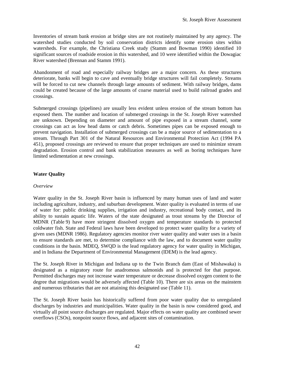Inventories of stream bank erosion at bridge sites are not routinely maintained by any agency. The watershed studies conducted by soil conservation districts identify some erosion sites within watersheds. For example, the Christiana Creek study (Stamm and Bowman 1990) identified 10 significant sources of roadside erosion in this watershed, and 10 were identified within the Dowagiac River watershed (Brennan and Stamm 1991).

Abandonment of road and especially railway bridges are a major concern. As these structures deteriorate, banks will begin to cave and eventually bridge structures will fail completely. Streams will be forced to cut new channels through large amounts of sediment. With railway bridges, dams could be created because of the large amounts of coarse material used to build railroad grades and crossings.

Submerged crossings (pipelines) are usually less evident unless erosion of the stream bottom has exposed them. The number and location of submerged crossings in the St. Joseph River watershed are unknown. Depending on diameter and amount of pipe exposed in a stream channel, some crossings can act as low head dams or catch debris. Sometimes pipes can be exposed enough to prevent navigation. Installation of submerged crossings can be a major source of sedimentation to a stream. Through Part 301 of the Natural Resources and Environmental Protection Act (1994 PA 451), proposed crossings are reviewed to ensure that proper techniques are used to minimize stream degradation. Erosion control and bank stabilization measures as well as boring techniques have limited sedimentation at new crossings.

# **Water Quality**

#### *Overview*

Water quality in the St. Joseph River basin is influenced by many human uses of land and water including agriculture, industry, and suburban development. Water quality is evaluated in terms of use of water for: public drinking supplies, irrigation and industry, recreational body contact, and its ability to sustain aquatic life. Waters of the state designated as trout streams by the Director of MDNR (Table 9) have more stringent dissolved oxygen and temperature standards to protected coldwater fish. State and Federal laws have been developed to protect water quality for a variety of given uses (MDNR 1986). Regulatory agencies monitor river water quality and water uses in a basin to ensure standards are met, to determine compliance with the law, and to document water quality conditions in the basin. MDEQ, SWQD is the lead regulatory agency for water quality in Michigan, and in Indiana the Department of Environmental Management (IDEM) is the lead agency.

The St. Joseph River in Michigan and Indiana up to the Twin Branch dam (East of Mishawaka) is designated as a migratory route for anadromous salmonids and is protected for that purpose. Permitted discharges may not increase water temperature or decrease dissolved oxygen content to the degree that migrations would be adversely affected (Table 10). There are six areas on the mainstem and numerous tributaries that are not attaining this designated use (Table 11).

The St. Joseph River basin has historically suffered from poor water quality due to unregulated discharges by industries and municipalities. Water quality in the basin is now considered good, and virtually all point source discharges are regulated. Major effects on water quality are combined sewer overflows (CSOs), nonpoint source flows, and adjacent sites of contamination.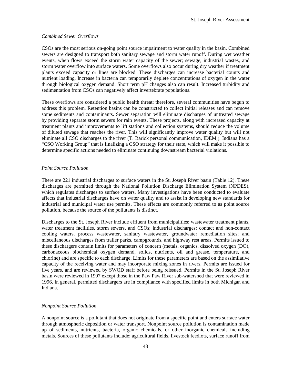# *Combined Sewer Overflows*

CSOs are the most serious on-going point source impairment to water quality in the basin. Combined sewers are designed to transport both sanitary sewage and storm water runoff. During wet weather events, when flows exceed the storm water capacity of the sewer; sewage, industrial wastes, and storm water overflow into surface waters. Some overflows also occur during dry weather if treatment plants exceed capacity or lines are blocked. These discharges can increase bacterial counts and nutrient loading. Increase in bacteria can temporarily deplete concentrations of oxygen in the water through biological oxygen demand. Short term pH changes also can result. Increased turbidity and sedimentation from CSOs can negatively affect invertebrate populations.

These overflows are considered a public health threat; therefore, several communities have begun to address this problem. Retention basins can be constructed to collect initial releases and can remove some sediments and contaminants. Sewer separation will eliminate discharges of untreated sewage by providing separate storm sewers for rain events. These projects, along with increased capacity at treatment plants and improvements to lift stations and collection systems, should reduce the volume of diluted sewage that reaches the river. This will significantly improve water quality but will not eliminate all CSO discharges to the river (T. Rarick personal communication, IDEM,). Indiana has a "CSO Working Group" that is finalizing a CSO strategy for their state, which will make it possible to determine specific actions needed to eliminate continuing downstream bacterial violations.

# *Point Source Pollution*

There are 221 industrial discharges to surface waters in the St. Joseph River basin (Table 12). These discharges are permitted through the National Pollution Discharge Elimination System (NPDES), which regulates discharges to surface waters. Many investigations have been conducted to evaluate affects that industrial discharges have on water quality and to assist in developing new standards for industrial and municipal water use permits. These effects are commonly referred to as point source pollution, because the source of the pollutants is distinct.

Discharges to the St. Joseph River include effluent from municipalities: wastewater treatment plants, water treatment facilities, storm sewers, and CSOs; industrial discharges: contact and non-contact cooling waters, process wastewater, sanitary wastewater, groundwater remediation sites; and miscellaneous discharges from trailer parks, campgrounds, and highway rest areas. Permits issued to these dischargers contain limits for parameters of concern (metals, organics, dissolved oxygen (DO), carbonaceous biochemical oxygen demand, solids, nutrients, oil and grease, temperature, and chlorine) and are specific to each discharge. Limits for these parameters are based on the assimilative capacity of the receiving water and may incorporate mixing zones in rivers. Permits are issued for five years, and are reviewed by SWQD staff before being reissued. Permits in the St. Joseph River basin were reviewed in 1997 except those in the Paw Paw River sub-watershed that were reviewed in 1996. In general, permitted dischargers are in compliance with specified limits in both Michigan and Indiana.

# *Nonpoint Source Pollution*

A nonpoint source is a pollutant that does not originate from a specific point and enters surface water through atmospheric deposition or water transport. Nonpoint source pollution is contamination made up of sediments, nutrients, bacteria, organic chemicals, or other inorganic chemicals including metals. Sources of these pollutants include: agricultural fields, livestock feedlots, surface runoff from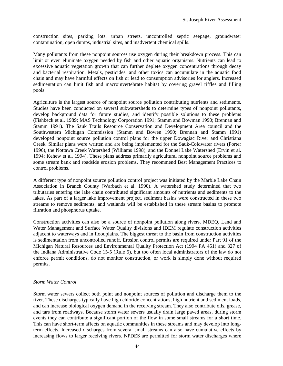construction sites, parking lots, urban streets, uncontrolled septic seepage, groundwater contamination, open dumps, industrial sites, and inadvertent chemical spills.

Many pollutants from these nonpoint sources use oxygen during their breakdown process. This can limit or even eliminate oxygen needed by fish and other aquatic organisms. Nutrients can lead to excessive aquatic vegetation growth that can further deplete oxygen concentrations through decay and bacterial respiration. Metals, pesticides, and other toxics can accumulate in the aquatic food chain and may have harmful effects on fish or lead to consumption advisories for anglers. Increased sedimentation can limit fish and macroinvertebrate habitat by covering gravel riffles and filling pools.

Agriculture is the largest source of nonpoint source pollution contributing nutrients and sediments. Studies have been conducted on several subwatersheds to determine types of nonpoint pollutants, develop background data for future studies, and identify possible solutions to these problems (Fishbeck et al. 1989; MAS Technology Corporation 1991; Stamm and Bowman 1990; Brennan and Stamm 1991). The Sauk Trails Resource Conservation and Development Area council and the Southwestern Michigan Commission (Stamm and Bowen 1990; Brennan and Stamm 1991) developed nonpoint source pollution control plans for the upper Dowagiac River and Christiana Creek. Similar plans were written and are being implemented for the Sauk-Coldwater rivers (Porter 1996), the Nottawa Creek Watershed (Williams 1998), and the Donnel Lake Watershed (Ervin et al. 1994; Kehew et al. 1994). These plans address primarily agricultural nonpoint source problems and some stream bank and roadside erosion problems. They recommend Best Management Practices to control problems.

A different type of nonpoint source pollution control project was initiated by the Marble Lake Chain Association in Branch County (Warbach et al. 1990). A watershed study determined that two tributaries entering the lake chain contributed significant amounts of nutrients and sediments to the lakes. As part of a larger lake improvement project, sediment basins were constructed in these two streams to remove sediments, and wetlands will be established in these stream basins to promote filtration and phosphorus uptake.

Construction activities can also be a source of nonpoint pollution along rivers. MDEQ, Land and Water Management and Surface Water Quality divisions and IDEM regulate construction activities adjacent to waterways and in floodplains. The biggest threat to the basin from construction activities is sedimentation from uncontrolled runoff. Erosion control permits are required under Part 91 of the Michigan Natural Resources and Environmental Quality Protection Act (1994 PA 451) and 327 of the Indiana Administrative Code 15-5 (Rule 5), but too often local administrators of the law do not enforce permit conditions, do not monitor construction, or work is simply done without required permits.

#### *Storm Water Control*

Storm water sewers collect both point and nonpoint sources of pollution and discharge them to the river. These discharges typically have high chloride concentrations, high nutrient and sediment loads, and can increase biological oxygen demand in the receiving stream. They also contribute oils, grease, and tars from roadways. Because storm water sewers usually drain large paved areas, during storm events they can contribute a significant portion of the flow in some small streams for a short time. This can have short-term affects on aquatic communities in these streams and may develop into longterm effects. Increased discharges from several small streams can also have cumulative effects by increasing flows to larger receiving rivers. NPDES are permitted for storm water discharges where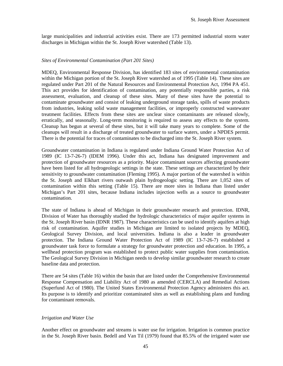large municipalities and industrial activities exist. There are 173 permitted industrial storm water discharges in Michigan within the St. Joseph River watershed (Table 13).

#### *Sites of Environmental Contamination (Part 201 Sites)*

MDEQ, Environmental Response Division, has identified 183 sites of environmental contamination within the Michigan portion of the St. Joseph River watershed as of 1995 (Table 14). These sites are regulated under Part 201 of the Natural Resources and Environmental Protection Act, 1994 PA 451. This act provides for identification of contamination, any potentially responsible parties, a risk assessment, evaluation, and cleanup of these sites. Many of these sites have the potential to contaminate groundwater and consist of leaking underground storage tanks, spills of waste products from industries, leaking solid waste management facilities, or improperly constructed wastewater treatment facilities. Effects from these sites are unclear since contaminants are released slowly, erratically, and seasonally. Long-term monitoring is required to assess any effects to the system. Cleanup has begun at several of these sites, but it will take many years to complete. Some of the cleanups will result in a discharge of treated groundwater to surface waters, under a NPDES permit. There is the potential for traces of contaminates to be discharged into the St. Joseph River system.

Groundwater contamination in Indiana is regulated under Indiana Ground Water Protection Act of 1989 (IC 13-7-26-7) (IDEM 1996). Under this act, Indiana has designated improvement and protection of groundwater resources as a priority. Major contaminant sources affecting groundwater have been listed for all hydrogeologic settings in the state. These settings are characterized by their sensitivity to groundwater contamination (Fleming 1995). A major portion of the watershed is within the St. Joseph and Elkhart rivers outwash plain hydrogeologic setting. There are 1,052 sites of contamination within this setting (Table 15). There are more sites in Indiana than listed under Michigan's Part 201 sites, because Indiana includes injection wells as a source to groundwater contamination.

The state of Indiana is ahead of Michigan in their groundwater research and protection. IDNR, Division of Water has thoroughly studied the hydrologic characteristics of major aquifer systems in the St. Joseph River basin (IDNR 1987). These characteristics can be used to identify aquifers at high risk of contamination. Aquifer studies in Michigan are limited to isolated projects by MDEQ, Geological Survey Division, and local universities. Indiana is also a leader in groundwater protection. The Indiana Ground Water Protection Act of 1989 (IC 13-7-26-7) established a groundwater task force to formulate a strategy for groundwater protection and education. In 1995, a wellhead protection program was established to protect public water supplies from contamination. The Geological Survey Division in Michigan needs to develop similar groundwater research to create baseline data and protection.

There are 54 sites (Table 16) within the basin that are listed under the Comprehensive Environmental Response Compensation and Liability Act of 1980 as amended (CERCLA) and Remedial Actions (Superfund Act of 1980). The United States Environmental Protection Agency administers this act. Its purpose is to identify and prioritize contaminated sites as well as establishing plans and funding for contaminant removals.

#### *Irrigation and Water Use*

Another effect on groundwater and streams is water use for irrigation. Irrigation is common practice in the St. Joseph River basin. Bedell and Van Til (1979) found that 85.5% of the irrigated water use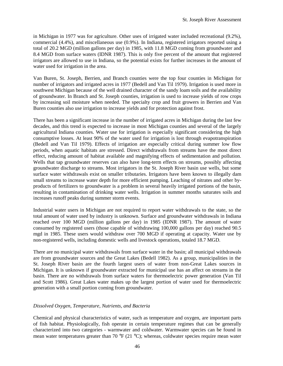in Michigan in 1977 was for agriculture. Other uses of irrigated water included recreational (9.2%), commercial (4.4%), and miscellaneous use (0.9%). In Indiana, registered irrigators reported using a total of 20.2 MGD (million gallons per day) in 1985, with 11.8 MGD coming from groundwater and 8.4 MGD from surface waters (IDNR 1987). This is only five percent of the amount that registered irrigators are allowed to use in Indiana, so the potential exists for further increases in the amount of water used for irrigation in the area.

Van Buren, St. Joseph, Berrien, and Branch counties were the top four counties in Michigan for number of irrigators and irrigated acres in 1977 (Bedell and Van Til 1979). Irrigation is used more in southwest Michigan because of the well drained character of the sandy loam soils and the availability of groundwater. In Branch and St. Joseph counties, irrigation is used to increase yields of row crops by increasing soil moisture when needed. The specialty crop and fruit growers in Berrien and Van Buren counties also use irrigation to increase yields and for protection against frost.

There has been a significant increase in the number of irrigated acres in Michigan during the last few decades, and this trend is expected to increase in most Michigan counties and several of the largely agricultural Indiana counties. Water use for irrigation is especially significant considering the high consumptive losses. At least 90% of the water used for irrigation is lost through evapotranspiration (Bedell and Van Til 1979). Effects of irrigation are especially critical during summer low flow periods, when aquatic habitats are stressed. Direct withdrawals from streams have the most direct effect, reducing amount of habitat available and magnifying effects of sedimentation and pollution. Wells that tap groundwater reserves can also have long-term effects on streams, possibly affecting groundwater discharge to streams. Most irrigators in the St. Joseph River basin use wells, but some surface water withdrawals exist on smaller tributaries. Irrigators have been known to illegally dam small streams to increase water depth for more efficient pumping. Leaching of nitrates and other byproducts of fertilizers to groundwater is a problem in several heavily irrigated portions of the basin, resulting in contamination of drinking water wells. Irrigation in summer months saturates soils and increases runoff peaks during summer storm events.

Industrial water users in Michigan are not required to report water withdrawals to the state, so the total amount of water used by industry is unknown. Surface and groundwater withdrawals in Indiana reached over 100 MGD (million gallons per day) in 1985 (IDNR 1987). The amount of water consumed by registered users (those capable of withdrawing 100,000 gallons per day) reached 90.5 mgd in 1985. These users would withdraw over 700 MGD if operating at capacity. Water use by non-registered wells, including domestic wells and livestock operations, totaled 18.7 MGD.

There are no municipal water withdrawals from surface water in the basin; all municipal withdrawals are from groundwater sources and the Great Lakes (Bedell 1982). As a group, municipalities in the St. Joseph River basin are the fourth largest users of water from non-Great Lakes sources in Michigan. It is unknown if groundwater extracted for municipal use has an affect on streams in the basin. There are no withdrawals from surface waters for thermoelectric power generation (Van Til and Scott 1986). Great Lakes water makes up the largest portion of water used for thermoelectric generation with a small portion coming from groundwater.

# *Dissolved Oxygen, Temperature, Nutrients, and Bacteria*

Chemical and physical characteristics of water, such as temperature and oxygen, are important parts of fish habitat. Physiologically, fish operate in certain temperature regimes that can be generally characterized into two categories - warmwater and coldwater. Warmwater species can be found in mean water temperatures greater than 70 °F (21 °C); whereas, coldwater species require mean water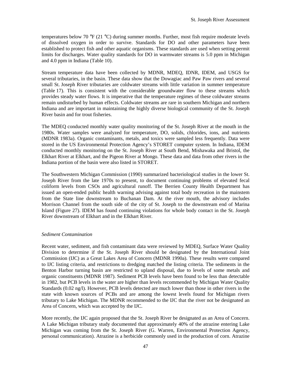temperatures below 70 °F (21 °C) during summer months. Further, most fish require moderate levels of dissolved oxygen in order to survive. Standards for DO and other parameters have been established to protect fish and other aquatic organisms. These standards are used when setting permit limits for discharges. Water quality standards for DO in warmwater streams is 5.0 ppm in Michigan and 4.0 ppm in Indiana (Table 10).

Stream temperature data have been collected by MDNR, MDEQ, IDNR, IDEM, and USGS for several tributaries, in the basin. These data show that the Dowagiac and Paw Paw rivers and several small St. Joseph River tributaries are coldwater streams with little variation in summer temperature (Table 17). This is consistent with the considerable groundwater flow to these streams which provides steady water flows. It is imperative that the temperature regimes of these coldwater streams remain undisturbed by human effects. Coldwater streams are rare in southern Michigan and northern Indiana and are important in maintaining the highly diverse biological community of the St. Joseph River basin and for trout fisheries.

The MDEQ conducted monthly water quality monitoring of the St. Joseph River at the mouth in the 1980s. Water samples were analyzed for temperature, DO, solids, chlorides, ions, and nutrients (MDNR 1983a). Organic contaminants, metals, and toxics were sampled less frequently. Data were stored in the US Environmental Protection Agency's STORET computer system. In Indiana, IDEM conducted monthly monitoring on the St. Joseph River at South Bend, Mishawaka and Bristol, the Elkhart River at Elkhart, and the Pigeon River at Mongo. These data and data from other rivers in the Indiana portion of the basin were also listed in STORET.

The Southwestern Michigan Commission (1990) summarized bacteriological studies in the lower St. Joseph River from the late 1970s to present, to document continuing problems of elevated fecal coliform levels from CSOs and agricultural runoff. The Berrien County Health Department has issued an open-ended public health warning advising against total body recreation in the mainstem from the State line downstream to Buchanan Dam. At the river mouth, the advisory includes Morrison Channel from the south side of the city of St. Joseph to the downstream end of Marina Island (Figure 27). IDEM has found continuing violations for whole body contact in the St. Joseph River downstream of Elkhart and in the Elkhart River.

#### *Sediment Contamination*

Recent water, sediment, and fish contaminant data were reviewed by MDEQ, Surface Water Quality Division to determine if the St. Joseph River should be designated by the International Joint Commission (IJC) as a Great Lakes Area of Concern (MDNR 1990a). These results were compared to IJC listing criteria, and restrictions to dredging matched the listing criteria. The sediments in the Benton Harbor turning basin are restricted to upland disposal, due to levels of some metals and organic constituents (MDNR 1987). Sediment PCB levels have been found to be less than detectable in 1982, but PCB levels in the water are higher than levels recommended by Michigan Water Quality Standards (0.02 ng/l). However, PCB levels detected are much lower than those in other rivers in the state with known sources of PCBs and are among the lowest levels found for Michigan rivers tributary to Lake Michigan. The MDNR recommended to the IJC that the river not be designated an Area of Concern, which was accepted by the IJC.

More recently, the IJC again proposed that the St. Joseph River be designated as an Area of Concern. A Lake Michigan tributary study documented that approximately 40% of the atrazine entering Lake Michigan was coming from the St. Joseph River (G. Warren, Environmental Protection Agency, personal communication). Atrazine is a herbicide commonly used in the production of corn. Atrazine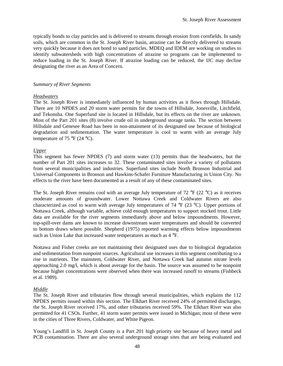typically bonds to clay particles and is delivered to streams through erosion from cornfields. In sandy soils, which are common in the St. Joseph River basin, atrazine can be directly delivered to streams very quickly because it does not bond to sand particles. MDEQ and IDEM are working on studies to identify subwatersheds with high concentrations of atrazine so programs can be implemented to reduce loading in the St. Joseph River. If atrazine loading can be reduced, the IJC may decline designating the river as an Area of Concern.

#### *Summary of River Segments*

#### *Headwaters*

The St. Joseph River is immediately influenced by human activities as it flows through Hillsdale. There are 10 NPDES and 20 storm water permits for the towns of Hillsdale, Jonesville, Litchfield, and Tekonsha. One Superfund site is located in Hillsdale, but its effects on the river are unknown. Most of the Part 201 sites (8) involve crude oil in underground storage tanks. The section between Hillsdale and Genesee Road has been in non-attainment of its designated use because of biological degradation and sedimentation. The water temperature is cool to warm with an average July temperature of 75 °F (24 °C).

#### *Upper*

This segment has fewer NPDES (7) and storm water (13) permits than the headwaters, but the number of Part 201 sites increases to 32. These contaminated sites involve a variety of pollutants from several municipalities and industries. Superfund sites include North Bronson Industrial and Universal Components in Bronson and Hawkins-Schafer Furniture Manufacturing in Union City. No effects to the river have been documented as a result of any of these contaminated sites.

The St. Joseph River remains cool with an average July temperature of 72 °F (22 °C) as it receives moderate amounts of groundwater. Lower Nottawa Creek and Coldwater Rivers are also characterized as cool to warm with average July temperatures of 74 °F (23 °C). Upper portions of Nottawa Creek, although variable, achieve cold enough temperatures to support stocked trout. Little data are available for the river segments immediately above and below impoundments. However, top-spill-over dams are known to increase downstream water temperatures and should be converted to bottom draws where possible. Shepherd (1975) reported warming effects below impoundments such as Union Lake that increased water temperatures as much as 4 °F.

Nottawa and Fisher creeks are not maintaining their designated uses due to biological degradation and sedimentation from nonpoint sources. Agricultural use increases in this segment contributing to a rise in nutrients. The mainstem, Coldwater River, and Nottawa Creek had autumn nitrate levels approaching 2.0 mg/l, which is about average for the basin. The source was assumed to be nonpoint because higher concentrations were observed when there was increased runoff to streams (Fishbeck et al. 1989).

# *Middle*

The St. Joseph River and tributaries flow through several municipalities, which explains the 112 NPDES permits issued within this section. The Elkhart River received 24% of permitted discharges, the St. Joseph River received 17%, and other tributaries received 59%. The Elkhart River was also permitted for 41 CSOs. Further, 41 storm water permits were issued in Michigan; most of these were in the cities of Three Rivers, Coldwater, and White Pigeon.

Young's Landfill in St. Joseph County is a Part 201 high priority site because of heavy metal and PCB contamination. There are also several underground storage sites that are being evaluated and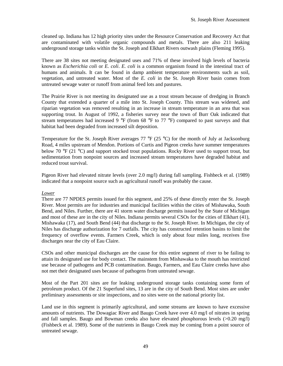cleaned up. Indiana has 12 high priority sites under the Resource Conservation and Recovery Act that are contaminated with volatile organic compounds and metals. There are also 211 leaking underground storage tanks within the St. Joseph and Elkhart Rivers outwash plains (Fleming 1995).

There are 38 sites not meeting designated uses and 71% of these involved high levels of bacteria known as *Escherichia coli* or *E. coli*. *E. coli* is a common organism found in the intestinal tract of humans and animals. It can be found in damp ambient temperature environments such as soil, vegetation, and untreated water. Most of the *E. coli* in the St. Joseph River basin comes from untreated sewage water or runoff from animal feed lots and pastures.

The Prairie River is not meeting its designated use as a trout stream because of dredging in Branch County that extended a quarter of a mile into St. Joseph County. This stream was widened, and riparian vegetation was removed resulting in an increase in stream temperature in an area that was supporting trout. In August of 1992, a fisheries survey near the town of Burr Oak indicated that stream temperatures had increased 9  $\degree$ F (from 68  $\degree$ F to 77  $\degree$ F) compared to past surveys and that habitat had been degraded from increased silt deposition.

Temperature for the St. Joseph River averages 77  $\rm{P}F$  (25  $\rm{^{\circ}C}$ ) for the month of July at Jacksonburg Road, 4 miles upstream of Mendon. Portions of Curtis and Pigeon creeks have summer temperatures below 70 °F (21 °C) and support stocked trout populations. Rocky River used to support trout, but sedimentation from nonpoint sources and increased stream temperatures have degraded habitat and reduced trout survival.

Pigeon River had elevated nitrate levels (over 2.0 mg/l) during fall sampling. Fishbeck et al. (1989) indicated that a nonpoint source such as agricultural runoff was probably the cause.

# *Lower*

There are 77 NPDES permits issued for this segment, and 25% of these directly enter the St. Joseph River. Most permits are for industries and municipal facilities within the cities of Mishawaka, South Bend, and Niles. Further, there are 41 storm water discharge permits issued by the State of Michigan and most of these are in the city of Niles. Indiana permits several CSOs for the cities of Elkhart (41), Mishawaka (17), and South Bend (44) that discharge to the St. Joseph River. In Michigan, the city of Niles has discharge authorization for 7 outfalls. The city has constructed retention basins to limit the frequency of overflow events. Farmers Creek, which is only about four miles long, receives five discharges near the city of Eau Claire.

CSOs and other municipal discharges are the cause for this entire segment of river to be failing to attain its designated use for body contact. The mainstem from Mishawaka to the mouth has restricted use because of pathogens and PCB contamination. Baugo, Farmers, and Eau Claire creeks have also not met their designated uses because of pathogens from untreated sewage.

Most of the Part 201 sites are for leaking underground storage tanks containing some form of petroleum product. Of the 21 Superfund sites, 13 are in the city of South Bend. Most sites are under preliminary assessments or site inspections, and no sites were on the national priority list.

Land use in this segment is primarily agricultural, and some streams are known to have excessive amounts of nutrients. The Dowagiac River and Baugo Creek have over 4.0 mg/l of nitrates in spring and fall samples. Baugo and Bowman creeks also have elevated phosphorous levels  $(0.20 \text{ mg/l})$ (Fishbeck et al. 1989). Some of the nutrients in Baugo Creek may be coming from a point source of untreated sewage.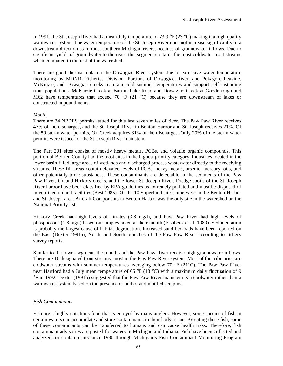In 1991, the St. Joseph River had a mean July temperature of 73.9 °F (23 °C) making it a high quality warmwater system. The water temperature of the St. Joseph River does not increase significantly in a downstream direction as in most southern Michigan rivers, because of groundwater inflows. Due to significant yields of groundwater to the river, this segment contains the most coldwater trout streams when compared to the rest of the watershed.

There are good thermal data on the Dowagiac River system due to extensive water temperature monitoring by MDNR, Fisheries Division. Portions of Dowagiac River, and Pokagon, Peavine, McKinzie, and Dowagiac creeks maintain cold summer temperatures and support self-sustaining trout populations. McKinzie Creek at Barron Lake Road and Dowagiac Creek at Goodenough and M62 have temperatures that exceed 70 °F (21 °C) because they are downstream of lakes or constructed impoundments.

#### *Mouth*

There are 34 NPDES permits issued for this last seven miles of river. The Paw Paw River receives 47% of the discharges, and the St. Joseph River in Benton Harbor and St. Joseph receives 21%. Of the 59 storm water permits, Ox Creek acquires 31% of the discharges. Only 20% of the storm water permits were issued for the St. Joseph River mainstem.

The Part 201 sites consist of mostly heavy metals, PCBs, and volatile organic compounds. This portion of Berrien County had the most sites in the highest priority category. Industries located in the lower basin filled large areas of wetlands and discharged process wastewater directly to the receiving streams. These fill areas contain elevated levels of PCBs, heavy metals, arsenic, mercury, oils, and other potentially toxic substances. These contaminants are detectable in the sediments of the Paw Paw River, Ox and Hickory creeks, and the lower St. Joseph River. Dredge spoils of the St. Joseph River harbor have been classified by EPA guidelines as extremely polluted and must be disposed of in confined upland facilities (Best 1985). Of the 10 Superfund sites, nine were in the Benton Harbor and St. Joseph area. Aircraft Components in Benton Harbor was the only site in the watershed on the National Priority list.

Hickory Creek had high levels of nitrates (3.8 mg/l), and Paw Paw River had high levels of phosphorous (1.8 mg/l) based on samples taken at their mouth (Fishbeck et al. 1989). Sedimentation is probably the largest cause of habitat degradation. Increased sand bedloads have been reported on the East (Dexter 1991a), North, and South branches of the Paw Paw River according to fishery survey reports.

Similar to the lower segment, the mouth and the Paw Paw River receive high groundwater inflows. There are 10 designated trout streams, most in the Paw Paw River system. Most of the tributaries are coldwater streams with summer temperatures averaging below 70 °F (21°C). The Paw Paw River near Hartford had a July mean temperature of 65 °F (18 °C) with a maximum daily fluctuation of 9 °F in 1992. Dexter (1991b) suggested that the Paw Paw River mainstem is a coolwater rather than a warmwater system based on the presence of burbot and mottled sculpins.

#### *Fish Contaminants*

Fish are a highly nutritious food that is enjoyed by many anglers. However, some species of fish in certain waters can accumulate and store contaminants in their body tissue. By eating these fish, some of these contaminants can be transferred to humans and can cause health risks. Therefore, fish contaminant advisories are posted for waters in Michigan and Indiana. Fish have been collected and analyzed for contaminants since 1980 through Michigan's Fish Contaminant Monitoring Program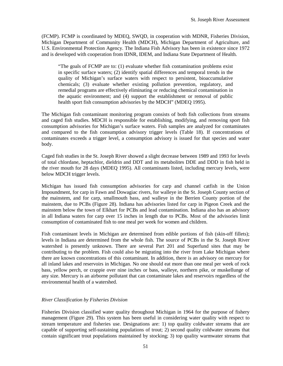(FCMP). FCMP is coordinated by MDEQ, SWQD, in cooperation with MDNR, Fisheries Division, Michigan Department of Community Health (MDCH), Michigan Department of Agriculture, and U.S. Environmental Protection Agency. The Indiana Fish Advisory has been in existence since 1972 and is developed with cooperation from IDNR, IDEM, and Indiana State Department of Health.

"The goals of FCMP are to: (1) evaluate whether fish contamination problems exist in specific surface waters; (2) identify spatial differences and temporal trends in the quality of Michigan's surface waters with respect to persistent, bioaccumulative chemicals; (3) evaluate whether existing pollution prevention, regulatory, and remedial programs are effectively eliminating or reducing chemical contamination in the aquatic environment; and (4) support the establishment or removal of public health sport fish consumption advisories by the MDCH" (MDEQ 1995).

The Michigan fish contaminant monitoring program consists of both fish collections from streams and caged fish studies. MDCH is responsible for establishing, modifying, and removing sport fish consumption advisories for Michigan's surface waters. Fish samples are analyzed for contaminates and compared to the fish consumption advisory trigger levels (Table 18). If concentrations of contaminates exceeds a trigger level, a consumption advisory is issued for that species and water body.

Caged fish studies in the St. Joseph River showed a slight decrease between 1989 and 1993 for levels of total chlordane, heptachlor, dieldrin and DDT and its metabolites DDE and DDD in fish held in the river mouth for 28 days (MDEQ 1995). All contaminants listed, including mercury levels, were below MDCH trigger levels.

Michigan has issued fish consumption advisories for carp and channel catfish in the Union Impoundment, for carp in Fawn and Dowagiac rivers, for walleye in the St. Joseph County section of the mainstem, and for carp, smallmouth bass, and walleye in the Berrien County portion of the mainstem, due to PCBs (Figure 28). Indiana has advisories listed for carp in Pigeon Creek and the mainstem below the town of Elkhart for PCBs and lead contamination. Indiana also has an advisory in all Indiana waters for carp over 15 inches in length due to PCBs. Most of the advisories limit consumption of contaminated fish to one meal per week for women and children.

Fish contaminant levels in Michigan are determined from edible portions of fish (skin-off fillets); levels in Indiana are determined from the whole fish. The source of PCBs in the St. Joseph River watershed is presently unknown. There are several Part 201 and Superfund sites that may be contributing to the problem. Fish could also be migrating into the river from Lake Michigan where there are known concentrations of this contaminant. In addition, there is an advisory on mercury for all inland lakes and reservoirs in Michigan. No one should eat more than one meal per week of rock bass, yellow perch, or crappie over nine inches or bass, walleye, northern pike, or muskellunge of any size. Mercury is an airborne pollutant that can contaminate lakes and reservoirs regardless of the environmental health of a watershed.

# *River Classification by Fisheries Division*

Fisheries Division classified water quality throughout Michigan in 1964 for the purpose of fishery management (Figure 29). This system has been useful in considering water quality with respect to stream temperature and fisheries use. Designations are: 1) top quality coldwater streams that are capable of supporting self-sustaining populations of trout; 2) second quality coldwater streams that contain significant trout populations maintained by stocking; 3) top quality warmwater streams that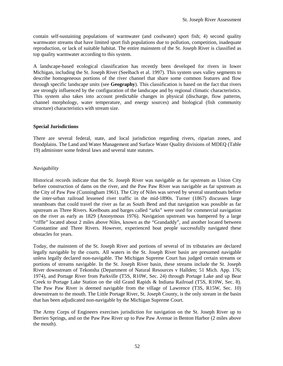contain self-sustaining populations of warmwater (and coolwater) sport fish; 4) second quality warmwater streams that have limited sport fish populations due to pollution, competition, inadequate reproduction, or lack of suitable habitat. The entire mainstem of the St. Joseph River is classified as top quality warmwater according to this system.

A landscape-based ecological classification has recently been developed for rivers in lower Michigan, including the St. Joseph River (Seelbach et al. 1997). This system uses valley segments to describe homogeneous portions of the river channel that share some common features and flow through specific landscape units (see **Geography**). This classification is based on the fact that rivers are strongly influenced by the configuration of the landscape and by regional climatic characteristics. This system also takes into account predictable changes in physical (discharge, flow patterns, channel morphology, water temperature, and energy sources) and biological (fish community structure) characteristics with stream size.

#### **Special Jurisdictions**

There are several federal, state, and local jurisdiction regarding rivers, riparian zones, and floodplains. The Land and Water Management and Surface Water Quality divisions of MDEQ (Table 19) administer some federal laws and several state statutes.

# *Navigability*

Historical records indicate that the St. Joseph River was navigable as far upstream as Union City before construction of dams on the river, and the Paw Paw River was navigable as far upstream as the City of Paw Paw (Cunningham 1961). The City of Niles was served by several steamboats before the inter-urban railroad lessened river traffic in the mid-1890s. Turner (1867) discusses large steamboats that could travel the river as far as South Bend and that navigation was possible as far upstream as Three Rivers. Keelboats and barges called "arks" were used for commercial navigation on the river as early as 1829 (Anonymous 1976). Navigation upstream was hampered by a large "riffle" located about 2 miles above Niles, known as the "Grandaddy", and another located between Constantine and Three Rivers. However, experienced boat people successfully navigated these obstacles for years.

Today, the mainstem of the St. Joseph River and portions of several of its tributaries are declared legally navigable by the courts. All waters in the St. Joseph River basin are presumed navigable unless legally declared non-navigable. The Michigan Supreme Court has judged certain streams or portions of streams navigable. In the St. Joseph River basin, these streams include the St. Joseph River downstream of Tekonsha (Department of Natural Resources v Hallden; 51 Mich. App. 176; 1974), and Portage River from Parkville (T5S, R10W, Sec. 24) through Portage Lake and up Bear Creek to Portage Lake Station on the old Grand Rapids & Indiana Railroad (T5S, R10W, Sec. 8). The Paw Paw River is deemed navigable from the village of Lawrence (T3S, R15W, Sec. 10) downstream to the mouth. The Little Portage River, St. Joseph County, is the only stream in the basin that has been adjudicated non-navigable by the Michigan Supreme Court.

The Army Corps of Engineers exercises jurisdiction for navigation on the St. Joseph River up to Berrien Springs, and on the Paw Paw River up to Paw Paw Avenue in Benton Harbor (2 miles above the mouth).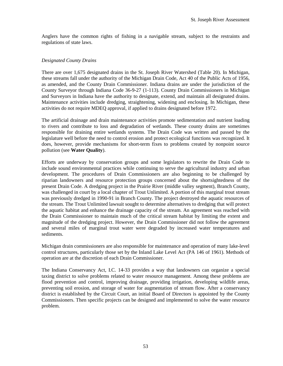Anglers have the common rights of fishing in a navigable stream, subject to the restraints and regulations of state laws.

#### *Designated County Drains*

There are over 1,675 designated drains in the St. Joseph River Watershed (Table 20). In Michigan, these streams fall under the authority of the Michigan Drain Code, Act 40 of the Public Acts of 1956, as amended, and the County Drain Commissioner. Indiana drains are under the jurisdiction of the County Surveyor through Indiana Code 36-9-27 (1-113). County Drain Commissioners in Michigan and Surveyors in Indiana have the authority to designate, extend, and maintain all designated drains. Maintenance activities include dredging, straightening, widening and enclosing. In Michigan, these activities do not require MDEQ approval, if applied to drains designated before 1972.

The artificial drainage and drain maintenance activities promote sedimentation and nutrient loading to rivers and contribute to loss and degradation of wetlands. These county drains are sometimes responsible for draining entire wetlands systems. The Drain Code was written and passed by the legislature well before the need to control erosion and protect ecological functions was recognized. It does, however, provide mechanisms for short-term fixes to problems created by nonpoint source pollution (see **Water Quality**).

Efforts are underway by conservation groups and some legislators to rewrite the Drain Code to include sound environmental practices while continuing to serve the agricultural industry and urban development. The procedures of Drain Commissioners are also beginning to be challenged by riparian landowners and resource protection groups concerned about the shortsightedness of the present Drain Code. A dredging project in the Prairie River (middle valley segment), Branch County, was challenged in court by a local chapter of Trout Unlimited. A portion of this marginal trout stream was previously dredged in 1990-91 in Branch County. The project destroyed the aquatic resources of the stream. The Trout Unlimited lawsuit sought to determine alternatives to dredging that will protect the aquatic habitat and enhance the drainage capacity of the stream. An agreement was reached with the Drain Commissioner to maintain much of the critical stream habitat by limiting the extent and magnitude of the dredging project. However, the Drain Commissioner did not follow the agreement and several miles of marginal trout water were degraded by increased water temperatures and sediments.

Michigan drain commissioners are also responsible for maintenance and operation of many lake-level control structures, particularly those set by the Inland Lake Level Act (PA 146 of 1961). Methods of operation are at the discretion of each Drain Commissioner.

The Indiana Conservancy Act, I.C. 14-33 provides a way that landowners can organize a special taxing district to solve problems related to water resource management. Among these problems are flood prevention and control, improving drainage, providing irrigation, developing wildlife areas, preventing soil erosion, and storage of water for augmentation of stream flow. After a conservancy district is established by the Circuit Court, an initial Board of Directors is appointed by the County Commissioners. Then specific projects can be designed and implemented to solve the water resource problem.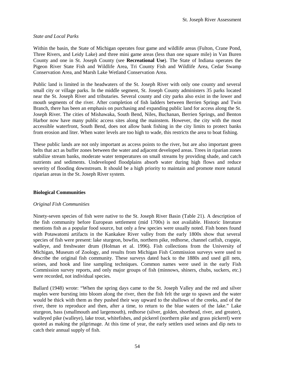# *State and Local Parks*

Within the basin, the State of Michigan operates four game and wildlife areas (Fulton, Crane Pond, Three Rivers, and Leidy Lake) and three mini game areas (less than one square mile) in Van Buren County and one in St. Joseph County (see **Recreational Use**). The State of Indiana operates the Pigeon River State Fish and Wildlife Area, Tri County Fish and Wildlife Area, Cedar Swamp Conservation Area, and Marsh Lake Wetland Conservation Area.

Public land is limited in the headwaters of the St. Joseph River with only one county and several small city or village parks. In the middle segment, St. Joseph County administers 35 parks located near the St. Joseph River and tributaries. Several county and city parks also exist in the lower and mouth segments of the river. After completion of fish ladders between Berrien Springs and Twin Branch, there has been an emphasis on purchasing and expanding public land for access along the St. Joseph River. The cities of Mishawaka, South Bend, Niles, Buchanan, Berrien Springs, and Benton Harbor now have many public access sites along the mainstem. However, the city with the most accessible waterfront, South Bend, does not allow bank fishing in the city limits to protect banks from erosion and liter. When water levels are too high to wade, this restricts the area to boat fishing.

These public lands are not only important as access points to the river, but are also important green belts that act as buffer zones between the water and adjacent developed areas. Trees in riparian zones stabilize stream banks, moderate water temperatures on small streams by providing shade, and catch nutrients and sediments. Undeveloped floodplains absorb water during high flows and reduce severity of flooding downstream. It should be a high priority to maintain and promote more natural riparian areas in the St. Joseph River system.

# **Biological Communities**

# *Original Fish Communities*

Ninety-seven species of fish were native to the St. Joseph River Basin (Table 21). A description of the fish community before European settlement (mid 1700s) is not available. Historic literature mentions fish as a popular food source, but only a few species were usually noted. Fish bones found with Potawatomi artifacts in the Kankakee River valley from the early 1800s show that several species of fish were present: lake sturgeon, bowfin, northern pike, redhorse, channel catfish, crappie, walleye, and freshwater drum (Holman et al. 1996). Fish collections from the University of Michigan, Museum of Zoology, and results from Michigan Fish Commission surveys were used to describe the original fish community. These surveys dated back to the 1880s and used gill nets, seines, and hook and line sampling techniques. Common names were used in the early Fish Commission survey reports, and only major groups of fish (minnows, shiners, chubs, suckers, etc.) were recorded, not individual species.

Ballard (1948) wrote: "When the spring days came to the St. Joseph Valley and the red and silver maples were bursting into bloom along the river, then the fish felt the urge to spawn and the water would be thick with them as they pushed their way upward to the shallows of the creeks, and of the river, there to reproduce and then, after a time, to return to the blue waters of the lake." Lake sturgeon, bass (smallmouth and largemouth), redhorse (silver, golden, shorthead, river, and greater), walleyed pike (walleye), lake trout, whitefishes, and pickerel (northern pike and grass pickerel) were quoted as making the pilgrimage. At this time of year, the early settlers used seines and dip nets to catch their annual supply of fish.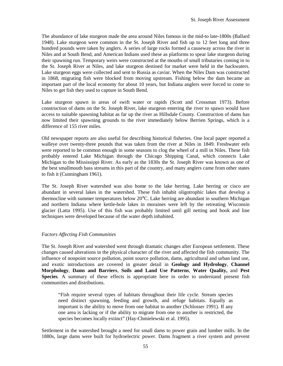The abundance of lake sturgeon made the area around Niles famous in the mid-to late-1800s (Ballard 1948). Lake sturgeon were common in the St. Joseph River and fish up to 12 feet long and three hundred pounds were taken by anglers. A series of large rocks formed a causeway across the river in Niles and at South Bend, and American Indians used these as platforms to spear lake sturgeon during their spawning run. Temporary weirs were constructed at the mouths of small tributaries coming in to the St. Joseph River at Niles, and lake sturgeon destined for market were held in the backwaters. Lake sturgeon eggs were collected and sent to Russia as caviar. When the Niles Dam was constructed in 1868, migrating fish were blocked from moving upstream. Fishing below the dam became an important part of the local economy for about 10 years, but Indiana anglers were forced to come to Niles to get fish they used to capture in South Bend.

Lake sturgeon spawn in areas of swift water or rapids (Scott and Crossman 1973). Before construction of dams on the St. Joseph River, lake sturgeon entering the river to spawn would have access to suitable spawning habitat as far up the river as Hillsdale County. Construction of dams has now limited their spawning grounds to the river immediately below Berrien Springs, which is a difference of 155 river miles.

Old newspaper reports are also useful for describing historical fisheries. One local paper reported a walleye over twenty-three pounds that was taken from the river at Niles in 1849. Freshwater eels were reported to be common enough in some seasons to clog the wheel of a mill in Niles. These fish probably entered Lake Michigan through the Chicago Shipping Canal, which connects Lake Michigan to the Mississippi River. As early as the 1830s the St. Joseph River was known as one of the best smallmouth bass streams in this part of the country, and many anglers came from other states to fish it (Cunningham 1961).

The St. Joseph River watershed was also home to the lake herring. Lake herring or cisco are abundant in several lakes in the watershed. These fish inhabit oligotrophic lakes that develop a thermocline with summer temperatures below 20°C. Lake herring are abundant in southern Michigan and northern Indiana where kettle-hole lakes in moraines were left by the retreating Wisconsin glacier (Latta 1995). Use of this fish was probably limited until gill netting and hook and line techniques were developed because of the water depth inhabited.

# *Factors Affecting Fish Communities*

The St. Joseph River and watershed went through dramatic changes after European settlement. These changes caused alterations in the physical character of the river and affected the fish community. The influence of nonpoint source pollution, point source pollution, dams, agricultural and urban land use, and exotic introductions are covered in greater detail in **Geology and Hydrology**, **Channel Morphology**, **Dams and Barriers**, **Soils and Land Use Patterns**, **Water Quality,** and **Pest Species**. A summary of these effects is appropriate here in order to understand present fish communities and distributions.

"Fish require several types of habitats throughout their life cycle. Stream species need distinct spawning, feeding and growth, and refuge habitats. Equally as important is the ability to move from one habitat to another (Schlosser 1991). If any one area is lacking or if the ability to migrate from one to another is restricted, the species becomes locally extinct" (Hay-Chmielewski et al. 1995).

Settlement in the watershed brought a need for small dams to power grain and lumber mills. In the 1880s, large dams were built for hydroelectric power. Dams fragment a river system and prevent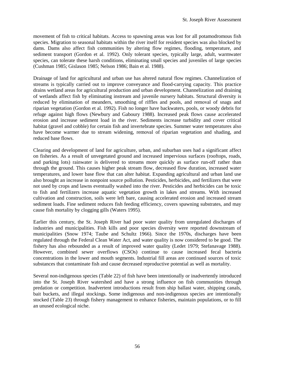movement of fish to critical habitats. Access to spawning areas was lost for all potamodromous fish species. Migration to seasonal habitats within the river itself for resident species was also blocked by dams. Dams also affect fish communities by altering flow regimes, flooding, temperature, and sediment transport (Gordon et al. 1992). Only tolerant species, typically large, adult, warmwater species, can tolerate these harsh conditions, eliminating small species and juveniles of large species (Cushman 1985; Gislason 1985; Nelson 1986; Bain et al. 1988).

Drainage of land for agricultural and urban use has altered natural flow regimes. Channelization of streams is typically carried out to improve conveyance and flood-carrying capacity. This practice drains wetland areas for agricultural production and urban development. Channelization and draining of wetlands affect fish by eliminating instream and juvenile nursery habitats. Structural diversity is reduced by elimination of meanders, smoothing of riffles and pools, and removal of snags and riparian vegetation (Gordon et al. 1992). Fish no longer have backwaters, pools, or woody debris for refuge against high flows (Newbury and Gaboury 1988). Increased peak flows cause accelerated erosion and increase sediment load in the river. Sediments increase turbidity and cover critical habitat (gravel and cobble) for certain fish and invertebrate species. Summer water temperatures also have become warmer due to stream widening, removal of riparian vegetation and shading, and reduced base flows.

Clearing and development of land for agriculture, urban, and suburban uses had a significant affect on fisheries. As a result of unvegetated ground and increased impervious surfaces (rooftops, roads, and parking lots) rainwater is delivered to streams more quickly as surface run-off rather than through the ground. This causes higher peak stream flow, decreased flow duration, increased water temperatures, and lower base flow that can alter habitat. Expanding agricultural and urban land use also brought an increase in nonpoint source pollution. Pesticides, herbicides, and fertilizers that were not used by crops and lawns eventually washed into the river. Pesticides and herbicides can be toxic to fish and fertilizers increase aquatic vegetation growth in lakes and streams. With increased cultivation and construction, soils were left bare, causing accelerated erosion and increased stream sediment loads. Fine sediment reduces fish feeding efficiency, covers spawning substrates, and may cause fish mortality by clogging gills (Waters 1995).

Earlier this century, the St. Joseph River had poor water quality from unregulated discharges of industries and municipalities. Fish kills and poor species diversity were reported downstream of municipalities (Snow 1974; Taube and Schultz 1966). Since the 1970s, discharges have been regulated through the Federal Clean Water Act, and water quality is now considered to be good. The fishery has also rebounded as a result of improved water quality (Ledet 1979; Stefanavage 1988). However, combined sewer overflows (CSOs) continue to cause increased fecal bacteria concentrations in the lower and mouth segments. Industrial fill areas are continued sources of toxic substances that contaminate fish and cause decreased reproductive potential as well as mortality.

Several non-indigenous species (Table 22) of fish have been intentionally or inadvertently introduced into the St. Joseph River watershed and have a strong influence on fish communities through predation or competition. Inadvertent introductions result from ship ballast water, shipping canals, bait buckets, and illegal stockings. Some indigenous and non-indigenous species are intentionally stocked (Table 23) through fishery management to enhance fisheries, maintain populations, or to fill an unused ecological niche.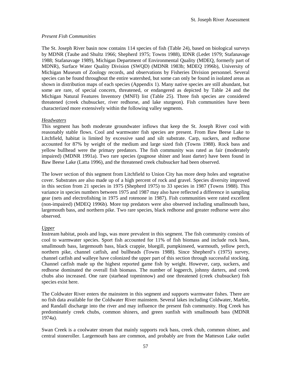#### *Present Fish Communities*

The St. Joseph River basin now contains 114 species of fish (Table 24), based on biological surveys by MDNR (Taube and Shultz 1966; Shepherd 1975; Towns 1988), IDNR (Ledet 1979; Stafanavage 1988; Stafanavage 1989), Michigan Department of Environmental Quality (MDEQ, formerly part of MDNR), Surface Water Quality Division (SWQD) (MDNR 1983b; MDEQ 1996b), University of Michigan Museum of Zoology records, and observations by Fisheries Division personnel. Several species can be found throughout the entire watershed, but some can only be found in isolated areas as shown in distribution maps of each species (Appendix 1). Many native species are still abundant, but some are rare, of special concern, threatened, or endangered as depicted by Table 24 and the Michigan Natural Features Inventory (MNFI) list (Table 25). Three fish species are considered threatened (creek chubsucker, river redhorse, and lake sturgeon). Fish communities have been characterized more extensively within the following valley segments.

#### *Headwaters*

This segment has both moderate groundwater inflows that keep the St. Joseph River cool with reasonably stable flows. Cool and warmwater fish species are present. From Baw Beese Lake to Litchfield, habitat is limited by excessive sand and silt substrate. Carp, suckers, and redhorse accounted for 87% by weight of the medium and large sized fish (Towns 1988). Rock bass and yellow bullhead were the primary predators. The fish community was rated as fair (moderately impaired) (MDNR 1991a). Two rare species (pugnose shiner and least darter) have been found in Baw Beese Lake (Latta 1996), and the threatened creek chubsucker had been observed.

The lower section of this segment from Litchfield to Union City has more deep holes and vegetative cover. Substrates are also made up of a high percent of rock and gravel. Species diversity improved in this section from 21 species in 1975 (Shepherd 1975) to 33 species in 1987 (Towns 1988). This variance in species numbers between 1975 and 1987 may also have reflected a difference in sampling gear (nets and electrofishing in 1975 and rotenone in 1987). Fish communities were rated excellent (non-impaired) (MDEQ 1996b). More top predators were also observed including smallmouth bass, largemouth bass, and northern pike. Two rare species, black redhorse and greater redhorse were also observed.

# *Upper*

Instream habitat, pools and logs, was more prevalent in this segment. The fish community consists of cool to warmwater species. Sport fish accounted for 11% of fish biomass and include rock bass, smallmouth bass, largemouth bass, black crappie, bluegill, pumpkinseed, warmouth, yellow perch, northern pike, channel catfish, and bullheads (Towns 1988). Since Shepherd's (1975) survey, channel catfish and walleye have colonized the upper part of this section through successful stocking. Channel catfish made up the highest reported game fish by weight. However, carp, suckers, and redhorse dominated the overall fish biomass. The number of logperch, johnny darters, and creek chubs also increased. One rare (starhead topminnow) and one threatened (creek chubsucker) fish species exist here.

The Coldwater River enters the mainstem in this segment and supports warmwater fishes. There are no fish data available for the Coldwater River mainstem. Several lakes including Coldwater, Marble, and Randall discharge into the river and may influence the present fish community. Hog Creek has predominately creek chubs, common shiners, and green sunfish with smallmouth bass (MDNR 1974a).

Swan Creek is a coolwater stream that mainly supports rock bass, creek chub, common shiner, and central stoneroller. Largemouth bass are common, and probably are from the Matteson Lake outlet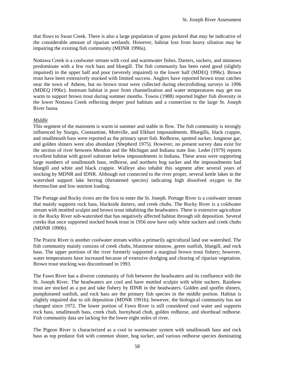that flows to Swan Creek. There is also a large population of grass pickerel that may be indicative of the considerable amount of riparian wetlands. However, habitat loss from heavy siltation may be impairing the existing fish community (MDNR 1990a).

Nottawa Creek is a coolwater stream with cool and warmwater fishes. Darters, suckers, and minnows predominate with a few rock bass and bluegill. The fish community has been rated good (slightly impaired) in the upper half and poor (severely impaired) in the lower half (MDEQ 1996c). Brown trout have been extensively stocked with limited success. Anglers have reported brown trout catches near the town of Athens, but no brown trout were collected during electrofishing surveys in 1996 (MDEQ 1996c). Instream habitat is poor from channelization and water temperatures may get too warm to support brown trout during summer months. Towns (1988) reported higher fish diversity in the lower Nottawa Creek reflecting deeper pool habitats and a connection to the large St. Joseph River fauna.

# *Middle*

This segment of the mainstem is warm in summer and stable in flow. The fish community is strongly influenced by Sturgis, Constantine, Mottville, and Elkhart impoundments. Bluegills, black crappie, and smallmouth bass were reported as the primary sport fish. Redhorse, spotted sucker, longnose gar, and golden shiners were also abundant (Shepherd 1975). However, no present survey data exist for the section of river between Mendon and the Michigan and Indiana state line. Ledet (1979) reports excellent habitat with gravel substrate below impoundments in Indiana. These areas were supporting large numbers of smallmouth bass, redhorse, and northern hog sucker and the impoundments had bluegill and white and black crappie. Walleye also inhabit this segment after several years of stocking by MDNR and IDNR. Although not connected to the river proper, several kettle lakes in the watershed support lake herring (threatened species) indicating high dissolved oxygen in the thermocline and low nutrient loading.

The Portage and Rocky rivers are the first to enter the St. Joseph. Portage River is a coolwater stream that mainly supports rock bass, blackside darters, and creek chubs. The Rocky River is a coldwater stream with mottled sculpin and brown trout inhabiting the headwaters. There is extensive agriculture in the Rocky River sub-watershed that has negatively affected habitat through silt deposition. Several creeks that once supported stocked brook trout in 1956 now have only white suckers and creek chubs (MDNR 1990b).

The Prairie River is another coolwater stream within a primarily agricultural land use watershed. The fish community mainly consists of creek chubs, bluntnose minnow, green sunfish, bluegill, and rock bass. The upper portions of the river formerly supported a marginal brown trout fishery; however, water temperatures have increased because of extensive dredging and clearing of riparian vegetation. Brown trout stocking was discontinued in 1993.

The Fawn River has a diverse community of fish between the headwaters and its confluence with the St. Joseph River. The headwaters are cool and have mottled sculpin with white suckers. Rainbow trout are stocked as a put and take fishery by IDNR in the headwaters. Golden and spotfin shiners, pumpkinseed sunfish, and rock bass are the primary fish species in the middle portion. Habitat is slightly impaired due to silt deposition (MDNR 1991b); however, the biological community has not changed since 1972. The lower portion of Fawn River is still considered cool water and supports rock bass, smallmouth bass, creek chub, hornyhead chub, golden redhorse, and shorthead redhorse. Fish community data are lacking for the lower eight miles of river.

The Pigeon River is characterized as a cool to warmwater system with smallmouth bass and rock bass as top predator fish with common shiner, hog sucker, and various redhorse species dominating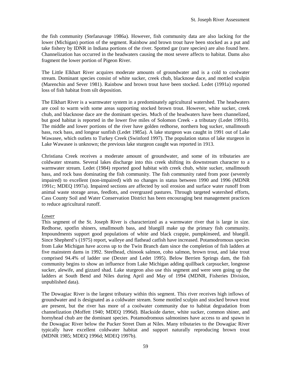the fish community (Stefanavage 1986a). However, fish community data are also lacking for the lower (Michigan) portion of the segment. Rainbow and brown trout have been stocked as a put and take fishery by IDNR in Indiana portions of the river. Spotted gar (rare species) are also found here. Channelization has occurred in the headwaters causing the most severe affects to habitat. Dams also fragment the lower portion of Pigeon River.

The Little Elkhart River acquires moderate amounts of groundwater and is a cold to coolwater stream. Dominant species consist of white sucker, creek chub, blacknose dace, and mottled sculpin (Marenchin and Sever 1981). Rainbow and brown trout have been stocked. Ledet (1991a) reported loss of fish habitat from silt deposition.

The Elkhart River is a warmwater system in a predominately agricultural watershed. The headwaters are cool to warm with some areas supporting stocked brown trout. However, white sucker, creek chub, and blacknose dace are the dominant species. Much of the headwaters have been channelized, but good habitat is reported in the lower five miles of Solomon Creek - a tributary (Ledet 1991b). The middle and lower portions of the river have golden redhorse, northern hog sucker, smallmouth bass, rock bass, and longear sunfish (Ledet 1985a). A lake sturgeon was caught in 1991 out of Lake Wawasee, which outlets to Turkey Creek (Swinford 1997). The population status of lake sturgeon in Lake Wawasee is unknown; the previous lake sturgeon caught was reported in 1913.

Christiana Creek receives a moderate amount of groundwater, and some of its tributaries are coldwater streams. Several lakes discharge into this creek shifting its downstream character to a warmwater stream. Ledet (1984) reported good habitat with creek chub, white sucker, smallmouth bass, and rock bass dominating the fish community. The fish community rated from poor (severely impaired) to excellent (non-impaired) with no changes in status between 1990 and 1996 (MDNR 1991c; MDEQ 1997a). Impaired sections are affected by soil erosion and surface water runoff from animal waste storage areas, feedlots, and overgrazed pastures. Through targeted watershed efforts, Cass County Soil and Water Conservation District has been encouraging best management practices to reduce agricultural runoff.

# *Lower*

This segment of the St. Joseph River is characterized as a warmwater river that is large in size. Redhorse, spotfin shiners, smallmouth bass, and bluegill make up the primary fish community. Impoundments support good populations of white and black crappie, pumpkinseed, and bluegill. Since Shepherd's (1975) report, walleye and flathead catfish have increased. Potamodromous species from Lake Michigan have access up to the Twin Branch dam since the completion of fish ladders at five mainstem dams in 1992. Steelhead, chinook salmon, coho salmon, brown trout, and lake trout comprised 94.4% of ladder use (Dexter and Ledet 1995). Below Berrien Springs dam, the fish community begins to show an influence from Lake Michigan adding quillback carpsucker, longnose sucker, alewife, and gizzard shad. Lake sturgeon also use this segment and were seen going up the ladders at South Bend and Niles during April and May of 1994 (MDNR, Fisheries Division, unpublished data).

The Dowagiac River is the largest tributary within this segment. This river receives high inflows of groundwater and is designated as a coldwater stream. Some mottled sculpin and stocked brown trout are present, but the river has more of a coolwater community due to habitat degradation from channelization (Moffett 1940; MDEQ 1996d). Blackside darter, white sucker, common shiner, and hornyhead chub are the dominant species. Potamodromous salmonines have access to and spawn in the Dowagiac River below the Pucker Street Dam at Niles. Many tributaries to the Dowagiac River typically have excellent coldwater habitat and support naturally reproducing brown trout (MDNR 1985; MDEQ 1996d; MDEQ 1997b).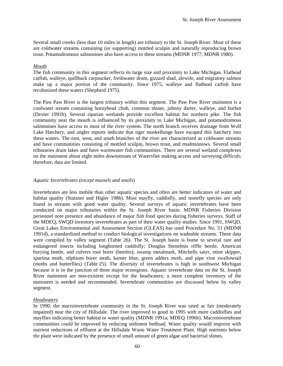Several small creeks (less than 10 miles in length) are tributary to the St. Joseph River. Most of these are coldwater streams containing (or supporting) mottled sculpin and naturally reproducing brown trout. Potamodromous salmonines also have access to these streams (MDNR 1977; MDNR 1980).

#### *Mouth*

The fish community in this segment reflects its large size and proximity to Lake Michigan. Flathead catfish, walleye, quillback carpsucker, freshwater drum, gizzard shad, alewife, and migratory salmon make up a major portion of the community. Since 1975, walleye and flathead catfish have recolonized these waters (Shepherd 1975).

The Paw Paw River is the largest tributary within this segment. The Paw Paw River mainstem is a coolwater stream containing hornyhead chub, common shiner, johnny darter, walleye, and burbot (Dexter 1991b). Several riparian wetlands provide excellent habitat for northern pike. The fish community near the mouth is influenced by its proximity to Lake Michigan, and potamodromous salmonines have access to most of the river system. The north branch receives drainage from Wolf Lake Hatchery, and angler reports indicate that tiger muskellunge have escaped this hatchery into these waters. The east, west, and south branches of the river are characterized as coldwater streams and have communities consisting of mottled sculpin, brown trout, and mudminnows. Several small tributaries drain lakes and have warmwater fish communities. There are several wetland complexes on the mainstem about eight miles downstream of Watervliet making access and surveying difficult; therefore, data are limited.

#### *Aquatic Invertebrates (except mussels and snails*)

Invertebrates are less mobile than other aquatic species and often are better indicators of water and habitat quality (Statzner and Higler 1986). Most mayfly, caddisfly, and stonefly species are only found in streams with good water quality. Several surveys of aquatic invertebrates have been conducted on major tributaries within the St. Joseph River basin. MDNR Fisheries Division personnel note presence and abundance of major fish food species during fisheries surveys. Staff of the MDEQ, SWQD inventory invertebrates as part of their water quality studies. Since 1991, SWQD, Great Lakes Environmental and Assessment Section (GLEAS) has used Procedure No. 51 (MDNR 1991d), a standardized method to conduct biological investigations on wadeable streams. These data were compiled by valley segment (Table 26). The St. Joseph basin is home to several rare and endangered insects including longhorned caddisfly; Douglas Stenelmis riffle beetle, American burying beetle, and culvers root borer (beetles); swamp metalmark, Mitchells satyr, ottoe skipper, spartina moth, silphium borer moth, karner blue, green adders moth, and pipe vine swallowtail (moths and butterflies) (Table 25). The diversity of invertebrates is high in southwest Michigan because it is in the junction of three major ecoregions. Aquatic invertebrate data on the St. Joseph River mainstem are non-existent except for the headwaters; a more complete inventory of the mainstem is needed and recommended. Invertebrate communities are discussed below by valley segment.

# *Headwaters*

In 1990, the macroinvertebrate community in the St. Joseph River was rated as fair (moderately impaired) near the city of Hillsdale. The river improved to good in 1995 with more caddisflies and mayflies indicating better habitat or water quality (MDNR 1991a; MDEQ 1996b). Macroinvertebrate communities could be improved by reducing sediment bedload. Water quality would improve with nutrient reductions of effluent at the Hillsdale Waste Water Treatment Plant. High nutrients below the plant were indicated by the presence of small amount of green algae and bacterial slimes.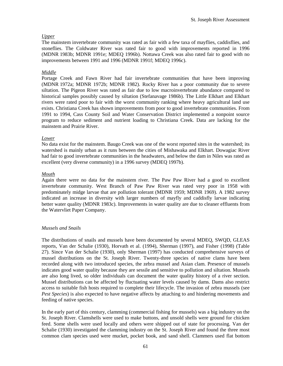# *Upper*

The mainstem invertebrate community was rated as fair with a few taxa of mayflies, caddisflies, and stoneflies. The Coldwater River was rated fair to good with improvements reported in 1996 (MDNR 1983b; MDNR 1991e; MDEQ 1996b). Nottawa Creek was also rated fair to good with no improvements between 1991 and 1996 (MDNR 1991f; MDEQ 1996c).

# *Middle*

Portage Creek and Fawn River had fair invertebrate communities that have been improving (MDNR 1972a; MDNR 1972b; MDNR 1982). Rocky River has a poor community due to severe siltation. The Pigeon River was rated as fair due to low macroinvertebrate abundance compared to historical samples possibly caused by siltation (Stefanavage 1986b). The Little Elkhart and Elkhart rivers were rated poor to fair with the worst community ranking where heavy agricultural land use exists. Christiana Creek has shown improvements from poor to good invertebrate communities. From 1991 to 1994, Cass County Soil and Water Conservation District implemented a nonpoint source program to reduce sediment and nutrient loading to Christiana Creek. Data are lacking for the mainstem and Prairie River.

# *Lower*

No data exist for the mainstem. Baugo Creek was one of the worst reported sites in the watershed; its watershed is mainly urban as it runs between the cities of Mishawaka and Elkhart. Dowagiac River had fair to good invertebrate communities in the headwaters, and below the dam in Niles was rated as excellent (very diverse community) in a 1996 survey (MDEQ 1997b).

# *Mouth*

Again there were no data for the mainstem river. The Paw Paw River had a good to excellent invertebrate community. West Branch of Paw Paw River was rated very poor in 1958 with predominately midge larvae that are pollution tolerant (MDNR 1959; MDNR 1969). A 1982 survey indicated an increase in diversity with larger numbers of mayfly and caddisfly larvae indicating better water quality (MDNR 1983c). Improvements in water quality are due to cleaner effluents from the Watervliet Paper Company.

# *Mussels and Snails*

The distributions of snails and mussels have been documented by several MDEQ, SWQD, GLEAS reports, Van der Schalie (1930), Horvath et al. (1994), Sherman (1997), and Fisher (1998) (Table 27). Since Van der Schalie (1930), only Sherman (1997) has conducted comprehensive surveys of mussel distributions on the St. Joseph River. Twenty-three species of native clams have been recorded along with two introduced species, the zebra mussel and Asian clam. Presence of mussels indicates good water quality because they are sessile and sensitive to pollution and siltation. Mussels are also long lived, so older individuals can document the water quality history of a river section. Mussel distributions can be affected by fluctuating water levels caused by dams. Dams also restrict access to suitable fish hosts required to complete their lifecycle. The invasion of zebra mussels (see *Pest Species*) is also expected to have negative affects by attaching to and hindering movements and feeding of native species.

In the early part of this century, clamming (commercial fishing for mussels) was a big industry on the St. Joseph River. Clamshells were used to make buttons, and unsold shells were ground for chicken feed. Some shells were used locally and others were shipped out of state for processing. Van der Schalie (1930) investigated the clamming industry on the St. Joseph River and found the three most common clam species used were mucket, pocket book, and sand shell. Clammers used flat bottom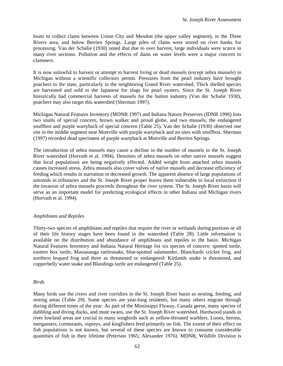boats to collect clams between Union City and Mendon (the upper valley segment), in the Three Rivers area, and below Berrien Springs. Large piles of clams were stored on river banks for processing. Van der Schalie (1930) noted that due to over harvest, large individuals were scarce in many river sections. Pollution and the effects of dams on water levels were a major concern to clammers.

It is now unlawful to harvest or attempt to harvest living or dead mussels (except zebra mussels) in Michigan without a scientific collectors permit. Pressures from the pearl industry have brought poachers to the state, particularly in the neighboring Grand River watershed. Thick shelled species are harvested and sold to the Japanese for slugs for pearl oysters. Since the St. Joseph River historically had commercial harvests of mussels for the button industry (Van der Schalie 1930), poachers may also target this watershed (Sherman 1997).

Michigan Natural Features Inventory (MDNR 1997) and Indiana Nature Preserves (IDNR 1996) lists two snails of special concern, brown walker and proud globe, and two mussels, the endangered snuffbox and purple wartyback of special concern (Table 25). Van der Schalie (1930) observed one site in the middle segment near Mottville with purple wartyback and no sites with snuffbox. Sherman (1997) recorded dead specimens of purple wartyback at Mottville and Berrien Springs.

The introduction of zebra mussels may cause a decline in the number of mussels in the St. Joseph River watershed (Horvath et al. 1994). Densities of zebra mussels on other native mussels suggest that local populations are being negatively effected. Added weight from attached zebra mussels causes increased stress. Zebra mussels also cover valves of native mussels and decrease efficiency of feeding which results in starvation or decreased growth. The apparent absence of large populations of unionids in tributaries and the St. Joseph River proper leaves them vulnerable to local extinction if the invasion of zebra mussels proceeds throughout the river system. The St. Joseph River basin will serve as an important model for predicting ecological effects in other Indiana and Michigan rivers (Horvath et al. 1994).

# *Amphibians and Reptiles*

Thirty-two species of amphibians and reptiles that require the river or wetlands during portions or all of their life history stages have been found in the watershed (Table 28). Little information is available on the distribution and abundance of amphibians and reptiles in the basin. Michigan Natural Features Inventory and Indiana Natural Heritage list six species of concern: spotted turtle, eastern box turtle, Massasauga rattlesnake, blue-spotted salamander, Blanchards cricket frog, and northern leopard frog and three as threatened or endangered: Kirtlands snake is threatened, and copperbelly water snake and Blandings turtle are endangered (Table 25).

#### *Bird*s

Many birds use the rivers and river corridors in the St. Joseph River basin as nesting, feeding, and resting areas (Table 29). Some species are year-long residents, but many others migrate through during different times of the year. As part of the Mississippi Flyway, Canada geese, many species of dabbling and diving ducks, and mute swans, use the St. Joseph River watershed. Hardwood stands in river lowland areas are crucial to many songbirds such as yellow-throated warblers. Loons, herons, mergansers, cormorants, ospreys, and kingfishers feed primarily on fish. The extent of their effect on fish populations is not known, but several of these species are known to consume considerable quantities of fish in their lifetime (Peterson 1965; Alexander 1976). MDNR, Wildlife Division is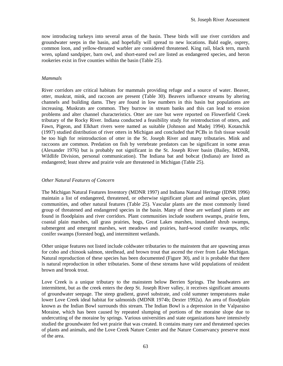now introducing turkeys into several areas of the basin. These birds will use river corridors and groundwater seeps in the basin, and hopefully will spread to new locations. Bald eagle, osprey, common loon, and yellow-throated warbler are considered threatened. King rail, black tern, marsh wren, upland sandpiper, barn owl, and short-eared owl are listed as endangered species, and heron rookeries exist in five counties within the basin (Table 25).

#### *Mammals*

River corridors are critical habitats for mammals providing refuge and a source of water. Beaver, otter, muskrat, mink, and raccoon are present (Table 30). Beavers influence streams by altering channels and building dams. They are found in low numbers in this basin but populations are increasing. Muskrats are common. They burrow in stream banks and this can lead to erosion problems and alter channel characteristics. Otter are rare but were reported on Flowerfield Creek tributary of the Rocky River. Indiana conducted a feasibility study for reintroduction of otters, and Fawn, Pigeon, and Elkhart rivers were named as suitable (Johnson and Madej 1994). Kotanchik (1997) studied distribution of river otters in Michigan and concluded that PCBs in fish tissue would be too high for reintroduction of otter in the St. Joseph River and many tributaries. Mink and raccoons are common. Predation on fish by vertebrate predators can be significant in some areas (Alexander 1976) but is probably not significant in the St. Joseph River basin (Bailey, MDNR, Wildlife Division, personal communication). The Indiana bat and bobcat (Indiana) are listed as endangered; least shrew and prairie vole are threatened in Michigan (Table 25).

#### *Other Natural Features of Concern*

The Michigan Natural Features Inventory (MDNR 1997) and Indiana Natural Heritage (IDNR 1996) maintain a list of endangered, threatened, or otherwise significant plant and animal species, plant communities, and other natural features (Table 25). Vascular plants are the most commonly listed group of threatened and endangered species in the basin. Many of these are wetland plants or are found in floodplains and river corridors. Plant communities include southern swamps, prairie fens, coastal plain marshes, tall grass prairies, bogs, Great Lakes marshes, inundated shrub swamps, submergent and emergent marshes, wet meadows and prairies, hard-wood conifer swamps, relic conifer swamps (forested bog), and intermittent wetlands.

Other unique features not listed include coldwater tributaries to the mainstem that are spawning areas for coho and chinook salmon, steelhead, and brown trout that ascend the river from Lake Michigan. Natural reproduction of these species has been documented (Figure 30), and it is probable that there is natural reproduction in other tributaries. Some of these streams have wild populations of resident brown and brook trout.

Love Creek is a unique tributary to the mainstem below Berrien Springs. The headwaters are intermittent, but as the creek enters the deep St. Joseph River valley, it receives significant amounts of groundwater seepage. The steep gradient, gravel substrate, and cold summer temperatures make lower Love Creek ideal habitat for salmonids (MDNR 1974b; Dexter 1992a). An area of floodplain known as the Indian Bowl surrounds this stream. The Indian Bowl is a depression in the Valparaiso Moraine, which has been caused by repeated slumping of portions of the moraine slope due to undercutting of the moraine by springs. Various universities and state organizations have intensively studied the groundwater fed wet prairie that was created. It contains many rare and threatened species of plants and animals, and the Love Creek Nature Center and the Nature Conservancy preserve most of the area.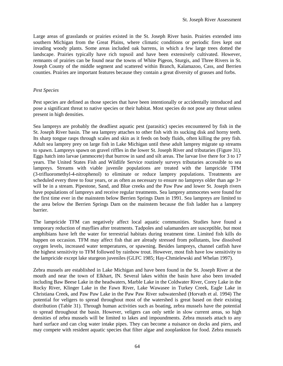Large areas of grasslands or prairies existed in the St. Joseph River basin. Prairies extended into southern Michigan from the Great Plains, where climatic conditions or periodic fires kept out invading woody plants. Some areas included oak barrens, in which a few large trees dotted the landscape. Prairies typically have rich topsoil and have been extensively cultivated. However, remnants of prairies can be found near the towns of White Pigeon, Sturgis, and Three Rivers in St. Joseph County of the middle segment and scattered within Branch, Kalamazoo, Cass, and Berrien counties. Prairies are important features because they contain a great diversity of grasses and forbs.

#### *Pest Species*

Pest species are defined as those species that have been intentionally or accidentally introduced and pose a significant threat to native species or their habitat. Most species do not pose any threat unless present in high densities.

Sea lampreys are probably the deadliest aquatic pest (parasitic) species encountered by fish in the St. Joseph River basin. The sea lamprey attaches to other fish with its sucking disk and horny teeth. Its sharp tongue rasps through scales and skin as it feeds on body fluids, often killing the prey fish. Adult sea lamprey prey on large fish in Lake Michigan until these adult lamprey migrate up streams to spawn. Lampreys spawn on gravel riffles in the lower St. Joseph River and tributaries (Figure 31). Eggs hatch into larvae (ammocete) that burrow in sand and silt areas. The larvae live there for 3 to 17 years. The United States Fish and Wildlife Service routinely surveys tributaries accessible to sea lampreys. Streams with viable juvenile populations are treated with the lampricide TFM (3-trifluoromethyl-4-nitrophenol) to eliminate or reduce lamprey populations. Treatments are scheduled every three to four years, or as often as necessary to ensure no lampreys older than age 3+ will be in a stream. Pipestone, Sand, and Blue creeks and the Paw Paw and lower St. Joseph rivers have populations of lampreys and receive regular treatments. Sea lamprey ammocetes were found for the first time ever in the mainstem below Berrien Springs Dam in 1991. Sea lampreys are limited to the area below the Berrien Springs Dam on the mainstem because the fish ladder has a lamprey barrier.

The lampricide TFM can negatively affect local aquatic communities. Studies have found a temporary reduction of mayflies after treatments. Tadpoles and salamanders are susceptible, but most amphibians have left the water for terrestrial habitats during treatment time. Limited fish kills do happen on occasion. TFM may affect fish that are already stressed from pollutants, low dissolved oxygen levels, increased water temperatures, or spawning. Besides lampreys, channel catfish have the highest sensitivity to TFM followed by rainbow trout. However, most fish have low sensitivity to the lampricide except lake sturgeon juveniles (GLFC 1985; Hay-Chmielewski and Whelan 1997).

Zebra mussels are established in Lake Michigan and have been found in the St. Joseph River at the mouth and near the town of Elkhart, IN. Several lakes within the basin have also been invaded including Baw Beese Lake in the headwaters, Marble Lake in the Coldwater River, Corey Lake in the Rocky River, Klinger Lake in the Fawn River, Lake Wawasee in Turkey Creek, Eagle Lake in Christiana Creek, and Paw Paw Lake in the Paw Paw River subwatershed (Horvath et al. 1994) The potential for veligers to spread throughout most of the watershed is great based on their existing distribution (Table 31). Through human activities such as boating, zebra mussels have the potential to spread throughout the basin. However, veligers can only settle in slow current areas, so high densities of zebra mussels will be limited to lakes and impoundments. Zebra mussels attach to any hard surface and can clog water intake pipes. They can become a nuisance on docks and piers, and may compete with resident aquatic species that filter algae and zooplankton for food. Zebra mussels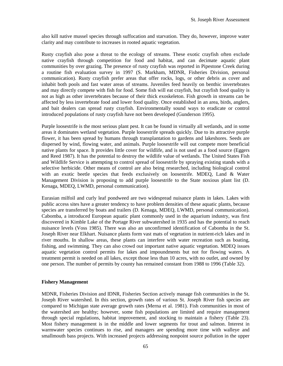also kill native mussel species through suffocation and starvation. They do, however, improve water clarity and may contribute to increases in rooted aquatic vegetation.

Rusty crayfish also pose a threat to the ecology of streams. These exotic crayfish often exclude native crayfish through competition for food and habitat, and can decimate aquatic plant communities by over grazing. The presence of rusty crayfish was reported in Pipestone Creek during a routine fish evaluation survey in 1997 (S. Markham, MDNR, Fisheries Division, personal communication). Rusty crayfish prefer areas that offer rocks, logs, or other debris as cover and inhabit both pools and fast water areas of streams. Juveniles feed heavily on benthic invertebrates and may directly compete with fish for food. Some fish will eat crayfish, but crayfish food quality is not as high as other invertebrates because of their thick exoskeleton. Fish growth in streams can be affected by less invertebrate food and lower food quality. Once established in an area, birds, anglers, and bait dealers can spread rusty crayfish. Environmentally sound ways to eradicate or control introduced populations of rusty crayfish have not been developed (Gunderson 1995).

Purple loosestrife is the most serious plant pest. It can be found in virtually all wetlands, and in some areas it dominates wetland vegetation. Purple loosestrife spreads quickly. Due to its attractive purple flower, it has been spread by humans through transplantation to gardens and lakeshores. Seeds are dispersed by wind, flowing water, and animals. Purple loosestrife will out compete more beneficial native plants for space. It provides little cover for wildlife, and is not used as a food source (Eggers and Reed 1987). It has the potential to destroy the wildlife value of wetlands. The United States Fish and Wildlife Service is attempting to control spread of loosestrife by spraying existing stands with a selective herbicide. Other means of control are also being researched, including biological control with an exotic beetle species that feeds exclusively on loosestrife. MDEQ, Land & Water Management Division is proposing to add purple loosestrife to the State noxious plant list (D. Kenaga, MDEQ, LWMD, personal communication).

Eurasian milfoil and curly leaf pondweed are two widespread nuisance plants in lakes. Lakes with public access sites have a greater tendency to have problem densities of these aquatic plants, because species are transferred by boats and trailers (D. Kenaga, MDEQ, LWMD, personal communication). Cabomba, a introduced European aquatic plant commonly used in the aquarium industry, was first discovered in Kimble Lake of the Portage River subwatershed in 1935 and has the potential to reach nuisance levels (Voss 1985). There was also an unconfirmed identification of Cabomba in the St. Joseph River near Elkhart. Nuisance plants form vast mats of vegetation in nutrient-rich lakes and in river mouths. In shallow areas, these plants can interfere with water recreation such as boating, fishing, and swimming. They can also crowd out important native aquatic vegetation. MDEQ issues aquatic vegetation control permits for lakes and impoundments but not for flowing waters. A treatment permit is needed on all lakes, except those less than 10 acres, with no outlet, and owned by one person. The number of permits by county has remained constant from 1988 to 1996 (Table 32).

#### **Fishery Management**

MDNR, Fisheries Division and IDNR, Fisheries Section actively manage fish communities in the St. Joseph River watershed. In this section, growth rates of various St. Joseph River fish species are compared to Michigan state average growth rates (Merna et al. 1981). Fish communities in most of the watershed are healthy; however, some fish populations are limited and require management through special regulations, habitat improvement, and stocking to maintain a fishery (Table 23). Most fishery management is in the middle and lower segments for trout and salmon. Interest in warmwater species continues to rise, and managers are spending more time with walleye and smallmouth bass projects. With increased projects addressing nonpoint source pollution in the upper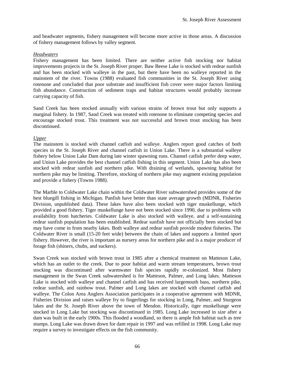and headwater segments, fishery management will become more active in those areas. A discussion of fishery management follows by valley segment.

#### *Headwaters*

Fishery management has been limited. There are neither active fish stocking nor habitat improvements projects in the St. Joseph River proper. Baw Beese Lake is stocked with redear sunfish and has been stocked with walleye in the past, but there have been no walleye reported in the mainstem of the river. Towns (1988) evaluated fish communities in the St. Joseph River using rotenone and concluded that poor substrate and insufficient fish cover were major factors limiting fish abundance. Construction of sediment traps and habitat structures would probably increase carrying capacity of fish.

Sand Creek has been stocked annually with various strains of brown trout but only supports a marginal fishery. In 1987, Sand Creek was treated with rotenone to eliminate competing species and encourage stocked trout. This treatment was not successful and brown trout stocking has been discontinued.

# *Upper*

The mainstem is stocked with channel catfish and walleye. Anglers report good catches of both species in the St. Joseph River and channel catfish in Union Lake. There is a substantial walleye fishery below Union Lake Dam during late winter spawning runs. Channel catfish prefer deep water, and Union Lake provides the best channel catfish fishing in this segment. Union Lake has also been stocked with redear sunfish and northern pike. With draining of wetlands, spawning habitat for northern pike may be limiting. Therefore, stocking of northern pike may augment existing population and provide a fishery (Towns 1988).

The Marble to Coldwater Lake chain within the Coldwater River subwatershed provides some of the best bluegill fishing in Michigan. Panfish have better than state average growth (MDNR, Fisheries Division, unpublished data). These lakes have also been stocked with tiger muskellunge, which provided a good fishery. Tiger muskellunge have not been stocked since 1990, due to problems with availability from hatcheries. Coldwater Lake is also stocked with walleye, and a self-sustaining redear sunfish population has been established. Redear sunfish have not officially been stocked but may have come in from nearby lakes. Both walleye and redear sunfish provide modest fisheries. The Coldwater River is small (15-20 feet wide) between the chain of lakes and supports a limited sport fishery. However, the river is important as nursery areas for northern pike and is a major producer of forage fish (shiners, chubs, and suckers).

Swan Creek was stocked with brown trout in 1985 after a chemical treatment on Matteson Lake, which has an outlet to the creek. Due to poor habitat and warm stream temperatures, brown trout stocking was discontinued after warmwater fish species rapidly re-colonized. Most fishery management in the Swan Creek subwatershed is for Matteson, Palmer, and Long lakes. Matteson Lake is stocked with walleye and channel catfish and has received largemouth bass, northern pike, redear sunfish, and rainbow trout. Palmer and Long lakes are stocked with channel catfish and walleye. The Colon Area Anglers Association participates in a cooperative agreement with MDNR, Fisheries Division and raises walleye fry to fingerlings for stocking in Long, Palmer, and Sturgeon lakes and the St. Joseph River above the town of Mendon. Historically, tiger muskellunge were stocked in Long Lake but stocking was discontinued in 1985. Long Lake increased in size after a dam was built in the early 1900s. This flooded a woodland, so there is ample fish habitat such as tree stumps. Long Lake was drawn down for dam repair in 1997 and was refilled in 1998. Long Lake may require a survey to investigate effects on the fish community.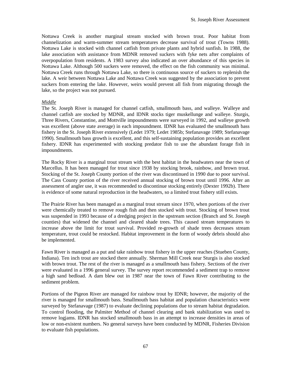Nottawa Creek is another marginal stream stocked with brown trout. Poor habitat from channelization and warm-summer stream temperatures decrease survival of trout (Towns 1988). Nottawa Lake is stocked with channel catfish from private plants and hybrid sunfish. In 1988, the lake association with assistance from MDNR removed suckers with fyke nets after complaints of overpopulation from residents. A 1983 survey also indicated an over abundance of this species in Nottawa Lake. Although 500 suckers were removed, the effect on the fish community was minimal. Nottawa Creek runs through Nottawa Lake, so there is continuous source of suckers to replenish the lake. A weir between Nottawa Lake and Nottawa Creek was suggested by the association to prevent suckers from entering the lake. However, weirs would prevent all fish from migrating through the lake, so the project was not pursued.

#### *Middle*

The St. Joseph River is managed for channel catfish, smallmouth bass, and walleye. Walleye and channel catfish are stocked by MDNR, and IDNR stocks tiger muskellunge and walleye. Sturgis, Three Rivers, Constantine, and Mottville impoundments were surveyed in 1992, and walleye growth was excellent (above state average) in each impoundment. IDNR has evaluated the smallmouth bass fishery in the St. Joseph River extensively (Ledet 1979; Ledet 1985b; Stefanavage 1989; Stefanavage 1990). Smallmouth bass growth is excellent, and this self-sustaining population provides an excellent fishery. IDNR has experimented with stocking predator fish to use the abundant forage fish in impoundments.

The Rocky River is a marginal trout stream with the best habitat in the headwaters near the town of Marcellus. It has been managed for trout since 1938 by stocking brook, rainbow, and brown trout. Stocking of the St. Joseph County portion of the river was discontinued in 1990 due to poor survival. The Cass County portion of the river received annual stocking of brown trout until 1996. After an assessment of angler use, it was recommended to discontinue stocking entirely (Dexter 1992b). There is evidence of some natural reproduction in the headwaters, so a limited trout fishery still exists.

The Prairie River has been managed as a marginal trout stream since 1970, when portions of the river were chemically treated to remove rough fish and then stocked with trout. Stocking of brown trout was suspended in 1993 because of a dredging project in the upstream section (Branch and St. Joseph counties) that widened the channel and cleared shade trees. This caused stream temperatures to increase above the limit for trout survival. Provided re-growth of shade trees decreases stream temperature, trout could be restocked. Habitat improvement in the form of woody debris should also be implemented.

Fawn River is managed as a put and take rainbow trout fishery in the upper reaches (Stueben County, Indiana). Ten inch trout are stocked there annually. Sherman Mill Creek near Sturgis is also stocked with brown trout. The rest of the river is managed as a smallmouth bass fishery. Sections of the river were evaluated in a 1996 general survey. The survey report recommended a sediment trap to remove a high sand bedload. A dam blew out in 1987 near the town of Fawn River contributing to the sediment problem.

Portions of the Pigeon River are managed for rainbow trout by IDNR; however, the majority of the river is managed for smallmouth bass. Smallmouth bass habitat and population characteristics were surveyed by Stefanavage (1987) to evaluate declining populations due to stream habitat degradation. To control flooding, the Palmiter Method of channel clearing and bank stabilization was used to remove logjams. IDNR has stocked smallmouth bass in an attempt to increase densities in areas of low or non-existent numbers. No general surveys have been conducted by MDNR, Fisheries Division to evaluate fish populations.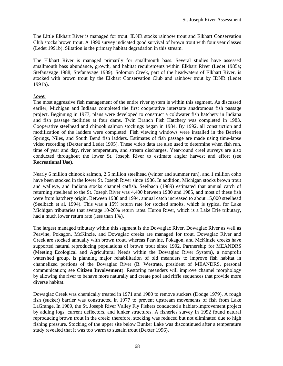The Little Elkhart River is managed for trout. IDNR stocks rainbow trout and Elkhart Conservation Club stocks brown trout. A 1990 survey indicated good survival of brown trout with four year classes (Ledet 1991b). Siltation is the primary habitat degradation in this stream.

The Elkhart River is managed primarily for smallmouth bass. Several studies have assessed smallmouth bass abundance, growth, and habitat requirements within Elkhart River (Ledet 1985a; Stefanavage 1988; Stefanavage 1989). Solomon Creek, part of the headwaters of Elkhart River, is stocked with brown trout by the Elkhart Conservation Club and rainbow trout by IDNR (Ledet 1991b).

# *Lower*

The most aggressive fish management of the entire river system is within this segment. As discussed earlier, Michigan and Indiana completed the first cooperative interstate anadromous fish passage project. Beginning in 1977, plans were developed to construct a coldwater fish hatchery in Indiana and fish passage facilities at four dams. Twin Branch Fish Hatchery was completed in 1983. Cooperative steelhead and chinook salmon stockings began in 1984. By 1992, all construction and modification of the ladders were completed. Fish viewing windows were installed in the Berrien Springs, Niles, and South Bend fish ladders. Estimates of fish passage are made using time-lapse video recording (Dexter and Ledet 1995). These video data are also used to determine when fish run, time of year and day, river temperature, and stream discharges. Year-round creel surveys are also conducted throughout the lower St. Joseph River to estimate angler harvest and effort (see **Recreational Use**).

Nearly 6 million chinook salmon, 2.5 million steelhead (winter and summer run), and 1 million coho have been stocked in the lower St. Joseph River since 1986. In addition, Michigan stocks brown trout and walleye, and Indiana stocks channel catfish. Seelbach (1989) estimated that annual catch of returning steelhead to the St. Joseph River was 4,400 between 1980 and 1985, and most of these fish were from hatchery origin. Between 1988 and 1994, annual catch increased to about 15,000 steelhead (Seelbach et al. 1994). This was a 15% return rate for stocked smolts, which is typical for Lake Michigan tributaries that average 10-20% return rates. Huron River, which is a Lake Erie tributary, had a much lower return rate (less than 1%).

The largest managed tributary within this segment is the Dowagiac River. Dowagiac River as well as Peavine, Pokagon, McKinzie, and Dowagiac creeks are managed for trout. Dowagiac River and Creek are stocked annually with brown trout, whereas Peavine, Pokagon, and McKinzie creeks have supported natural reproducing populations of brown trout since 1992. Partnership for MEANDRS (Meeting Ecological and Agricultural Needs within the Dowagiac River System), a nonprofit watershed group, is planning major rehabilitation of old meanders to improve fish habitat in channelized portions of the Dowagiac River (B. Westrate, president of MEANDRS, personal communication; see **Citizen Involvement**). Restoring meanders will improve channel morphology by allowing the river to behave more naturally and create pool and riffle sequences that provide more diverse habitat.

Dowagiac Creek was chemically treated in 1971 and 1980 to remove suckers (Dodge 1979). A rough fish (sucker) barrier was constructed in 1977 to prevent upstream movements of fish from Lake LaGrange. In 1989, the St. Joseph River Valley Fly Fishers conducted a habitat-improvement project by adding logs, current deflectors, and lunker structures. A fisheries survey in 1992 found natural reproducing brown trout in the creek; therefore, stocking was reduced but not eliminated due to high fishing pressure. Stocking of the upper site below Bunker Lake was discontinued after a temperature study revealed that it was too warm to sustain trout (Dexter 1996).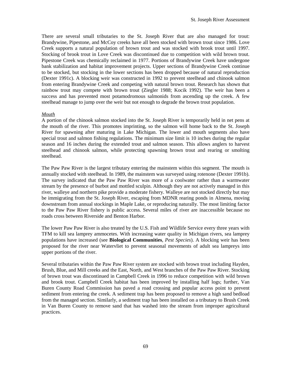There are several small tributaries to the St. Joseph River that are also managed for trout: Brandywine, Pipestone, and McCoy creeks have all been stocked with brown trout since 1986. Love Creek supports a natural population of brown trout and was stocked with brook trout until 1997. Stocking of brook trout in Love Creek was discontinued due to competition with wild brown trout. Pipestone Creek was chemically reclaimed in 1977. Portions of Brandywine Creek have undergone bank stabilization and habitat improvement projects. Upper sections of Brandywine Creek continue to be stocked, but stocking in the lower sections has been dropped because of natural reproduction (Dexter 1991c). A blocking weir was constructed in 1992 to prevent steelhead and chinook salmon from entering Brandywine Creek and competing with natural brown trout. Research has shown that rainbow trout may compete with brown trout (Ziegler 1988; Kocik 1992). The weir has been a success and has prevented most potamodromous salmonids from ascending up the creek. A few steelhead manage to jump over the weir but not enough to degrade the brown trout population.

#### *Mouth*

A portion of the chinook salmon stocked into the St. Joseph River is temporarily held in net pens at the mouth of the river. This promotes imprinting, so the salmon will home back to the St. Joseph River for spawning after maturing in Lake Michigan. The lower and mouth segments also have special trout and salmon fishing regulations. The minimum size limit is 10 inches during the regular season and 16 inches during the extended trout and salmon season. This allows anglers to harvest steelhead and chinook salmon, while protecting spawning brown trout and rearing or smolting steelhead.

The Paw Paw River is the largest tributary entering the mainstem within this segment. The mouth is annually stocked with steelhead. In 1989, the mainstem was surveyed using rotenone (Dexter 1991b). The survey indicated that the Paw Paw River was more of a coolwater rather than a warmwater stream by the presence of burbot and mottled sculpin. Although they are not actively managed in this river, walleye and northern pike provide a moderate fishery. Walleye are not stocked directly but may be immigrating from the St. Joseph River, escaping from MDNR rearing ponds in Almena, moving downstream from annual stockings in Maple Lake, or reproducing naturally. The most limiting factor to the Paw Paw River fishery is public access. Several miles of river are inaccessible because no roads cross between Riverside and Benton Harbor.

The lower Paw Paw River is also treated by the U.S. Fish and Wildlife Service every three years with TFM to kill sea lamprey ammocetes. With increasing water quality in Michigan rivers, sea lamprey populations have increased (see **Biological Communities**, *Pest Species*). A blocking weir has been proposed for the river near Watervliet to prevent seasonal movements of adult sea lampreys into upper portions of the river.

Several tributaries within the Paw Paw River system are stocked with brown trout including Hayden, Brush, Blue, and Mill creeks and the East, North, and West branches of the Paw Paw River. Stocking of brown trout was discontinued in Campbell Creek in 1996 to reduce competition with wild brown and brook trout. Campbell Creek habitat has been improved by installing half logs; further, Van Buren County Road Commission has paved a road crossing and popular access point to prevent sediment from entering the creek. A sediment trap has been proposed to remove a high sand bedload from the managed section. Similarly, a sediment trap has been installed on a tributary to Brush Creek in Van Buren County to remove sand that has washed into the stream from improper agricultural practices.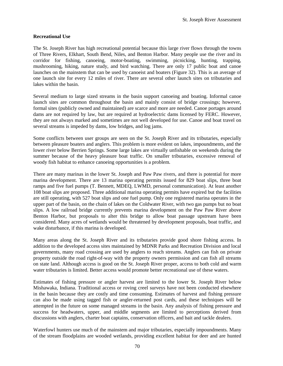#### **Recreational Use**

The St. Joseph River has high recreational potential because this large river flows through the towns of Three Rivers, Elkhart, South Bend, Niles, and Benton Harbor. Many people use the river and its corridor for fishing, canoeing, motor-boating, swimming, picnicking, hunting, trapping, mushrooming, hiking, nature study, and bird watching. There are only 17 public boat and canoe launches on the mainstem that can be used by canoeist and boaters (Figure 32). This is an average of one launch site for every 12 miles of river. There are several other launch sites on tributaries and lakes within the basin.

Several medium to large sized streams in the basin support canoeing and boating. Informal canoe launch sites are common throughout the basin and mainly consist of bridge crossings; however, formal sites (publicly owned and maintained) are scarce and more are needed. Canoe portages around dams are not required by law, but are required at hydroelectric dams licensed by FERC. However, they are not always marked and sometimes are not well developed for use. Canoe and boat travel on several streams is impeded by dams, low bridges, and log jams.

Some conflicts between user groups are seen on the St. Joseph River and its tributaries, especially between pleasure boaters and anglers. This problem is more evident on lakes, impoundments, and the lower river below Berrien Springs. Some large lakes are virtually unfishable on weekends during the summer because of the heavy pleasure boat traffic. On smaller tributaries, excessive removal of woody fish habitat to enhance canoeing opportunities is a problem.

There are many marinas in the lower St. Joseph and Paw Paw rivers, and there is potential for more marina development. There are 13 marina operating permits issued for 829 boat slips, three boat ramps and five fuel pumps (T. Bennett, MDEQ, LWMD, personal communication). At least another 108 boat slips are proposed. Three additional marina operating permits have expired but the facilities are still operating, with 527 boat slips and one fuel pump. Only one registered marina operates in the upper part of the basin, on the chain of lakes on the Coldwater River, with two gas pumps but no boat slips. A low railroad bridge currently prevents marina development on the Paw Paw River above Benton Harbor, but proposals to alter this bridge to allow boat passage upstream have been considered. Many acres of wetlands would be threatened by development proposals, boat traffic, and wake disturbance, if this marina is developed.

Many areas along the St. Joseph River and its tributaries provide good shore fishing access. In addition to the developed access sites maintained by MDNR Parks and Recreation Division and local governments, many road crossing are used by anglers to reach streams. Anglers can fish on private property outside the road right-of-way with the property owners permission and can fish all streams on state land. Although access is good on the St. Joseph River proper, access to both cold and warm water tributaries is limited. Better access would promote better recreational use of these waters.

Estimates of fishing pressure or angler harvest are limited to the lower St. Joseph River below Mishawaka, Indiana. Traditional access or roving creel surveys have not been conducted elsewhere in the basin because they are costly and time consuming. Estimates of harvest and fishing pressure can also be made using tagged fish or angler-returned post cards, and these techniques will be attempted in the future on some managed streams in the basin. Any analysis of fishing pressure and success for headwaters, upper, and middle segments are limited to perceptions derived from discussions with anglers, charter boat captains, conservation officers, and bait and tackle dealers.

Waterfowl hunters use much of the mainstem and major tributaries, especially impoundments. Many of the stream floodplains are wooded wetlands, providing excellent habitat for deer and are hunted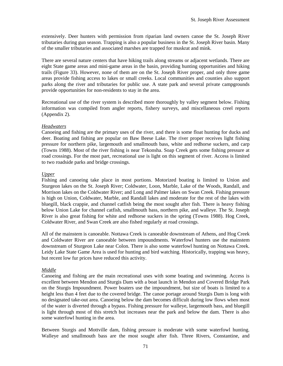extensively. Deer hunters with permission from riparian land owners canoe the St. Joseph River tributaries during gun season. Trapping is also a popular business in the St. Joseph River basin. Many of the smaller tributaries and associated marshes are trapped for muskrat and mink.

There are several nature centers that have hiking trails along streams or adjacent wetlands. There are eight State game areas and mini-game areas in the basin, providing hunting opportunities and hiking trails (Figure 33). However, none of them are on the St. Joseph River proper, and only three game areas provide fishing access to lakes or small creeks. Local communities and counties also support parks along the river and tributaries for public use. A state park and several private campgrounds provide opportunities for non-residents to stay in the area.

Recreational use of the river system is described more thoroughly by valley segment below. Fishing information was compiled from angler reports, fishery surveys, and miscellaneous creel reports (Appendix 2).

# *Headwaters*

Canoeing and fishing are the primary uses of the river, and there is some float hunting for ducks and deer. Boating and fishing are popular on Baw Beese Lake. The river proper receives light fishing pressure for northern pike, largemouth and smallmouth bass, white and redhorse suckers, and carp (Towns 1988). Most of the river fishing is near Tekonsha. Soap Creek gets some fishing pressure at road crossings. For the most part, recreational use is light on this segment of river. Access is limited to two roadside parks and bridge crossings.

# *Upper*

Fishing and canoeing take place in most portions. Motorized boating is limited to Union and Sturgeon lakes on the St. Joseph River; Coldwater, Loon, Marble, Lake of the Woods, Randall, and Morrison lakes on the Coldwater River; and Long and Palmer lakes on Swan Creek. Fishing pressure is high on Union, Coldwater, Marble, and Randall lakes and moderate for the rest of the lakes with bluegill, black crappie, and channel catfish being the most sought after fish. There is heavy fishing below Union Lake for channel catfish, smallmouth bass, northern pike, and walleye. The St. Joseph River is also great fishing for white and redhorse suckers in the spring (Towns 1988). Hog Creek, Coldwater River, and Swan Creek are also fished regularly at road crossings.

All of the mainstem is canoeable. Nottawa Creek is canoeable downstream of Athens, and Hog Creek and Coldwater River are canoeable between impoundments. Waterfowl hunters use the mainstem downstream of Sturgeon Lake near Colon. There is also some waterfowl hunting on Nottawa Creek. Leidy Lake State Game Area is used for hunting and bird watching. Historically, trapping was heavy, but recent low fur prices have reduced this activity.

# *Middle*

Canoeing and fishing are the main recreational uses with some boating and swimming. Access is excellent between Mendon and Sturgis Dam with a boat launch in Mendon and Covered Bridge Park on the Sturgis Impoundment. Power boaters use the impoundment, but size of boats is limited to a height less than 4 feet due to the covered bridge. The canoe portage around Sturgis Dam is long with no designated take-out area. Canoeing below the dam becomes difficult during low flows when most of the water is diverted through a bypass. Fishing pressure for walleye, largemouth bass, and bluegill is light through most of this stretch but increases near the park and below the dam. There is also some waterfowl hunting in the area.

Between Sturgis and Mottville dam, fishing pressure is moderate with some waterfowl hunting. Walleye and smallmouth bass are the most sought after fish. Three Rivers, Constantine, and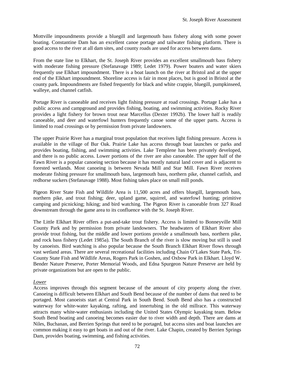Mottville impoundments provide a bluegill and largemouth bass fishery along with some power boating. Constantine Dam has an excellent canoe portage and tailwater fishing platform. There is good access to the river at all dam sites, and county roads are used for access between dams.

From the state line to Elkhart, the St. Joseph River provides an excellent smallmouth bass fishery with moderate fishing pressure (Stefanavage 1989; Ledet 1979). Power boaters and water skiers frequently use Elkhart impoundment. There is a boat launch on the river at Bristol and at the upper end of the Elkhart impoundment. Shoreline access is fair in most places, but is good in Bristol at the county park. Impoundments are fished frequently for black and white crappie, bluegill, pumpkinseed, walleye, and channel catfish.

Portage River is canoeable and receives light fishing pressure at road crossings. Portage Lake has a public access and campground and provides fishing, boating, and swimming activities. Rocky River provides a light fishery for brown trout near Marcellus (Dexter 1992b). The lower half is readily canoeable, and deer and waterfowl hunters frequently canoe some of the upper parts. Access is limited to road crossings or by permission from private landowners.

The upper Prairie River has a marginal trout population that receives light fishing pressure. Access is available in the village of Bur Oak. Prairie Lake has access through boat launches or parks and provides boating, fishing, and swimming activities. Lake Templene has been privately developed, and there is no public access. Lower portions of the river are also canoeable. The upper half of the Fawn River is a popular canoeing section because it has mostly natural land cover and is adjacent to forested wetlands. Most canoeing is between Nevada Mill and Star Mill. Fawn River receives moderate fishing pressure for smallmouth bass, largemouth bass, northern pike, channel catfish, and redhorse suckers (Stefanavage 1988). Most fishing takes place on small mill ponds.

Pigeon River State Fish and Wildlife Area is 11,500 acres and offers bluegill, largemouth bass, northern pike, and trout fishing; deer, upland game, squirrel, and waterfowl hunting; primitive camping and picnicking; hiking; and bird watching. The Pigeon River is canoeable from 327 Road downstream through the game area to its confluence with the St. Joseph River.

The Little Elkhart River offers a put-and-take trout fishery. Access is limited to Bonneyville Mill County Park and by permission from private landowners. The headwaters of Elkhart River also provide trout fishing, but the middle and lower portions provide a smallmouth bass, northern pike, and rock bass fishery (Ledet 1985a). The South Branch of the river is slow moving but still is used by canoeists. Bird watching is also popular because the South Branch Elkhart River flows through vast wetland areas. There are several recreational facilities including Chain O'Lakes State Park, Tri-County State Fish and Wildlife Areas, Rogers Park in Goshen, and Oxbow Park in Elkhart. Lloyd W. Bender Nature Preserve, Porter Memorial Woods, and Edna Spurgeon Nature Preserve are held by private organizations but are open to the public.

## *Lower*

Access improves through this segment because of the amount of city property along the river. Canoeing is difficult between Elkhart and South Bend because of the number of dams that need to be portaged. Most canoeists start at Central Park in South Bend. South Bend also has a constructed waterway for white-water kayaking, rafting, and innertubing in the old millrace. This waterway attracts many white-water enthusiasts including the United States Olympic kayaking team. Below South Bend boating and canoeing becomes easier due to river width and depth. There are dams at Niles, Buchanan, and Berrien Springs that need to be portaged, but access sites and boat launches are common making it easy to get boats in and out of the river. Lake Chapin, created by Berrien Springs Dam, provides boating, swimming, and fishing activities.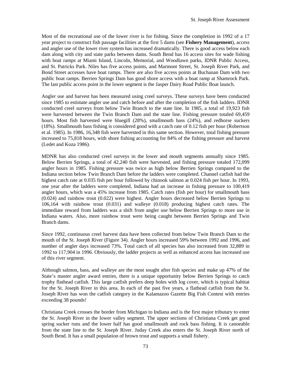Most of the recreational use of the lower river is for fishing. Since the completion in 1992 of a 17 year project to construct fish passage facilities at the first 5 dams (see **Fishery Management**), access and angler use of the lower river system has increased dramatically. There is good access below each dam along with city and state parks between dams. South Bend has 16 access sites for wade fishing with boat ramps at Miami Island, Lincoln, Memorial, and Woodlawn parks, IDNR Public Access, and St. Patricks Park. Niles has five access points, and Marmont Street, St. Joseph River Park, and Bond Street accesses have boat ramps. There are also five access points at Buchanan Dam with two public boat ramps. Berrien Springs Dam has good shore access with a boat ramp at Shamrock Park. The last public access point in the lower segment is the Jasper Dairy Road Public Boat launch.

Angler use and harvest has been measured using creel surveys. These surveys have been conducted since 1985 to estimate angler use and catch before and after the completion of the fish ladders. IDNR conducted creel surveys from below Twin Branch to the state line. In 1985, a total of 19,923 fish were harvested between the Twin Branch Dam and the state line. Fishing pressure totaled 69,459 hours. Most fish harvested were bluegill (28%), smallmouth bass (24%), and redhorse suckers (18%). Smallmouth bass fishing is considered good with a catch rate of 0.12 fish per hour (Robertson et al. 1985). In 1986, 16,348 fish were harvested in this same section. However, total fishing pressure increased to 75,818 hours, with shore fishing accounting for 84% of the fishing pressure and harvest (Ledet and Koza 1986).

MDNR has also conducted creel surveys in the lower and mouth segments annually since 1985. Below Berrien Springs, a total of 42,240 fish were harvested, and fishing pressure totaled 172,099 angler hours in 1985. Fishing pressure was twice as high below Berrien Springs compared to the Indiana section below Twin Branch Dam before the ladders were completed. Channel catfish had the highest catch rate at 0.035 fish per hour followed by chinook salmon at 0.024 fish per hour. In 1993, one year after the ladders were completed, Indiana had an increase in fishing pressure to 100,419 angler hours, which was a 45% increase from 1985. Catch rates (fish per hour) for smallmouth bass (0.024) and rainbow trout (0.022) were highest. Angler hours decreased below Berrien Springs to 106,164 with rainbow trout (0.031) and walleye (0.018) producing highest catch rates. The immediate reward from ladders was a shift from angler use below Berrien Springs to more use in Indiana waters. Also, more rainbow trout were being caught between Berrien Springs and Twin Branch dams.

Since 1992, continuous creel harvest data have been collected from below Twin Branch Dam to the mouth of the St. Joseph River (Figure 34). Angler hours increased 59% between 1992 and 1996, and number of angler days increased 73%. Total catch of all species has also increased from 32,889 in 1992 to 117,904 in 1996. Obviously, the ladder projects as well as enhanced access has increased use of this river segment.

Although salmon, bass, and walleye are the most sought after fish species and make up 47% of the State's master angler award entries, there is a unique opportunity below Berrien Springs to catch trophy flathead catfish. This large catfish prefers deep holes with log cover, which is typical habitat for the St. Joseph River in this area. In each of the past five years, a flathead catfish from the St. Joseph River has won the catfish category in the Kalamazoo Gazette Big Fish Contest with entries exceeding 38 pounds!

Christiana Creek crosses the border from Michigan to Indiana and is the first major tributary to enter the St. Joseph River in the lower valley segment. The upper sections of Christiana Creek get good spring sucker runs and the lower half has good smallmouth and rock bass fishing. It is canoeable from the state line to the St. Joseph River. Juday Creek also enters the St. Joseph River north of South Bend. It has a small population of brown trout and supports a small fishery.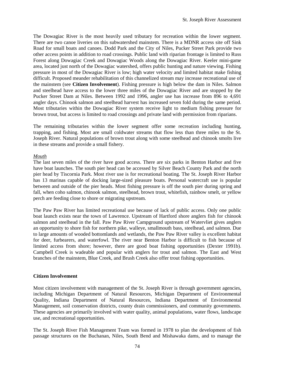The Dowagiac River is the most heavily used tributary for recreation within the lower segment. There are two canoe liveries on this subwatershed mainstem. There is a MDNR access site off Sink Road for small boats and canoes. Dodd Park and the City of Niles, Pucker Street Park provide two other access points in addition to road crossings. Public land with riparian frontage is limited to Russ Forest along Dowagiac Creek and Dowagiac Woods along the Dowagiac River. Keeler mini-game area, located just north of the Dowagiac watershed, offers public hunting and nature viewing. Fishing pressure in most of the Dowagiac River is low; high water velocity and limited habitat make fishing difficult. Proposed meander rehabilitation of this channelized stream may increase recreational use of the mainstem (see **Citizen Involvement**). Fishing pressure is high below the dam in Niles. Salmon and steelhead have access to the lower three miles of the Dowagiac River and are stopped by the Pucker Street Dam at Niles. Between 1992 and 1996, angler use has increase from 896 to 4,691 angler days. Chinook salmon and steelhead harvest has increased seven fold during the same period. Most tributaries within the Dowagiac River system receive light to medium fishing pressure for brown trout, but access is limited to road crossings and private land with permission from riparians.

The remaining tributaries within the lower segment offer some recreation including hunting, trapping, and fishing. Most are small coldwater streams that flow less than three miles to the St. Joseph River. Natural populations of brown trout along with some steelhead and chinook smolts live in these streams and provide a small fishery.

## *Mouth*

The last seven miles of the river have good access. There are six parks in Benton Harbor and five have boat launches. The south pier head can be accessed by Silver Beach County Park and the north pier head by Tiscornia Park. Most river use is for recreational boating. The St. Joseph River Harbor has 13 marinas capable of docking large-sized pleasure boats. Personal watercraft use is popular between and outside of the pier heads. Most fishing pressure is off the south pier during spring and fall, when coho salmon, chinook salmon, steelhead, brown trout, whitefish, rainbow smelt, or yellow perch are feeding close to shore or migrating upstream.

The Paw Paw River has limited recreational use because of lack of public access. Only one public boat launch exists near the town of Lawrence. Upstream of Hartford shore anglers fish for chinook salmon and steelhead in the fall. Paw Paw River Campground upstream of Watervliet gives anglers an opportunity to shore fish for northern pike, walleye, smallmouth bass, steelhead, and salmon. Due to large amounts of wooded bottomlands and wetlands, the Paw Paw River valley is excellent habitat for deer, furbearers, and waterfowl. The river near Benton Harbor is difficult to fish because of limited access from shore; however, there are good boat fishing opportunities (Dexter 1991b). Campbell Creek is wadeable and popular with anglers for trout and salmon. The East and West branches of the mainstem, Blue Creek, and Brush Creek also offer trout fishing opportunities.

## **Citizen Involvement**

Most citizen involvement with management of the St. Joseph River is through government agencies, including Michigan Department of Natural Resources, Michigan Department of Environmental Quality, Indiana Department of Natural Resources, Indiana Department of Environmental Management, soil conservation districts, county drain commissioners, and community governments. These agencies are primarily involved with water quality, animal populations, water flows, landscape use, and recreational opportunities.

The St. Joseph River Fish Management Team was formed in 1978 to plan the development of fish passage structures on the Buchanan, Niles, South Bend and Mishawaka dams, and to manage the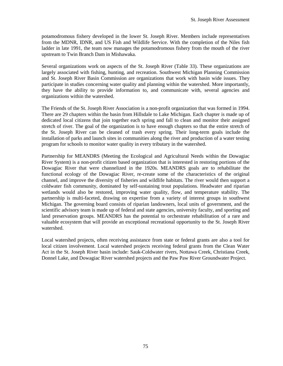potamodromous fishery developed in the lower St. Joseph River. Members include representatives from the MDNR, IDNR, and US Fish and Wildlife Service. With the completion of the Niles fish ladder in late 1991, the team now manages the potamodromous fishery from the mouth of the river upstream to Twin Branch Dam in Mishawaka.

Several organizations work on aspects of the St. Joseph River (Table 33). These organizations are largely associated with fishing, hunting, and recreation. Southwest Michigan Planning Commission and St. Joseph River Basin Commission are organizations that work with basin wide issues. They participate in studies concerning water quality and planning within the watershed. More importantly, they have the ability to provide information to, and communicate with, several agencies and organizations within the watershed.

The Friends of the St. Joseph River Association is a non-profit organization that was formed in 1994. There are 29 chapters within the basin from Hillsdale to Lake Michigan. Each chapter is made up of dedicated local citizens that join together each spring and fall to clean and monitor their assigned stretch of river. The goal of the organization is to have enough chapters so that the entire stretch of the St. Joseph River can be cleaned of trash every spring. Their long-term goals include the installation of parks and launch sites in communities along the river and production of a water testing program for schools to monitor water quality in every tributary in the watershed.

Partnership for MEANDRS (Meeting the Ecological and Agricultural Needs within the Dowagiac River System) is a non-profit citizen based organization that is interested in restoring portions of the Dowagiac River that were channelized in the 1920s. MEANDRS goals are to rehabilitate the functional ecology of the Dowagiac River, re-create some of the characteristics of the original channel, and improve the diversity of fisheries and wildlife habitats. The river would then support a coldwater fish community, dominated by self-sustaining trout populations. Headwater and riparian wetlands would also be restored, improving water quality, flow, and temperature stability. The partnership is multi-faceted, drawing on expertise from a variety of interest groups in southwest Michigan. The governing board consists of riparian landowners, local units of government, and the scientific advisory team is made up of federal and state agencies, university faculty, and sporting and land preservation groups. MEANDRS has the potential to orchestrate rehabilitation of a rare and valuable ecosystem that will provide an exceptional recreational opportunity to the St. Joseph River watershed.

Local watershed projects, often receiving assistance from state or federal grants are also a tool for local citizen involvement. Local watershed projects receiving federal grants from the Clean Water Act in the St. Joseph River basin include: Sauk-Coldwater rivers, Nottawa Creek, Christiana Creek, Donnel Lake, and Dowagiac River watershed projects and the Paw Paw River Groundwater Project.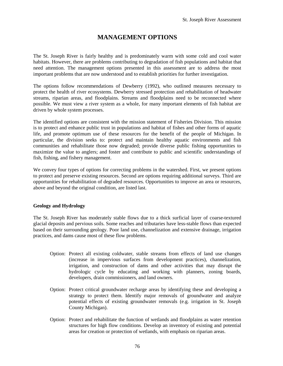# **MANAGEMENT OPTIONS**

The St. Joseph River is fairly healthy and is predominately warm with some cold and cool water habitats. However, there are problems contributing to degradation of fish populations and habitat that need attention. The management options presented in this assessment are to address the most important problems that are now understood and to establish priorities for further investigation.

The options follow recommendations of Dewberry (1992), who outlined measures necessary to protect the health of river ecosystems. Dewberry stressed protection and rehabilitation of headwater streams, riparian areas, and floodplains. Streams and floodplains need to be reconnected where possible. We must view a river system as a whole, for many important elements of fish habitat are driven by whole system processes.

The identified options are consistent with the mission statement of Fisheries Division. This mission is to protect and enhance public trust in populations and habitat of fishes and other forms of aquatic life, and promote optimum use of these resources for the benefit of the people of Michigan. In particular, the division seeks to: protect and maintain healthy aquatic environments and fish communities and rehabilitate those now degraded; provide diverse public fishing opportunities to maximize the value to anglers; and foster and contribute to public and scientific understandings of fish, fishing, and fishery management.

We convey four types of options for correcting problems in the watershed. First, we present options to protect and preserve existing resources. Second are options requiring additional surveys. Third are opportunities for rehabilitation of degraded resources. Opportunities to improve an area or resources, above and beyond the original condition, are listed last.

## **Geology and Hydrology**

The St. Joseph River has moderately stable flows due to a thick surficial layer of coarse-textured glacial deposits and pervious soils. Some reaches and tributaries have less-stable flows than expected based on their surrounding geology. Poor land use, channelization and extensive drainage, irrigation practices, and dams cause most of these flow problems.

- Option: Protect all existing coldwater, stable streams from effects of land use changes (increase in impervious surfaces from development practices), channelization, irrigation, and construction of dams and other activities that may disrupt the hydrologic cycle by educating and working with planners, zoning boards, developers, drain commissioners, and land owners.
- Option: Protect critical groundwater recharge areas by identifying these and developing a strategy to protect them. Identify major removals of groundwater and analyze potential effects of existing groundwater removals (e.g. irrigation in St. Joseph County Michigan).
- Option: Protect and rehabilitate the function of wetlands and floodplains as water retention structures for high flow conditions. Develop an inventory of existing and potential areas for creation or protection of wetlands, with emphasis on riparian areas.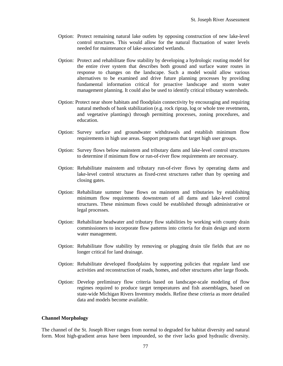- Option: Protect remaining natural lake outlets by opposing construction of new lake-level control structures. This would allow for the natural fluctuation of water levels needed for maintenance of lake-associated wetlands.
- Option: Protect and rehabilitate flow stability by developing a hydrologic routing model for the entire river system that describes both ground and surface water routes in response to changes on the landscape. Such a model would allow various alternatives to be examined and drive future planning processes by providing fundamental information critical for proactive landscape and storm water management planning. It could also be used to identify critical tributary watersheds.
- Option: Protect near shore habitats and floodplain connectivity by encouraging and requiring natural methods of bank stabilization (e.g. rock riprap, log or whole tree revetments, and vegetative plantings) through permitting processes, zoning procedures, and education.
- Option: Survey surface and groundwater withdrawals and establish minimum flow requirements in high use areas. Support programs that target high user groups.
- Option: Survey flows below mainstem and tributary dams and lake-level control structures to determine if minimum flow or run-of-river flow requirements are necessary.
- Option: Rehabilitate mainstem and tributary run-of-river flows by operating dams and lake-level control structures as fixed-crest structures rather than by opening and closing gates.
- Option: Rehabilitate summer base flows on mainstem and tributaries by establishing minimum flow requirements downstream of all dams and lake-level control structures. These minimum flows could be established through administrative or legal processes.
- Option: Rehabilitate headwater and tributary flow stabilities by working with county drain commissioners to incorporate flow patterns into criteria for drain design and storm water management.
- Option: Rehabilitate flow stability by removing or plugging drain tile fields that are no longer critical for land drainage.
- Option: Rehabilitate developed floodplains by supporting policies that regulate land use activities and reconstruction of roads, homes, and other structures after large floods.
- Option: Develop preliminary flow criteria based on landscape-scale modeling of flow regimes required to produce target temperatures and fish assemblages, based on state-wide Michigan Rivers Inventory models. Refine these criteria as more detailed data and models become available.

#### **Channel Morphology**

The channel of the St. Joseph River ranges from normal to degraded for habitat diversity and natural form. Most high-gradient areas have been impounded, so the river lacks good hydraulic diversity.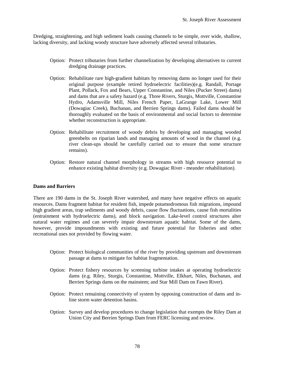Dredging, straightening, and high sediment loads causing channels to be simple, over wide, shallow, lacking diversity, and lacking woody structure have adversely affected several tributaries.

- Option: Protect tributaries from further channelization by developing alternatives to current dredging drainage practices.
- Option: Rehabilitate rare high-gradient habitats by removing dams no longer used for their original purpose (example retired hydroelectric facilities)(e.g. Randall, Portage Plant, Pollack, Fox and Bears, Upper Constantine, and Niles (Pucker Street) dams) and dams that are a safety hazard (e.g. Three Rivers, Sturgis, Mottville, Constantine Hydro, Adamsville Mill, Niles French Paper, LaGrange Lake, Lower Mill (Dowagiac Creek), Buchanan, and Berrien Springs dams). Failed dams should be thoroughly evaluated on the basis of environmental and social factors to determine whether reconstruction is appropriate.
- Option: Rehabilitate recruitment of woody debris by developing and managing wooded greenbelts on riparian lands and managing amounts of wood in the channel (e.g. river clean-ups should be carefully carried out to ensure that some structure remains).
- Option: Restore natural channel morphology in streams with high resource potential to enhance existing habitat diversity (e.g. Dowagiac River - meander rehabilitation).

## **Dams and Barriers**

There are 190 dams in the St. Joseph River watershed, and many have negative effects on aquatic resources. Dams fragment habitat for resident fish, impede potamodromous fish migrations, impound high gradient areas, trap sediments and woody debris, cause flow fluctuations, cause fish mortalities (entrainment with hydroelectric dams), and block navigation. Lake-level control structures alter natural water regimes and can severely impair downstream aquatic habitat. Some of the dams, however, provide impoundments with existing and future potential for fisheries and other recreational uses not provided by flowing water.

- Option: Protect biological communities of the river by providing upstream and downstream passage at dams to mitigate for habitat fragmentation.
- Option: Protect fishery resources by screening turbine intakes at operating hydroelectric dams (e.g. Riley, Sturgis, Constantine, Mottville, Elkhart, Niles, Buchanan, and Berrien Springs dams on the mainstem; and Star Mill Dam on Fawn River).
- Option: Protect remaining connectivity of system by opposing construction of dams and inline storm water detention basins.
- Option: Survey and develop procedures to change legislation that exempts the Riley Dam at Union City and Berrien Springs Dam from FERC licensing and review.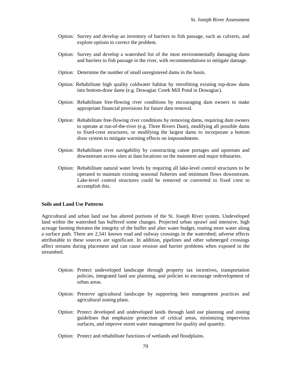- Option: Survey and develop an inventory of barriers to fish passage, such as culverts, and explore options to correct the problem.
- Option: Survey and develop a watershed list of the most environmentally damaging dams and barriers to fish passage in the river, with recommendations to mitigate damage.
- Option: Determine the number of small unregistered dams in the basin.
- Option: Rehabilitate high quality coldwater habitat by retrofitting existing top-draw dams into bottom-draw dams (e.g. Dowagiac Creek Mill Pond in Dowagiac).
- Option: Rehabilitate free-flowing river conditions by encouraging dam owners to make appropriate financial provisions for future dam removal.
- Option: Rehabilitate free-flowing river conditions by removing dams, requiring dam owners to operate at run-of-the-river (e.g. Three Rivers Dam), modifying all possible dams to fixed-crest structures, or modifying the largest dams to incorporate a bottom draw system to mitigate warming effects on impoundments.
- Option: Rehabilitate river navigability by constructing canoe portages and upstream and downstream access sites at dam locations on the mainstem and major tributaries.
- Option: Rehabilitate natural water levels by requiring all lake-level control structures to be operated to maintain existing seasonal fisheries and minimum flows downstream. Lake-level control structures could be removed or converted to fixed crest to accomplish this.

## **Soils and Land Use Patterns**

Agricultural and urban land use has altered portions of the St. Joseph River system. Undeveloped land within the watershed has buffered some changes. Projected urban sprawl and intensive, high acreage farming threaten the integrity of the buffer and alter water budget, routing more water along a surface path. There are 2,541 known road and railway crossings in the watershed; adverse effects attributable to these sources are significant. In addition, pipelines and other submerged crossings affect streams during placement and can cause erosion and barrier problems when exposed in the streambed.

- Option: Protect undeveloped landscape through property tax incentives, transportation policies, integrated land use planning, and policies to encourage redevelopment of urban areas.
- Option: Preserve agricultural landscape by supporting best management practices and agricultural zoning plans.
- Option: Protect developed and undeveloped lands through land use planning and zoning guidelines that emphasize protection of critical areas, minimizing impervious surfaces, and improve storm water management for quality and quantity.
- Option: Protect and rehabilitate functions of wetlands and floodplains.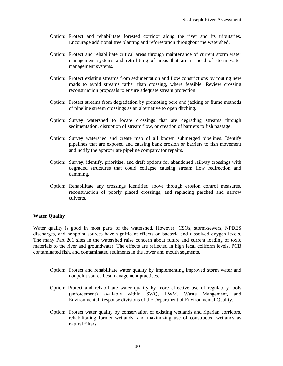- Option: Protect and rehabilitate forested corridor along the river and its tributaries. Encourage additional tree planting and reforestation throughout the watershed.
- Option: Protect and rehabilitate critical areas through maintenance of current storm water management systems and retrofitting of areas that are in need of storm water management systems.
- Option: Protect existing streams from sedimentation and flow constrictions by routing new roads to avoid streams rather than crossing, where feasible. Review crossing reconstruction proposals to ensure adequate stream protection.
- Option: Protect streams from degradation by promoting bore and jacking or flume methods of pipeline stream crossings as an alternative to open ditching.
- Option: Survey watershed to locate crossings that are degrading streams through sedimentation, disruption of stream flow, or creation of barriers to fish passage.
- Option: Survey watershed and create map of all known submerged pipelines. Identify pipelines that are exposed and causing bank erosion or barriers to fish movement and notify the appropriate pipeline company for repairs.
- Option: Survey, identify, prioritize, and draft options for abandoned railway crossings with degraded structures that could collapse causing stream flow redirection and damming.
- Option: Rehabilitate any crossings identified above through erosion control measures, reconstruction of poorly placed crossings, and replacing perched and narrow culverts.

## **Water Quality**

Water quality is good in most parts of the watershed. However, CSOs, storm-sewers, NPDES discharges, and nonpoint sources have significant effects on bacteria and dissolved oxygen levels. The many Part 201 sites in the watershed raise concern about future and current loading of toxic materials to the river and groundwater. The effects are reflected in high fecal coliform levels, PCB contaminated fish, and contaminated sediments in the lower and mouth segments.

- Option: Protect and rehabilitate water quality by implementing improved storm water and nonpoint source best management practices.
- Option: Protect and rehabilitate water quality by more effective use of regulatory tools (enforcement) available within SWQ, LWM, Waste Mangement, and Environmental Response divisions of the Department of Environmental Quality.
- Option: Protect water quality by conservation of existing wetlands and riparian corridors, rehabilitating former wetlands, and maximizing use of constructed wetlands as natural filters.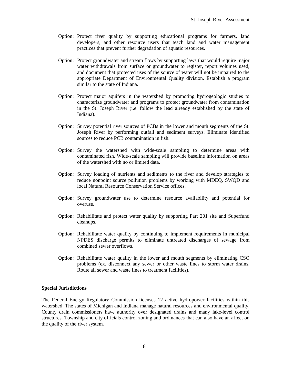- Option: Protect river quality by supporting educational programs for farmers, land developers, and other resource users that teach land and water management practices that prevent further degradation of aquatic resources.
- Option: Protect groundwater and stream flows by supporting laws that would require major water withdrawals from surface or groundwater to register, report volumes used, and document that protected uses of the source of water will not be impaired to the appropriate Department of Environmental Quality division. Establish a program similar to the state of Indiana.
- Option: Protect major aquifers in the watershed by promoting hydrogeologic studies to characterize groundwater and programs to protect groundwater from contamination in the St. Joseph River (i.e. follow the lead already established by the state of Indiana).
- Option: Survey potential river sources of PCBs in the lower and mouth segments of the St. Joseph River by performing outfall and sediment surveys. Eliminate identified sources to reduce PCB contamination in fish.
- Option: Survey the watershed with wide-scale sampling to determine areas with contaminated fish. Wide-scale sampling will provide baseline information on areas of the watershed with no or limited data.
- Option: Survey loading of nutrients and sediments to the river and develop strategies to reduce nonpoint source pollution problems by working with MDEQ, SWQD and local Natural Resource Conservation Service offices.
- Option: Survey groundwater use to determine resource availability and potential for overuse.
- Option: Rehabilitate and protect water quality by supporting Part 201 site and Superfund cleanups.
- Option: Rehabilitate water quality by continuing to implement requirements in municipal NPDES discharge permits to eliminate untreated discharges of sewage from combined sewer overflows.
- Option: Rehabilitate water quality in the lower and mouth segments by eliminating CSO problems (ex. disconnect any sewer or other waste lines to storm water drains. Route all sewer and waste lines to treatment facilities).

#### **Special Jurisdictions**

The Federal Energy Regulatory Commission licenses 12 active hydropower facilities within this watershed. The states of Michigan and Indiana manage natural resources and environmental quality. County drain commissioners have authority over designated drains and many lake-level control structures. Township and city officials control zoning and ordinances that can also have an affect on the quality of the river system.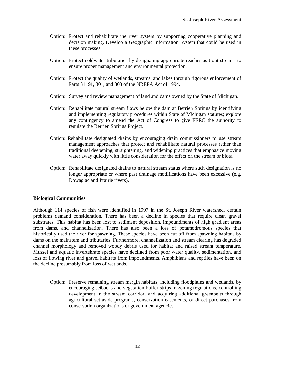- Option: Protect and rehabilitate the river system by supporting cooperative planning and decision making. Develop a Geographic Information System that could be used in these processes.
- Option: Protect coldwater tributaries by designating appropriate reaches as trout streams to ensure proper management and environmental protection.
- Option: Protect the quality of wetlands, streams, and lakes through rigorous enforcement of Parts 31, 91, 301, and 303 of the NREPA Act of 1994.
- Option: Survey and review management of land and dams owned by the State of Michigan.
- Option: Rehabilitate natural stream flows below the dam at Berrien Springs by identifying and implementing regulatory procedures within State of Michigan statutes; explore any contingency to amend the Act of Congress to give FERC the authority to regulate the Berrien Springs Project.
- Option: Rehabilitate designated drains by encouraging drain commissioners to use stream management approaches that protect and rehabilitate natural processes rather than traditional deepening, straightening, and widening practices that emphasize moving water away quickly with little consideration for the effect on the stream or biota.
- Option: Rehabilitate designated drains to natural stream status where such designation is no longer appropriate or where past drainage modifications have been excessive (e.g. Dowagiac and Prairie rivers).

## **Biological Communities**

Although 114 species of fish were identified in 1997 in the St. Joseph River watershed, certain problems demand consideration. There has been a decline in species that require clean gravel substrates. This habitat has been lost to sediment deposition, impoundments of high gradient areas from dams, and channelization. There has also been a loss of potamodromous species that historically used the river for spawning. These species have been cut off from spawning habitats by dams on the mainstem and tributaries. Furthermore, channelization and stream clearing has degraded channel morphology and removed woody debris used for habitat and raised stream temperature. Mussel and aquatic invertebrate species have declined from poor water quality, sedimentation, and loss of flowing river and gravel habitats from impoundments. Amphibians and reptiles have been on the decline presumably from loss of wetlands.

Option: Preserve remaining stream margin habitats, including floodplains and wetlands, by encouraging setbacks and vegetation buffer strips in zoning regulations, controlling development in the stream corridor, and acquiring additional greenbelts through agricultural set aside programs, conservation easements, or direct purchases from conservation organizations or government agencies.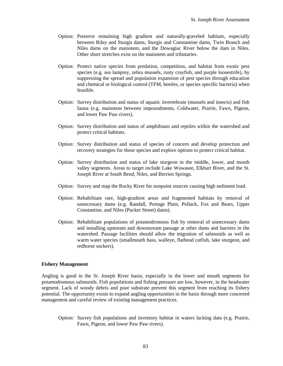- Option: Preserve remaining high gradient and naturally-graveled habitats, especially between Riley and Sturgis dams, Sturgis and Constantine dams, Twin Branch and Niles dams on the mainstem, and the Dowagiac River below the dam in Niles. Other short stretches exist on the mainstem and tributaries.
- Option: Protect native species from predation, competition, and habitat from exotic pest species (e.g. sea lamprey, zebra mussels, rusty crayfish, and purple loosestrife), by suppressing the spread and population expansion of pest species through education and chemical or biological control (TFM, beetles, or species specific bacteria) when feasible.
- Option: Survey distribution and status of aquatic invertebrate (mussels and insects) and fish fauna (e.g. mainstem between impoundments, Coldwater, Prairie, Fawn, Pigeon, and lower Paw Paw rivers).
- Option: Survey distribution and status of amphibians and reptiles within the watershed and protect critical habitats.
- Option: Survey distribution and status of species of concern and develop protection and recovery strategies for those species and explore options to protect critical habitat.
- Option: Survey distribution and status of lake sturgeon in the middle, lower, and mouth valley segments. Areas to target include Lake Wawasee, Elkhart River, and the St. Joseph River at South Bend, Niles, and Berrien Springs.
- Option: Survey and map the Rocky River for nonpoint sources causing high sediment load.
- Option: Rehabilitate rare, high-gradient areas and fragmented habitats by removal of unnecessary dams (e.g. Randall, Portage Plant, Pollack, Fox and Bears, Upper Constantine, and Niles (Pucker Street) dams).
- Option: Rehabilitate populations of potamodromous fish by removal of unnecessary dams and installing upstream and downstream passage at other dams and barriers in the watershed. Passage facilities should allow the migration of salmonids as well as warm water species (smallmouth bass, walleye, flathead catfish, lake sturgeon, and redhorse suckers).

#### **Fishery Management**

Angling is good in the St. Joseph River basin, especially in the lower and mouth segments for potamodromous salmonids. Fish populations and fishing pressure are low, however, in the headwater segment. Lack of woody debris and poor substrate prevent this segment from reaching its fishery potential. The opportunity exists to expand angling opportunities in the basin through more concerted management and careful review of existing management practices.

Option: Survey fish populations and inventory habitat in waters lacking data (e.g. Prairie, Fawn, Pigeon, and lower Paw Paw rivers).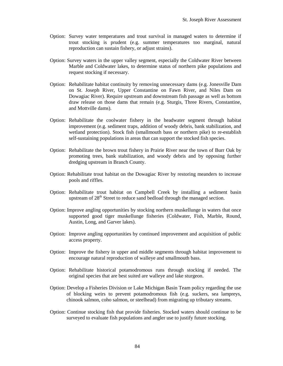- Option: Survey water temperatures and trout survival in managed waters to determine if trout stocking is prudent (e.g. summer temperatures too marginal, natural reproduction can sustain fishery, or adjust strains).
- Option: Survey waters in the upper valley segment, especially the Coldwater River between Marble and Coldwater lakes, to determine status of northern pike populations and request stocking if necessary.
- Option: Rehabilitate habitat continuity by removing unnecessary dams (e.g. Jonesville Dam on St. Joseph River, Upper Constantine on Fawn River, and Niles Dam on Dowagiac River). Require upstream and downstream fish passage as well as bottom draw release on those dams that remain (e.g. Sturgis, Three Rivers, Constantine, and Mottville dams).
- Option: Rehabilitate the coolwater fishery in the headwater segment through habitat improvement (e.g. sediment traps, addition of woody debris, bank stabilization, and wetland protection). Stock fish (smallmouth bass or northern pike) to re-establish self-sustaining populations in areas that can support the stocked fish species.
- Option: Rehabilitate the brown trout fishery in Prairie River near the town of Burr Oak by promoting trees, bank stabilization, and woody debris and by opposing further dredging upstream in Branch County.
- Option: Rehabilitate trout habitat on the Dowagiac River by restoring meanders to increase pools and riffles.
- Option: Rehabilitate trout habitat on Campbell Creek by installing a sediment basin upstream of  $28<sup>th</sup>$  Street to reduce sand bedload through the managed section.
- Option: Improve angling opportunities by stocking northern muskellunge in waters that once supported good tiger muskellunge fisheries (Coldwater, Fish, Marble, Round, Austin, Long, and Garver lakes).
- Option: Improve angling opportunities by continued improvement and acquisition of public access property.
- Option: Improve the fishery in upper and middle segments through habitat improvement to encourage natural reproduction of walleye and smallmouth bass.
- Option: Rehabilitate historical potamodromous runs through stocking if needed. The original species that are best suited are walleye and lake sturgeon.
- Option: Develop a Fisheries Division or Lake Michigan Basin Team policy regarding the use of blocking weirs to prevent potamodromous fish (e.g. suckers, sea lampreys, chinook salmon, coho salmon, or steelhead) from migrating up tributary streams.
- Option: Continue stocking fish that provide fisheries. Stocked waters should continue to be surveyed to evaluate fish populations and angler use to justify future stocking.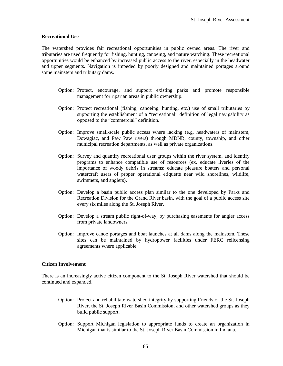#### **Recreational Use**

The watershed provides fair recreational opportunities in public owned areas. The river and tributaries are used frequently for fishing, hunting, canoeing, and nature watching. These recreational opportunities would be enhanced by increased public access to the river, especially in the headwater and upper segments. Navigation is impeded by poorly designed and maintained portages around some mainstem and tributary dams.

- Option: Protect, encourage, and support existing parks and promote responsible management for riparian areas in public ownership.
- Option: Protect recreational (fishing, canoeing, hunting, etc.) use of small tributaries by supporting the establishment of a "recreational" definition of legal navigability as opposed to the "commercial" definition.
- Option: Improve small-scale public access where lacking (e.g. headwaters of mainstem, Dowagiac, and Paw Paw rivers) through MDNR, county, township, and other municipal recreation departments, as well as private organizations.
- Option: Survey and quantify recreational user groups within the river system, and identify programs to enhance compatible use of resources (ex. educate liveries of the importance of woody debris in streams; educate pleasure boaters and personal watercraft users of proper operational etiquette near wild shorelines, wildlife, swimmers, and anglers).
- Option: Develop a basin public access plan similar to the one developed by Parks and Recreation Division for the Grand River basin, with the goal of a public access site every six miles along the St. Joseph River.
- Option: Develop a stream public right-of-way, by purchasing easements for angler access from private landowners.
- Option: Improve canoe portages and boat launches at all dams along the mainstem. These sites can be maintained by hydropower facilities under FERC relicensing agreements where applicable.

## **Citizen Involvement**

There is an increasingly active citizen component to the St. Joseph River watershed that should be continued and expanded.

- Option: Protect and rehabilitate watershed integrity by supporting Friends of the St. Joseph River, the St. Joseph River Basin Commission, and other watershed groups as they build public support.
- Option: Support Michigan legislation to appropriate funds to create an organization in Michigan that is similar to the St. Joseph River Basin Commission in Indiana.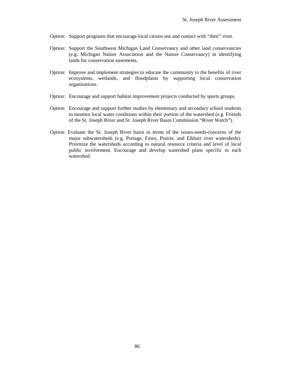- Option: Support programs that encourage local citizen use and contact with "their" river.
- Option: Support the Southwest Michigan Land Conservancy and other land conservancies (e.g. Michigan Nature Association and the Nature Conservancy) in identifying lands for conservation easements.
- Option: Improve and implement strategies to educate the community to the benefits of river ecosystems, wetlands, and floodplains by supporting local conservation organizations.
- Option: Encourage and support habitat improvement projects conducted by sports groups.
- Option: Encourage and support further studies by elementary and secondary school students to monitor local water conditions within their portion of the watershed (e.g. Friends of the St. Joseph River and St. Joseph River Basin Commission "River Watch").
- Option: Evaluate the St. Joseph River basin in terms of the issues-needs-concerns of the major subwatersheds (e.g. Portage, Fawn, Prairie, and Elkhart river watersheds). Prioritize the watersheds according to natural resource criteria and level of local public involvement. Encourage and develop watershed plans specific to each watershed.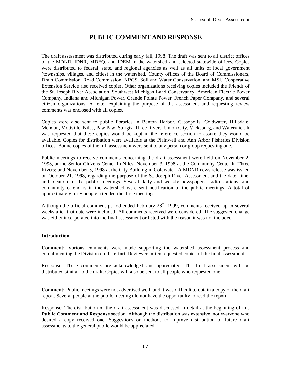# **PUBLIC COMMENT AND RESPONSE**

The draft assessment was distributed during early fall, 1998. The draft was sent to all district offices of the MDNR, IDNR, MDEQ, and IDEM in the watershed and selected statewide offices. Copies were distributed to federal, state, and regional agencies as well as all units of local government (townships, villages, and cities) in the watershed. County offices of the Board of Commissioners, Drain Commission, Road Commission, NRCS, Soil and Water Conservation, and MSU Cooperative Extension Service also received copies. Other organizations receiving copies included the Friends of the St. Joseph River Association, Southwest Michigan Land Conservancy, American Electric Power Company, Indiana and Michigan Power, Grande Pointe Power, French Paper Company, and several citizen organizations. A letter explaining the purpose of the assessment and requesting review comments was enclosed with all copies.

Copies were also sent to public libraries in Benton Harbor, Cassopolis, Coldwater, Hillsdale, Mendon, Mottville, Niles, Paw Paw, Sturgis, Three Rivers, Union City, Vicksburg, and Watervliet. It was requested that these copies would be kept in the reference section to assure they would be available. Copies for distribution were available at the Plainwell and Ann Arbor Fisheries Division offices. Bound copies of the full assessment were sent to any person or group requesting one.

Public meetings to receive comments concerning the draft assessment were held on November 2, 1998, at the Senior Citizens Center in Niles; November 3, 1998 at the Community Center in Three Rivers; and November 5, 1998 at the City Building in Coldwater. A MDNR news release was issued on October 21, 1998, regarding the purpose of the St. Joseph River Assessment and the date, time, and location of the public meetings. Several daily and weekly newspapers, radio stations, and community calendars in the watershed were sent notification of the public meetings. A total of approximately forty people attended the three meetings.

Although the official comment period ended February  $28<sup>th</sup>$ , 1999, comments received up to several weeks after that date were included. All comments received were considered. The suggested change was either incorporated into the final assessment or listed with the reason it was not included.

## **Introduction**

**Comment:** Various comments were made supporting the watershed assessment process and complimenting the Division on the effort. Reviewers often requested copies of the final assessment.

Response: These comments are acknowledged and appreciated. The final assessment will be distributed similar to the draft. Copies will also be sent to all people who requested one.

**Comment:** Public meetings were not advertised well, and it was difficult to obtain a copy of the draft report. Several people at the public meeting did not have the opportunity to read the report.

Response: The distribution of the draft assessment was discussed in detail at the beginning of this **Public Comment and Response** section. Although the distribution was extensive, not everyone who desired a copy received one. Suggestions on methods to improve distribution of future draft assessments to the general public would be appreciated.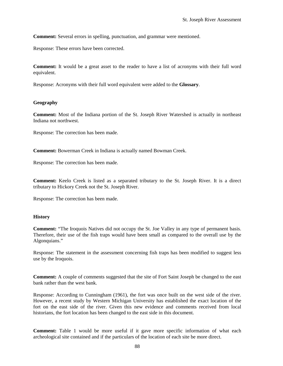**Comment:** Several errors in spelling, punctuation, and grammar were mentioned.

Response: These errors have been corrected.

**Comment:** It would be a great asset to the reader to have a list of acronyms with their full word equivalent.

Response: Acronyms with their full word equivalent were added to the **Glossary**.

## **Geography**

**Comment:** Most of the Indiana portion of the St. Joseph River Watershed is actually in northeast Indiana not northwest.

Response: The correction has been made.

**Comment:** Bowerman Creek in Indiana is actually named Bowman Creek.

Response: The correction has been made.

**Comment:** Keelo Creek is listed as a separated tributary to the St. Joseph River. It is a direct tributary to Hickory Creek not the St. Joseph River.

Response: The correction has been made.

#### **History**

**Comment:** "The Iroquois Natives did not occupy the St. Joe Valley in any type of permanent basis. Therefore, their use of the fish traps would have been small as compared to the overall use by the Algonquians."

Response: The statement in the assessment concerning fish traps has been modified to suggest less use by the Iroquois.

**Comment:** A couple of comments suggested that the site of Fort Saint Joseph be changed to the east bank rather than the west bank.

Response: According to Cunningham (1961), the fort was once built on the west side of the river. However, a recent study by Western Michigan University has established the exact location of the fort on the east side of the river. Given this new evidence and comments received from local historians, the fort location has been changed to the east side in this document.

**Comment:** Table 1 would be more useful if it gave more specific information of what each archeological site contained and if the particulars of the location of each site be more direct.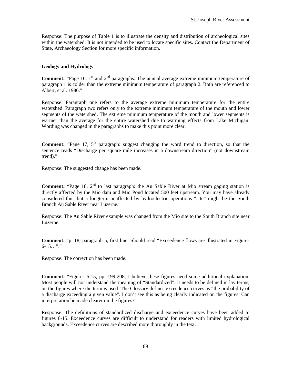Response: The purpose of Table 1 is to illustrate the density and distribution of archeological sites within the watershed. It is not intended to be used to locate specific sites. Contact the Department of State, Archaeology Section for more specific information.

## **Geology and Hydrology**

**Comment:** "Page 16, 1<sup>st</sup> and 2<sup>nd</sup> paragraphs: The annual average extreme minimum temperature of paragraph 1 is colder than the extreme minimum temperature of paragraph 2. Both are referenced to Albert, et al. 1986."

Response: Paragraph one refers to the average extreme minimum temperature for the entire watershed. Paragraph two refers only to the extreme minimum temperature of the mouth and lower segments of the watershed. The extreme minimum temperature of the mouth and lower segments is warmer than the average for the entire watershed due to warming effects from Lake Michigan. Wording was changed in the paragraphs to make this point more clear.

**Comment:** "Page 17, 5<sup>th</sup> paragraph: suggest changing the word trend to direction, so that the sentence reads "Discharge per square mile increases in a downstream direction" (not downstream trend)."

Response: The suggested change has been made.

**Comment:** "Page 18, 2<sup>nd</sup> to last paragraph: the Au Sable River at Mio stream gaging station is directly affected by the Mio dam and Mio Pond located 500 feet upstream. You may have already considered this, but a longterm unaffected by hydroelectric operations "site" might be the South Branch Au Sable River near Luzerne."

Response: The Au Sable River example was changed from the Mio site to the South Branch site near Luzerne.

**Comment:** "p. 18, paragraph 5, first line. Should read "Exceedence flows are illustrated in Figures  $6-15...$ "

Response: The correction has been made.

**Comment:** "Figures 6-15, pp. 199-208; I believe these figures need some additional explanation. Most people will not understand the meaning of "Standardized". It needs to be defined in lay terms, on the figures where the term is used. The Glossary defines exceedence curves as "the probability of a discharge exceeding a given value". I don't see this as being clearly indicated on the figures. Can interpretation be made clearer on the figures?"

Response: The definitions of standardized discharge and exceedence curves have been added to figures 6-15. Exceedence curves are difficult to understand for readers with limited hydrological backgrounds. Exceedence curves are described more thoroughly in the text.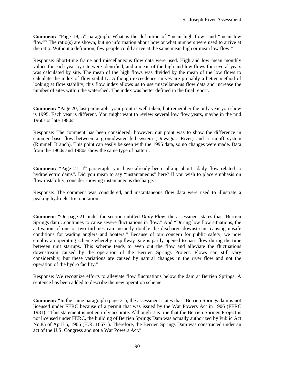**Comment:** "Page 19, 5<sup>th</sup> paragraph: What is the definition of "mean high flow" and "mean low" flow"? The ratio(s) are shown, but no information about how or what numbers were used to arrive at the ratio. Without a definition, few people could arrive at the same mean high or mean low flow."

Response: Short-time frame and miscellaneous flow data were used. High and low mean monthly values for each year by site were identified, and a mean of the high and low flows for several years was calculated by site. The mean of the high flows was divided by the mean of the low flows to calculate the index of flow stability. Although exceedence curves are probably a better method of looking at flow stability, this flow index allows us to use miscellaneous flow data and increase the number of sites within the watershed. The index was better defined in the final report.

**Comment:** "Page 20, last paragraph: your point is well taken, but remember the only year you show is 1995. Each year is different. You might want to review several low flow years, maybe in the mid 1960s or late 1980s".

Response: The comment has been considered; however, our point was to show the difference in summer base flow between a groundwater fed system (Dowagiac River) and a runoff system (Rimmell Branch). This point can easily be seen with the 1995 data, so no changes were made. Data from the 1960s and 1980s show the same type of pattern.

**Comment:** "Page 21, 1<sup>st</sup> paragraph: you have already been talking about "daily flow related to hydroelectric dams". Did you mean to say "instantaneous" here? If you wish to place emphasis on flow instability, consider showing instantaneous discharge."

Response: The comment was considered, and instantaneous flow data were used to illustrate a peaking hydroelectric operation.

**Comment**: "On page 21 under the section entitled *Daily Flow*, the assessment states that "Berrien Springs dam…continues to cause severe fluctuations in flow." And "During low flow situations, the activation of one or two turbines can instantly double the discharge downstream causing unsafe conditions for wading anglers and boaters." Because of our concern for public safety, we now employ an operating scheme whereby a spillway gate is partly opened to pass flow during the time between unit startups. This scheme tends to even out the flow and alleviate the fluctuations downstream caused by the operation of the Berrien Springs Project. Flows can still vary considerably, but these variations are caused by natural changes in the river flow and not the operation of the hydro facility."

Response: We recognize efforts to alleviate flow fluctuations below the dam at Berrien Springs. A sentence has been added to describe the new operation scheme.

**Comment:** "In the same paragraph (page 21), the assessment states that "Berrien Springs dam is not licensed under FERC because of a permit that was issued by the War Powers Act in 1906 (FERC 1981)." This statement is not entirely accurate. Although it is true that the Berrien Springs Project is not licensed under FERC, the building of Berrien Springs Dam was actually authorized by Public Act No.85 of April 5, 1906 (H.R. 16671). Therefore, the Berrien Springs Dam was constructed under an act of the U.S. Congress and not a War Powers Act."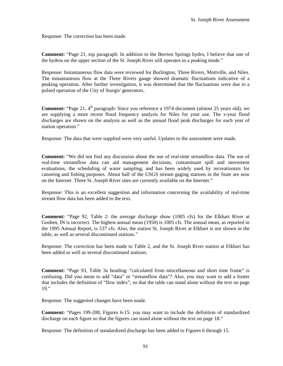Response: The correction has been made.

**Comment:** "Page 21, top paragraph: In addition to the Berrien Springs hydro, I believe that one of the hydros on the upper section of the St. Joseph River still operates in a peaking mode."

Response: Instantaneous flow data were reviewed for Burlington, Three Rivers, Mottville, and Niles. The instantaneous flow at the Three Rivers gauge showed dramatic fluctuations indicative of a peaking operation. After further investigation, it was determined that the fluctuations were due to a pulsed operation of the City of Sturgis' generators.

**Comment:** "Page 21, 4<sup>th</sup> paragraph: Since you reference a 1974 document (almost 25 years old), we are supplying a more recent flood frequency analysis for Niles for your use. The x-year flood discharges are shown on the analysis as well as the annual flood peak discharges for each year of station operation."

Response: The data that were supplied were very useful. Updates to the assessment were made.

**Comment:** "We did not find any discussion about the use of real-time streamflow data. The use of real-time streamflow data can aid management decisions, contaminant spill and movement evaluations, the scheduling of water sampling, and has been widely used by recreationists for canoeing and fishing purposes. About half of the USGS stream gaging stations in the State are now on the Internet. Three St. Joseph River sites are currently available on the Internet."

Response: This is an excellent suggestion and information concerning the availability of real-time stream flow data has been added to the text.

**Comment:** "Page 92, Table 2: the average discharge show (1005 cfs) for the Elkhart River at Goshen, IN is incorrect. The highest annual mean (1950) is 1005 cfs. The annual mean, as reported in the 1995 Annual Report, is 537 cfs. Also, the station St. Joseph River at Elkhart is not shown in the table, as well as several discontinued stations."

Response: The correction has been made to Table 2, and the St. Joseph River station at Elkhart has been added as well as several discontinued stations.

**Comment:** "Page 93, Table 3a heading: "calculated from miscellaneous and short time frame" is confusing. Did you mean to add "data" or "streamflow data"? Also, you may want to add a footer that includes the definition of "flow index", so that the table can stand alone without the text on page 19."

Response: The suggested changes have been made.

**Comment:** "Pages 199-208, Figures 6-15: you may want to include the definition of standardized discharge on each figure so that the figures can stand alone without the text on page 18."

Response: The definition of standardized discharge has been added to Figures 6 through 15.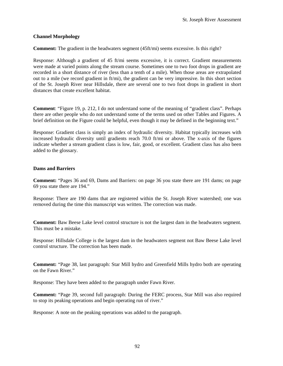## **Channel Morphology**

**Comment:** The gradient in the headwaters segment (45ft/mi) seems excessive. Is this right?

Response: Although a gradient of 45 ft/mi seems excessive, it is correct. Gradient measurements were made at varied points along the stream course. Sometimes one to two foot drops in gradient are recorded in a short distance of river (less than a tenth of a mile). When those areas are extrapolated out to a mile (we record gradient in ft/mi), the gradient can be very impressive. In this short section of the St. Joseph River near Hillsdale, there are several one to two foot drops in gradient in short distances that create excellent habitat.

**Comment**: "Figure 19, p. 212, I do not understand some of the meaning of "gradient class". Perhaps there are other people who do not understand some of the terms used on other Tables and Figures. A brief definition on the Figure could be helpful, even though it may be defined in the beginning text."

Response: Gradient class is simply an index of hydraulic diversity. Habitat typically increases with increased hydraulic diversity until gradients reach 70.0 ft/mi or above. The x-axis of the figures indicate whether a stream gradient class is low, fair, good, or excellent. Gradient class has also been added to the glossary.

## **Dams and Barriers**

**Comment:** "Pages 36 and 69, Dams and Barriers: on page 36 you state there are 191 dams; on page 69 you state there are 194."

Response: There are 190 dams that are registered within the St. Joseph River watershed; one was removed during the time this manuscript was written. The correction was made.

**Comment:** Baw Beese Lake level control structure is not the largest dam in the headwaters segment. This must be a mistake.

Response: Hillsdale College is the largest dam in the headwaters segment not Baw Beese Lake level control structure. The correction has been made.

**Comment:** "Page 38, last paragraph: Star Mill hydro and Greenfield Mills hydro both are operating on the Fawn River."

Response: They have been added to the paragraph under Fawn River.

**Comment:** "Page 39, second full paragraph: During the FERC process, Star Mill was also required to stop its peaking operations and begin operating run of river."

Response: A note on the peaking operations was added to the paragraph.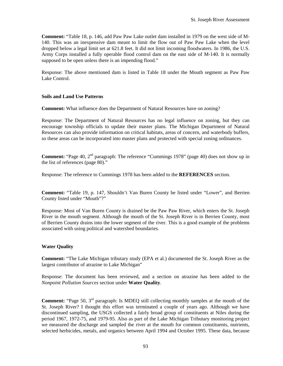**Comment:** "Table 18, p. 146, add Paw Paw Lake outlet dam installed in 1979 on the west side of M-140. This was an inexpensive dam meant to limit the flow out of Paw Paw Lake when the level dropped below a legal limit set at 621.8 feet. It did not limit incoming floodwaters. In 1986, the U.S. Army Corps installed a fully operable flood control dam on the east side of M-140. It is normally supposed to be open unless there is an impending flood."

Response: The above mentioned dam is listed in Table 18 under the Mouth segment as Paw Paw Lake Control.

## **Soils and Land Use Patterns**

**Comment:** What influence does the Department of Natural Resources have on zoning?

Response: The Department of Natural Resources has no legal influence on zoning, but they can encourage township officials to update their master plans. The Michigan Department of Natural Resources can also provide information on critical habitats, areas of concern, and waterbody buffers, so these areas can be incorporated into master plans and protected with special zoning ordinances.

**Comment:** "Page 40, 2<sup>nd</sup> paragraph: The reference "Cummings 1978" (page 40) does not show up in the list of references (page 80)."

Response: The reference to Cummings 1978 has been added to the **REFERENCES** section.

**Comment:** "Table 19, p. 147, Shouldn't Van Buren County be listed under "Lower", and Berrien County listed under "Mouth"?"

Response: Most of Van Buren County is drained be the Paw Paw River, which enters the St. Joseph River in the mouth segment. Although the mouth of the St. Joseph River is in Berrien County, most of Berrien County drains into the lower segment of the river. This is a good example of the problems associated with using political and watershed boundaries.

## **Water Quality**

**Comment:** "The Lake Michigan tributary study (EPA et al.) documented the St. Joseph River as the largest contributor of atrazine to Lake Michigan"

Response: The document has been reviewed, and a section on atrazine has been added to the *Nonpoint Pollution Sources* section under **Water Quality**.

**Comment:** "Page 50, 3<sup>rd</sup> paragraph: Is MDEQ still collecting monthly samples at the mouth of the St. Joseph River? I thought this effort was terminated a couple of years ago. Although we have discontinued sampling, the USGS collected a fairly broad group of constituents at Niles during the period 1967, 1972-75, and 1979-95. Also as part of the Lake Michigan Tributary monitoring project we measured the discharge and sampled the river at the mouth for common constituents, nutrients, selected herbicides, metals, and organics between April 1994 and October 1995. These data, because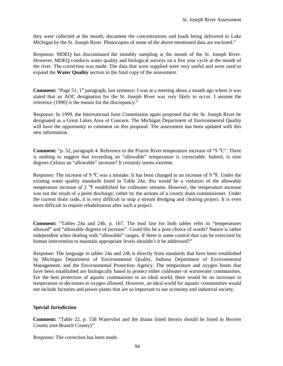they were collected at the mouth, document the concentrations and loads being delivered to Lake Michigan by the St. Joseph River. Photocopies of some of the above mentioned data are enclosed."

Response: MDEQ has discontinued the monthly sampling at the mouth of the St. Joseph River. However, MDEQ conducts water quality and biological surveys on a five year cycle at the mouth of the river. The correction was made. The data that were supplied were very useful and were used to expand the **Water Quality** section in the final copy of the assessment.

**Comment:** "Page 51, 1<sup>st</sup> paragraph, last sentence: I was at a meeting about a month ago where it was stated that an AOC designation for the St. Joseph River was very likely to occur. I assume the reference (1990) is the reason for the discrepancy."

Response: In 1999, the International Joint Commission again proposed that the St. Joseph River be designated as a Great Lakes Area of Concern. The Michigan Department of Environmental Quality will have the opportunity to comment on this proposal. The assessment has been updated with this new information.

**Comment:** "p. 52, paragraph 4. Reference to the Prairie River temperature increase of "9 °C". There is nothing to suggest that exceeding an "allowable" temperature is correctable. Indeed, is nine degrees Celsius an "allowable" increase? It certainly seems extreme.

Response: The increase of 9 °C was a mistake. It has been changed to an increase of 9 °F. Under the existing water quality standards listed in Table 24a, this would be a violation of the allowable temperature increase of 2 °F established for coldwater streams. However, the temperature increase was not the result of a point discharge, rather by the actions of a county drain commissioner. Under the current drain code, it is very difficult to stop a stream dredging and clearing project. It is even more difficult to require rehabilitation after such a project.

**Comment:** "Tables 24a and 24b, p. 167, The lead line for both tables refer to "temperatures allowed" and "allowable degrees of increase". Could this be a poor choice of words? Nature is rather independent when dealing with "allowable" ranges. If there is some control that can be exercised by human intervention to maintain appropriate levels shouldn't it be addressed?"

Response: The language in tables 24a and 24b is directly from standards that have been established by Michigan Department of Environmental Quality, Indiana Department of Environmental Management, and the Environmental Protection Agency. The temperature and oxygen limits that have been established are biologically based to protect either coldwater or warmwater communities. For the best protection of aquatic communities in an ideal world, there would be no increases in temperature or decreases in oxygen allowed. However, an ideal world for aquatic communities would not include factories and power plants that are so important to our economy and industrial society.

## **Special Jurisdiction**

**Comment:** "Table 22, p. 158 Watervliet and the drains listed therein should be listed in Berrien County (not Branch County)".

Response: The correction has been made.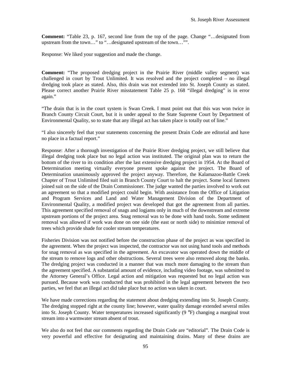**Comment:** "Table 23, p. 167, second line from the top of the page. Change "…designated from upstream from the town…" to "…designated upstream of the town…"".

Response: We liked your suggestion and made the change.

**Comment:** "The proposed dredging project in the Prairie River (middle valley segment) was challenged in court by Trout Unlimited. It was resolved and the project completed – no illegal dredging took place as stated. Also, this drain was not extended into St. Joseph County as stated. Please correct another Prairie River misstatement Table 25 p. 168 "illegal dredging" is in error again."

"The drain that is in the court system is Swan Creek. I must point out that this was won twice in Branch County Circuit Court, but it is under appeal to the State Supreme Court by Department of Environmental Quality, so to state that any illegal act has taken place is totally out of line."

"I also sincerely feel that your statements concerning the present Drain Code are editorial and have no place in a factual report."

Response: After a thorough investigation of the Prairie River dredging project, we still believe that illegal dredging took place but no legal action was instituted. The original plan was to return the bottom of the river to its condition after the last extensive dredging project in 1954. At the Board of Determination meeting virtually everyone present spoke against the project. The Board of Determination unanimously approved the project anyway. Therefore, the Kalamazoo-Battle Creek Chapter of Trout Unlimited filed suit in Branch County Court to halt the project. Some local farmers joined suit on the side of the Drain Commissioner. The judge wanted the parties involved to work out an agreement so that a modified project could begin. With assistance from the Office of Litigation and Program Services and Land and Water Management Division of the Department of Environmental Quality, a modified project was developed that got the agreement from all parties. This agreement specified removal of snags and logjams only in much of the downstream and extreme upstream portions of the project area. Snag removal was to be done with hand tools. Some sediment removal was allowed if work was done on one side (the east or north side) to minimize removal of trees which provide shade for cooler stream temperatures.

Fisheries Division was not notified before the construction phase of the project as was specified in the agreement. When the project was inspected, the contractor was not using hand tools and methods for snag removal as was specified in the agreement. An excavator was operated down the middle of the stream to remove logs and other obstructions. Several trees were also removed along the banks. The dredging project was conducted in a manner that was much more damaging to the stream than the agreement specified. A substantial amount of evidence, including video footage, was submitted to the Attorney General's Office. Legal action and mitigation was requested but no legal action was pursued. Because work was conducted that was prohibited in the legal agreement between the two parties, we feel that an illegal act did take place but no action was taken in court.

We have made corrections regarding the statement about dredging extending into St. Joseph County. The dredging stopped right at the county line; however, water quality damage extended several miles into St. Joseph County. Water temperatures increased significantly (9 °F) changing a marginal trout stream into a warmwater stream absent of trout.

We also do not feel that our comments regarding the Drain Code are "editorial". The Drain Code is very powerful and effective for designating and maintaining drains. Many of these drains are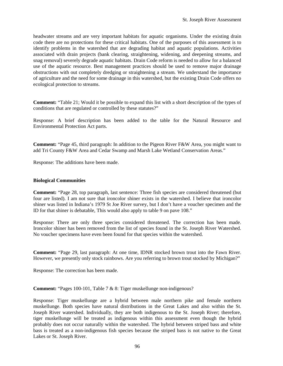headwater streams and are very important habitats for aquatic organisms. Under the existing drain code there are no protections for these critical habitats. One of the purposes of this assessment is to identify problems in the watershed that are degrading habitat and aquatic populations. Activities associated with drain projects (bank clearing, straightening, widening, and deepening streams, and snag removal) severely degrade aquatic habitats. Drain Code reform is needed to allow for a balanced use of the aquatic resource. Best management practices should be used to remove major drainage obstructions with out completely dredging or straightening a stream. We understand the importance of agriculture and the need for some drainage in this watershed, but the existing Drain Code offers no ecological protection to streams.

**Comment:** "Table 21; Would it be possible to expand this list with a short description of the types of conditions that are regulated or controlled by these statutes?"

Response: A brief description has been added to the table for the Natural Resource and Environmental Protection Act parts.

**Comment:** "Page 45, third paragraph: In addition to the Pigeon River F&W Area, you might want to add Tri County F&W Area and Cedar Swamp and Marsh Lake Wetland Conservation Areas."

Response: The additions have been made.

## **Biological Communities**

**Comment:** "Page 28, top paragraph, last sentence: Three fish species are considered threatened (but four are listed). I am not sure that ironcolor shiner exists in the watershed. I believe that ironcolor shiner was listed in Indiana's 1979 St Joe River survey, but I don't have a voucher specimen and the ID for that shiner is debatable, This would also apply to table 9 on pave 108."

Response: There are only three species considered threatened. The correction has been made. Ironcolor shiner has been removed from the list of species found in the St. Joseph River Watershed. No voucher specimens have even been found for that species within the watershed.

**Comment:** "Page 29, last paragraph: At one time, IDNR stocked brown trout into the Fawn River. However, we presently only stock rainbows. Are you referring to brown trout stocked by Michigan?"

Response: The correction has been made.

**Comment:** "Pages 100-101, Table 7 & 8: Tiger muskellunge non-indigenous?

Response: Tiger muskellunge are a hybrid between male northern pike and female northern muskellunge. Both species have natural distributions in the Great Lakes and also within the St. Joseph River watershed. Individually, they are both indigenous to the St. Joseph River; therefore, tiger muskellunge will be treated as indigenous within this assessment even though the hybrid probably does not occur naturally within the watershed. The hybrid between striped bass and white bass is treated as a non-indigenous fish species because the striped bass is not native to the Great Lakes or St. Joseph River.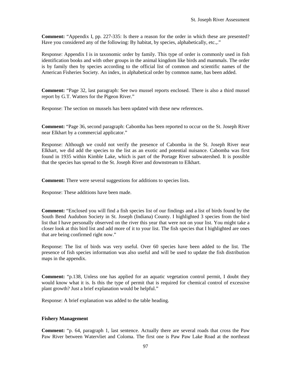**Comment:** "Appendix I, pp. 227-335: Is there a reason for the order in which these are presented? Have you considered any of the following: By habitat, by species, alphabetically, etc.,."

Response: Appendix I is in taxonomic order by family. This type of order is commonly used in fish identification books and with other groups in the animal kingdom like birds and mammals. The order is by family then by species according to the official list of common and scientific names of the American Fisheries Society. An index, in alphabetical order by common name, has been added.

**Comment:** "Page 32, last paragraph: See two mussel reports enclosed. There is also a third mussel report by G.T. Watters for the Pigeon River."

Response: The section on mussels has been updated with these new references.

**Comment:** "Page 36, second paragraph: Cabomba has been reported to occur on the St. Joseph River near Elkhart by a commercial applicator."

Response: Although we could not verify the presence of Cabomba in the St. Joseph River near Elkhart, we did add the species to the list as an exotic and potential nuisance. Cabomba was first found in 1935 within Kimble Lake, which is part of the Portage River subwatershed. It is possible that the species has spread to the St. Joseph River and downstream to Elkhart.

**Comment:** There were several suggestions for additions to species lists.

Response: These additions have been made.

**Comment:** "Enclosed you will find a fish species list of our findings and a list of birds found by the South Bend Audubon Society in St. Joseph (Indiana) County. I highlighted 3 species from the bird list that I have personally observed on the river this year that were not on your list. You might take a closer look at this bird list and add more of it to your list. The fish species that I highlighted are ones that are being confirmed right now."

Response: The list of birds was very useful. Over 60 species have been added to the list. The presence of fish species information was also useful and will be used to update the fish distribution maps in the appendix.

**Comment:** "p.138, Unless one has applied for an aquatic vegetation control permit, I doubt they would know what it is. Is this the type of permit that is required for chemical control of excessive plant growth? Just a brief explanation would be helpful."

Response: A brief explanation was added to the table heading.

## **Fishery Management**

**Comment:** "p. 64, paragraph 1, last sentence. Actually there are several roads that cross the Paw Paw River between Watervliet and Coloma. The first one is Paw Paw Lake Road at the northeast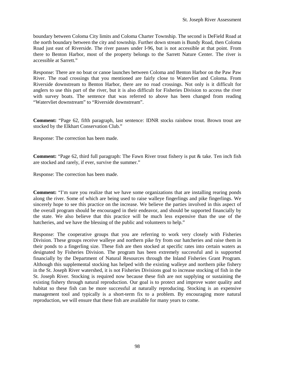boundary between Coloma City limits and Coloma Charter Township. The second is DeField Road at the north boundary between the city and township. Further down stream is Bundy Road, then Coloma Road just east of Riverside. The river passes under I-96, but is not accessible at that point. From there to Benton Harbor, most of the property belongs to the Sarrett Nature Center. The river is accessible at Sarrett."

Response: There are no boat or canoe launches between Coloma and Benton Harbor on the Paw Paw River. The road crossings that you mentioned are fairly close to Watervliet and Coloma. From Riverside downstream to Benton Harbor, there are no road crossings. Not only is it difficult for anglers to use this part of the river, but it is also difficult for Fisheries Division to access the river with survey boats. The sentence that was referred to above has been changed from reading "Watervliet downstream" to "Riverside downstream".

**Comment:** "Page 62, fifth paragraph, last sentence: IDNR stocks rainbow trout. Brown trout are stocked by the Elkhart Conservation Club."

Response: The correction has been made.

**Comment:** "Page 62, third full paragraph: The Fawn River trout fishery is put & take. Ten inch fish are stocked and rarely, if ever, survive the summer."

Response: The correction has been made.

**Comment:** "I'm sure you realize that we have some organizations that are installing rearing ponds along the river. Some of which are being used to raise walleye fingerlings and pike fingerlings. We sincerely hope to see this practice on the increase. We believe the parties involved in this aspect of the overall program should be encouraged in their endeavor, and should be supported financially by the state. We also believe that this practice will be much less expensive than the use of the hatcheries, and we have the blessing of the public and volunteers to help."

Response: The cooperative groups that you are referring to work very closely with Fisheries Division. These groups receive walleye and northern pike fry from our hatcheries and raise them in their ponds to a fingerling size. These fish are then stocked at specific rates into certain waters as designated by Fisheries Division. The program has been extremely successful and is supported financially by the Department of Natural Resources through the Inland Fisheries Grant Program. Although this supplemental stocking has helped with the existing walleye and northern pike fishery in the St. Joseph River watershed, it is not Fisheries Divisions goal to increase stocking of fish in the St. Joseph River. Stocking is required now because these fish are not supplying or sustaining the existing fishery through natural reproduction. Our goal is to protect and improve water quality and habitat so these fish can be more successful at naturally reproducing. Stocking is an expensive management tool and typically is a short-term fix to a problem. By encouraging more natural reproduction, we will ensure that these fish are available for many years to come.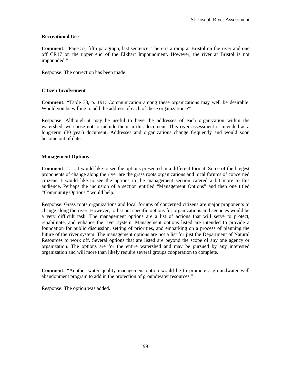## **Recreational Use**

**Comment:** "Page 57, fifth paragraph, last sentence: There is a ramp at Bristol on the river and one off CR17 on the upper end of the Elkhart Impoundment. However, the river at Bristol is not impounded."

Response: The correction has been made.

## **Citizen Involvement**

**Comment:** "Table 33, p. 191: Communication among these organizations may well be desirable. Would you be willing to add the address of each of these organizations?"

Response: Although it may be useful to have the addresses of each organization within the watershed, we chose not to include them in this document. This river assessment is intended as a long-term (30 year) document. Addresses and organizations change frequently and would soon become out of date.

## **Management Options**

**Comment:** "..... I would like to see the options presented in a different format. Some of the biggest proponents of change along the river are the grass roots organizations and local forums of concerned citizens. I would like to see the options in the management section catered a bit more to this audience. Perhaps the inclusion of a section entitled "Management Options" and then one titled "Community Options," would help."

Response: Grass roots organizations and local forums of concerned citizens are major proponents to change along the river. However, to list out specific options for organizations and agencies would be a very difficult task. The management options are a list of actions that will serve to protect, rehabilitate, and enhance the river system. Management options listed are intended to provide a foundation for public discussion, setting of priorities, and embarking on a process of planning the future of the river system. The management options are not a list for just the Department of Natural Resources to work off. Several options that are listed are beyond the scope of any one agency or organization. The options are for the entire watershed and may be pursued by any interested organization and will more than likely require several groups cooperation to complete.

**Comment:** "Another water quality management option would be to promote a groundwater well abandonment program to add in the protection of groundwater resources."

Response: The option was added.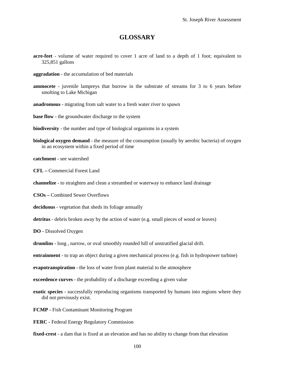## **GLOSSARY**

- **acre-feet**  volume of water required to cover 1 acre of land to a depth of 1 foot; equivalent to 325,851 gallons
- **aggradation**  the accumulation of bed materials
- **ammocete**  juvenile lampreys that burrow in the substrate of streams for 3 to 6 years before smolting to Lake Michigan
- **anadromous**  migrating from salt water to a fresh water river to spawn
- **base flow** the groundwater discharge to the system
- **biodiversity** the number and type of biological organisms in a system
- **biological oxygen demand**  the measure of the consumption (usually by aerobic bacteria) of oxygen in an ecosystem within a fixed period of time
- **catchment** see watershed
- **CFL** Commercial Forest Land
- **channelize** to straighten and clean a streambed or waterway to enhance land drainage
- **CSOs** Combined Sewer Overflows
- **deciduous** vegetation that sheds its foliage annually
- **detritus**  debris broken away by the action of water (e.g. small pieces of wood or leaves)
- **DO** Dissolved Oxygen
- **drumlins**  long , narrow, or oval smoothly rounded hill of unstratified glacial drift.
- **entrainment** to trap an object during a given mechanical process (e.g. fish in hydropower turbine)
- **evapotranspiration** the loss of water from plant material to the atmosphere
- **exceedence curves** the probability of a discharge exceeding a given value
- **exotic species** successfully reproducing organisms transported by humans into regions where they did not previously exist.
- **FCMP** Fish Contaminant Monitoring Program
- **FERC** Federal Energy Regulatory Commission
- **fixed-crest** a dam that is fixed at an elevation and has no ability to change from that elevation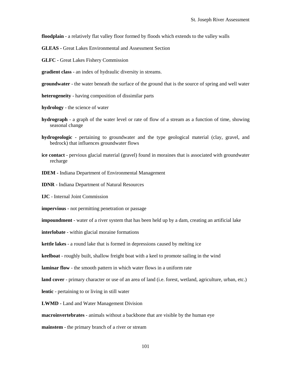**floodplain** - a relatively flat valley floor formed by floods which extends to the valley walls

**GLEAS -** Great Lakes Environmental and Assessment Section

**GLFC -** Great Lakes Fishery Commission

**gradient class** - an index of hydraulic diversity in streams.

**groundwater** - the water beneath the surface of the ground that is the source of spring and well water

**heterogeneity** - having composition of dissimilar parts

**hydrology** - the science of water

- **hydrograph**  a graph of the water level or rate of flow of a stream as a function of time, showing seasonal change
- **hydrogeologic** pertaining to groundwater and the type geological material (clay, gravel, and bedrock) that influences groundwater flows
- **ice contact** pervious glacial material (gravel) found in moraines that is associated with groundwater recharge
- **IDEM** Indiana Department of Environmental Management

**IDNR -** Indiana Department of Natural Resources

**IJC** - Internal Joint Commission

**impervious -** not permitting penetration or passage

**impoundment** - water of a river system that has been held up by a dam, creating an artificial lake

**interlobate** - within glacial moraine formations

**kettle lakes** - a round lake that is formed in depressions caused by melting ice

**keelboat** - roughly built, shallow freight boat with a keel to promote sailing in the wind

**laminar flow** - the smooth pattern in which water flows in a uniform rate

**land cover** - primary character or use of an area of land (i.e. forest, wetland, agriculture, urban, etc.)

**lentic** - pertaining to or living in still water

**LWMD -** Land and Water Management Division

**macroinvertebrates** - animals without a backbone that are visible by the human eye

**mainstem** - the primary branch of a river or stream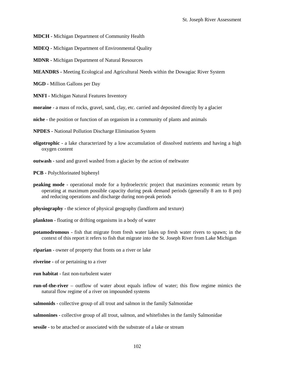**MDCH -** Michigan Department of Community Health

**MDEQ -** Michigan Department of Environmental Quality

**MDNR -** Michigan Department of Natural Resources

**MEANDRS -** Meeting Ecological and Agricultural Needs within the Dowagiac River System

**MGD -** Million Gallons per Day

**MNFI -** Michigan Natural Features Inventory

**moraine** - a mass of rocks, gravel, sand, clay, etc. carried and deposited directly by a glacier

**niche** - the position or function of an organism in a community of plants and animals

**NPDES -** National Pollution Discharge Elimination System

**oligotrophic** - a lake characterized by a low accumulation of dissolved nutrients and having a high oxygen content

**outwash** - sand and gravel washed from a glacier by the action of meltwater

**PCB -** Polychlorinated biphenyl

**peaking mode** - operational mode for a hydroelectric project that maximizes economic return by operating at maximum possible capacity during peak demand periods (generally 8 am to 8 pm) and reducing operations and discharge during non-peak periods

**physiography** - the science of physical geography (landform and texture)

- **plankton** floating or drifting organisms in a body of water
- **potamodromous** fish that migrate from fresh water lakes up fresh water rivers to spawn; in the context of this report it refers to fish that migrate into the St. Joseph River from Lake Michigan

**riparian** - owner of property that fronts on a river or lake

**riverine -** of or pertaining to a river

- **run habitat** fast non-turbulent water
- **run-of-the-river** outflow of water about equals inflow of water; this flow regime mimics the natural flow regime of a river on impounded systems

**salmonids** - collective group of all trout and salmon in the family Salmonidae

**salmonines** - collective group of all trout, salmon, and whitefishes in the family Salmonidae

**sessile** - to be attached or associated with the substrate of a lake or stream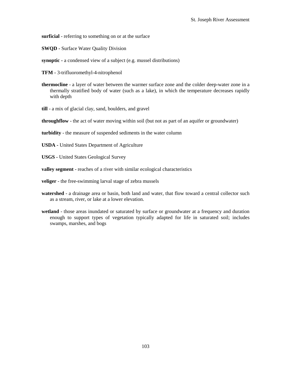**surficial** - referring to something on or at the surface

**SWQD -** Surface Water Quality Division

**synoptic -** a condensed view of a subject (e.g. mussel distributions)

**TFM -** 3-trifluoromethyl-4-nitrophenol

- **thermocline** a layer of water between the warmer surface zone and the colder deep-water zone in a thermally stratified body of water (such as a lake), in which the temperature decreases rapidly with depth
- **till** a mix of glacial clay, sand, boulders, and gravel

**throughflow** - the act of water moving within soil (but not as part of an aquifer or groundwater)

**turbidity** - the measure of suspended sediments in the water column

**USDA -** United States Department of Agriculture

**USGS -** United States Geological Survey

**valley segment** - reaches of a river with similar ecological characteristics

- **veliger** the free-swimming larval stage of zebra mussels
- **watershed** a drainage area or basin, both land and water, that flow toward a central collector such as a stream, river, or lake at a lower elevation.
- **wetland** those areas inundated or saturated by surface or groundwater at a frequency and duration enough to support types of vegetation typically adapted for life in saturated soil; includes swamps, marshes, and bogs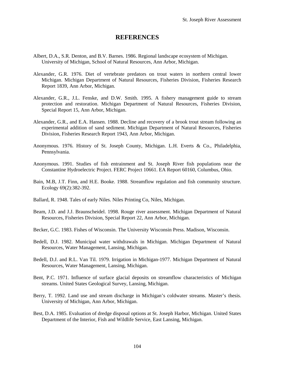## **REFERENCES**

- Albert, D.A., S.R. Denton, and B.V. Barnes. 1986. Regional landscape ecosystem of Michigan. University of Michigan, School of Natural Resources, Ann Arbor, Michigan.
- Alexander, G.R. 1976. Diet of vertebrate predators on trout waters in northern central lower Michigan. Michigan Department of Natural Resources, Fisheries Division, Fisheries Research Report 1839, Ann Arbor, Michigan.
- Alexander, G.R., J.L. Fenske, and D.W. Smith. 1995. A fishery management guide to stream protection and restoration. Michigan Department of Natural Resources, Fisheries Division, Special Report 15, Ann Arbor, Michigan.
- Alexander, G.R., and E.A. Hansen. 1988. Decline and recovery of a brook trout stream following an experimental addition of sand sediment. Michigan Department of Natural Resources, Fisheries Division, Fisheries Research Report 1943, Ann Arbor, Michigan.
- Anonymous. 1976. History of St. Joseph County, Michigan. L.H. Everts & Co., Philadelphia, Pennsylvania.
- Anonymous. 1991. Studies of fish entrainment and St. Joseph River fish populations near the Constantine Hydroelectric Project. FERC Project 10661. EA Report 60160, Columbus, Ohio.
- Bain, M.B, J.T. Finn, and H.E. Booke. 1988. Streamflow regulation and fish community structure. Ecology 69(2):382-392.
- Ballard, R. 1948. Tales of early Niles. Niles Printing Co, Niles, Michigan.
- Beam, J.D. and J.J. Braunscheidel. 1998. Rouge river assessment. Michigan Department of Natural Resources, Fisheries Division, Special Report 22, Ann Arbor, Michigan.
- Becker, G.C. 1983. Fishes of Wisconsin. The University Wisconsin Press. Madison, Wisconsin.
- Bedell, D.J. 1982. Municipal water withdrawals in Michigan. Michigan Department of Natural Resources, Water Management, Lansing, Michigan.
- Bedell, D.J. and R.L. Van Til. 1979. Irrigation in Michigan-1977. Michigan Department of Natural Resources, Water Management, Lansing, Michigan.
- Bent, P.C. 1971. Influence of surface glacial deposits on streamflow characteristics of Michigan streams. United States Geological Survey, Lansing, Michigan.
- Berry, T. 1992. Land use and stream discharge in Michigan's coldwater streams. Master's thesis. University of Michigan, Ann Arbor, Michigan.
- Best, D.A. 1985. Evaluation of dredge disposal options at St. Joseph Harbor, Michigan. United States Department of the Interior, Fish and Wildlife Service, East Lansing, Michigan.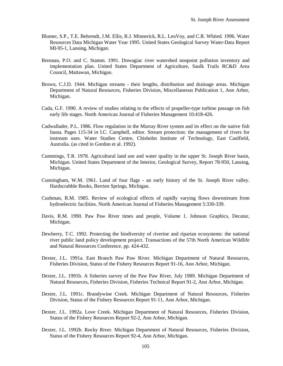- Blumer, S.P., T.E. Behrendt, J.M. Ellis, R.J. Minnerick, R.L. LeuVoy, and C.R. Whited. 1996. Water Resources Data Michigan Water Year 1995. United States Geological Survey Water-Data Report MI-95-1, Lansing, Michigan.
- Brennan, P.O. and C. Stamm. 1991. Dowagiac river watershed nonpoint pollution inventory and implementation plan. United States Department of Agriculture, Saulk Trails RC&D Area Council, Mattawan, Michigan.
- Brown, C.J.D. 1944. Michigan streams their lengths, distribution and drainage areas. Michigan Department of Natural Resources, Fisheries Division, Miscellaneous Publication 1, Ann Arbor, Michigan.
- Cada, G.F. 1990. A review of studies relating to the effects of propeller-type turbine passage on fish early life stages. North American Journal of Fisheries Management 10:418-426.
- Cadwallader, P.L. 1986. Flow regulation in the Murray River system and its effect on the native fish fauna. Pages 115-34 i*n* I.C. Campbell, editor. Stream protection: the management of rivers for instream uses. Water Studies Centre, Chisholm Institute of Technology, East Caulfield, Australia. (as cited in Gordon et al. 1992).
- Cummings, T.R. 1978. Agricultural land use and water quality in the upper St. Joseph River basin, Michigan. United States Department of the Interior, Geological Survey, Report 78-950, Lansing, Michigan.
- Cunningham, W.M. 1961. Land of four flags an early history of the St. Joseph River valley. Hardscrabble Books, Berrien Springs, Michigan.
- Cushman, R.M. 1985. Review of ecological effects of rapidly varying flows downstream from hydroelectric facilities. North American Journal of Fisheries Management 5:330-339.
- Davis, R.M. 1990. Paw Paw River times and people, Volume 1. Johnson Graphics, Decatur, Michigan.
- Dewberry, T.C. 1992. Protecting the biodiversity of riverine and riparian ecosystems: the national river public land policy development project. Transactions of the 57th North American Wildlife and Natural Resources Conference. pp. 424-432.
- Dexter, J.L. 1991a. East Branch Paw Paw River. Michigan Department of Natural Resources, Fisheries Division, Status of the Fishery Resources Report 91-16, Ann Arbor, Michigan.
- Dexter, J.L. 1991b. A fisheries survey of the Paw Paw River, July 1989. Michigan Department of Natural Resources, Fisheries Division, Fisheries Technical Report 91-2, Ann Arbor, Michigan.
- Dexter, J.L. 1991c. Brandywine Creek. Michigan Department of Natural Resources, Fisheries Division, Status of the Fishery Resources Report 91-11, Ann Arbor, Michigan.
- Dexter, J.L. 1992a. Love Creek. Michigan Department of Natural Resources, Fisheries Division, Status of the Fishery Resources Report 92-2, Ann Arbor, Michigan.
- Dexter, J.L. 1992b. Rocky River. Michigan Department of Natural Resources, Fisheries Division, Status of the Fishery Resources Report 92-4, Ann Arbor, Michigan.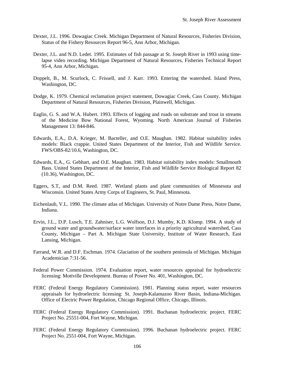- Dexter, J.L. 1996. Dowagiac Creek. Michigan Department of Natural Resources, Fisheries Division, Status of the Fishery Resources Report 96-5, Ann Arbor, Michigan.
- Dexter, J.L. and N.D. Ledet. 1995. Estimates of fish passage at St. Joseph River in 1993 using timelapse video recording. Michigan Department of Natural Resources, Fisheries Technical Report 95-4, Ann Arbor, Michigan.
- Doppelt, B., M. Scurlock, C. Frissell, and J. Karr. 1993. Entering the watershed. Island Press, Washington, DC.
- Dodge, K. 1979. Chemical reclamation project statement, Dowagiac Creek, Cass County. Michigan Department of Natural Resources, Fisheries Division, Plainwell, Michigan.
- Eaglin, G. S. and W.A. Hubert. 1993. Effects of logging and roads on substrate and trout in streams of the Medicine Bow National Forest, Wyoming. North American Journal of Fisheries Management 13: 844-846.
- Edwards, E.A., D.A. Krieger, M. Bacteller, and O.E. Maughan. 1982. Habitat suitability index models: Black crappie. United States Department of the Interior, Fish and Wildlife Service. FWS/OBS-82/10.6, Washington, DC.
- Edwards, E.A., G. Gebhart, and O.E. Maughan. 1983. Habitat suitability index models: Smallmouth Bass. United States Department of the Interior, Fish and Wildlife Service Biological Report 82 (10.36), Washington, DC.
- Eggers, S.T, and D.M. Reed. 1987. Wetland plants and plant communities of Minnesota and Wisconsin. United States Army Corps of Engineers, St. Paul, Minnesota.
- Eichenlaub, V.L. 1990. The climate atlas of Michigan. University of Notre Dame Press, Notre Dame, Indiana.
- Ervin, J.L., D.P. Lusch, T.E. Zahniser, L.G. Wolfson, D.J. Mumby, K.D. Klomp. 1994. A study of ground water and groundwater/surface water interfaces in a priority agricultural watershed, Cass County, Michigan – Part A. Michigan State University, Institute of Water Research, East Lansing, Michigan.
- Farrand, W.R. and D.F. Eschman. 1974. Glaciation of the southern peninsula of Michigan. Michigan Academician 7:31-56.
- Federal Power Commission. 1974. Evaluation report, water resources appraisal for hydroelectric licensing: Mottville Development. Bureau of Power No. 401, Washington, DC.
- FERC (Federal Energy Regulatory Commission). 1981. Planning status report, water resources appraisals for hydroelectric licensing: St. Joseph-Kalamazoo River Basin, Indiana-Michigan. Office of Electric Power Regulation, Chicago Regional Office, Chicago, Illinois.
- FERC (Federal Energy Regulatory Commission). 1991. Buchanan hydroelectric project. FERC Project No. 25551-004, Fort Wayne, Michigan.
- FERC (Federal Energy Regulatory Commission). 1996. Buchanan hydroelectric project. FERC Project No. 2551-004, Fort Wayne, Michigan.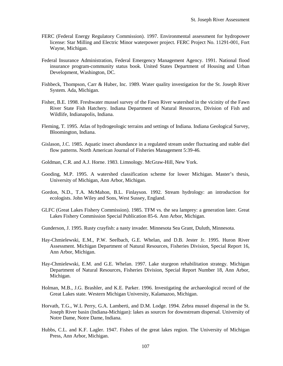- FERC (Federal Energy Regulatory Commission). 1997. Environmental assessment for hydropower license: Star Milling and Electric Minor waterpower project. FERC Project No. 11291-001, Fort Wayne, Michigan.
- Federal Insurance Administration, Federal Emergency Management Agency. 1991. National flood insurance program-community status book. United States Department of Housing and Urban Development, Washington, DC.
- Fishbeck, Thompson, Carr & Huber, Inc. 1989. Water quality investigation for the St. Joseph River System. Ada, Michigan.
- Fisher, B.E. 1998. Freshwater mussel survey of the Fawn River watershed in the vicinity of the Fawn River State Fish Hatchery. Indiana Department of Natural Resources, Division of Fish and Wildlife, Indianapolis, Indiana.
- Fleming, T. 1995. Atlas of hydrogeologic terrains and settings of Indiana. Indiana Geological Survey, Bloomington, Indiana.
- Gislason, J.C. 1985. Aquatic insect abundance in a regulated stream under fluctuating and stable diel flow patterns. North American Journal of Fisheries Management 5:39-46.
- Goldman, C.R. and A.J. Horne. 1983. Limnology. McGraw-Hill, New York.
- Gooding, M.P. 1995. A watershed classification scheme for lower Michigan. Master's thesis, University of Michigan, Ann Arbor, Michigan.
- Gordon, N.D., T.A. McMahon, B.L. Finlayson. 1992. Stream hydrology: an introduction for ecologists. John Wiley and Sons, West Sussey, England.
- GLFC (Great Lakes Fishery Commission). 1985. TFM vs. the sea lamprey: a generation later. Great Lakes Fishery Commission Special Publication 85-6. Ann Arbor, Michigan.
- Gunderson, J. 1995. Rusty crayfish: a nasty invader. Minnesota Sea Grant, Duluth, Minnesota.
- Hay-Chmielewski, E.M., P.W. Seelbach, G.E. Whelan, and D.B. Jester Jr. 1995. Huron River Assessment. Michigan Department of Natural Resources, Fisheries Division, Special Report 16, Ann Arbor, Michigan.
- Hay-Chmielewski, E.M. and G.E. Whelan. 1997. Lake sturgeon rehabilitation strategy. Michigan Department of Natural Resources, Fisheries Division, Special Report Number 18, Ann Arbor, Michigan.
- Holman, M.B., J.G. Brashler, and K.E. Parker. 1996. Investigating the archaeological record of the Great Lakes state. Western Michigan University, Kalamazoo, Michigan.
- Horvath, T.G., W.L Perry, G.A. Lamberti, and D.M. Lodge. 1994. Zebra mussel dispersal in the St. Joseph River basin (Indiana-Michigan): lakes as sources for downstream dispersal. University of Notre Dame, Notre Dame, Indiana.
- Hubbs, C.L. and K.F. Lagler. 1947. Fishes of the great lakes region. The University of Michigan Press, Ann Arbor, Michigan.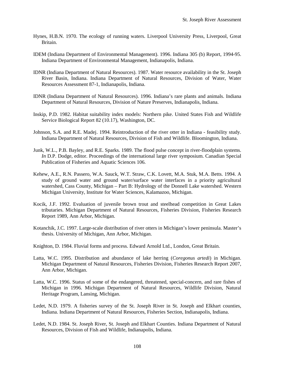- Hynes, H.B.N. 1970. The ecology of running waters. Liverpool University Press, Liverpool, Great Britain.
- IDEM (Indiana Department of Environmental Management). 1996. Indiana 305 (b) Report, 1994-95. Indiana Department of Environmental Management, Indianapolis, Indiana.
- IDNR (Indiana Department of Natural Resources). 1987. Water resource availability in the St. Joseph River Basin, Indiana. Indiana Department of Natural Resources, Division of Water, Water Resources Assessment 87-1, Indianapolis, Indiana.
- IDNR (Indiana Department of Natural Resources). 1996. Indiana's rare plants and animals. Indiana Department of Natural Resources, Division of Nature Preserves, Indianapolis, Indiana.
- Inskip, P.D. 1982. Habitat suitability index models: Northern pike. United States Fish and Wildlife Service Biological Report 82 (10.17), Washington, DC.
- Johnson, S.A. and R.E. Madej. 1994. Reintroduction of the river otter in Indiana feasibility study. Indiana Department of Natural Resources, Division of Fish and Wildlife. Bloomington, Indiana.
- Junk, W.L., P.B. Bayley, and R.E. Sparks. 1989. The flood pulse concept in river-floodplain systems. *In* D.P. Dodge, editor. Proceedings of the international large river symposium. Canadian Special Publication of Fisheries and Aquatic Sciences 106.
- Kehew, A.E., R.N. Passero, W.A. Sauck, W.T. Straw, C.K. Lovett, M.A. Stuk, M.A. Betts. 1994. A study of ground water and ground water/surface water interfaces in a priority agricultural watershed, Cass County, Michigan – Part B: Hydrology of the Donnell Lake watershed. Western Michigan University, Institute for Water Sciences, Kalamazoo, Michigan.
- Kocik, J.F. 1992. Evaluation of juvenile brown trout and steelhead competition in Great Lakes tributaries. Michigan Department of Natural Resources, Fisheries Division, Fisheries Research Report 1989, Ann Arbor, Michigan.
- Kotanchik, J.C. 1997. Large-scale distribution of river otters in Michigan's lower peninsula. Master's thesis. University of Michigan, Ann Arbor, Michigan.
- Knighton, D. 1984. Fluvial forms and process. Edward Arnold Ltd., London, Great Britain.
- Latta, W.C. 1995. Distribution and abundance of lake herring (*Coregonus artedi*) in Michigan. Michigan Department of Natural Resources, Fisheries Division, Fisheries Research Report 2007, Ann Arbor, Michigan.
- Latta, W.C. 1996. Status of some of the endangered, threatened, special-concern, and rare fishes of Michigan in 1996. Michigan Department of Natural Resources, Wildlife Division, Natural Heritage Program, Lansing, Michigan.
- Ledet, N.D. 1979. A fisheries survey of the St. Joseph River in St. Joseph and Elkhart counties, Indiana. Indiana Department of Natural Resources, Fisheries Section, Indianapolis, Indiana.
- Ledet, N.D. 1984. St. Joseph River, St. Joseph and Elkhart Counties. Indiana Department of Natural Resources, Division of Fish and Wildlife, Indianapolis, Indiana.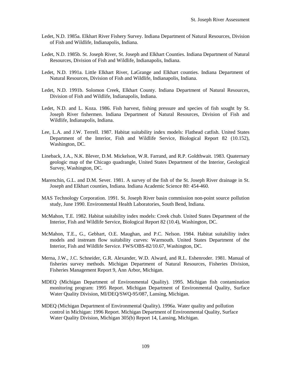- Ledet, N.D. 1985a. Elkhart River Fishery Survey. Indiana Department of Natural Resources, Division of Fish and Wildlife, Indianapolis, Indiana.
- Ledet, N.D. 1985b. St. Joseph River, St. Joseph and Elkhart Counties. Indiana Department of Natural Resources, Division of Fish and Wildlife, Indianapolis, Indiana.
- Ledet, N.D. 1991a. Little Elkhart River, LaGrange and Elkhart counties. Indiana Department of Natural Resources, Division of Fish and Wildlife, Indianapolis, Indiana.
- Ledet, N.D. 1991b. Solomon Creek, Elkhart County. Indiana Department of Natural Resources, Division of Fish and Wildlife, Indianapolis, Indiana.
- Ledet, N.D. and L. Koza. 1986. Fish harvest, fishing pressure and species of fish sought by St. Joseph River fishermen. Indiana Department of Natural Resources, Division of Fish and Wildlife, Indianapolis, Indiana.
- Lee, L.A. and J.W. Terrell. 1987. Habitat suitability index models: Flathead catfish. United States Department of the Interior, Fish and Wildlife Service, Biological Report 82 (10.152), Washington, DC.
- Lineback, J.A., N.K. Blever, D.M. Mickelson, W.R. Farrand, and R.P. Goldthwait. 1983. Quaternary geologic map of the Chicago quadrangle, United States Department of the Interior, Geological Survey, Washington, DC.
- Marenchin, G.L. and D.M. Sever. 1981. A survey of the fish of the St. Joseph River drainage in St. Joseph and Elkhart counties, Indiana. Indiana Academic Science 80: 454-460.
- MAS Technology Corporation. 1991. St. Joseph River basin commission non-point source pollution study, June 1990. Environmental Health Laboratories, South Bend, Indiana.
- McMahon, T.E. 1982. Habitat suitability index models: Creek chub. United States Department of the Interior, Fish and Wildlife Service, Biological Report 82 (10.4), Washington, DC.
- McMahon, T.E., G., Gebhart, O.E. Maughan, and P.C. Nelson. 1984. Habitat suitability index models and instream flow suitability curves: Warmouth. United States Department of the Interior, Fish and Wildlife Service. FWS/OBS-82/10.67, Washington, DC.
- Merna, J.W., J.C. Schneider, G.R. Alexander, W.D. Alward, and R.L. Eshenroder. 1981. Manual of fisheries survey methods. Michigan Department of Natural Resources, Fisheries Division, Fisheries Management Report 9, Ann Arbor, Michigan.
- MDEQ (Michigan Department of Environmental Quality). 1995. Michigan fish contamination monitoring program: 1995 Report. Michigan Department of Environmental Quality, Surface Water Quality Division, MI/DEQ/SWQ-95/087, Lansing, Michigan.
- MDEQ (Michigan Department of Environmental Quality). 1996a. Water quality and pollution control in Michigan: 1996 Report. Michigan Department of Environmental Quality, Surface Water Quality Division, Michigan 305(b) Report 14, Lansing, Michigan.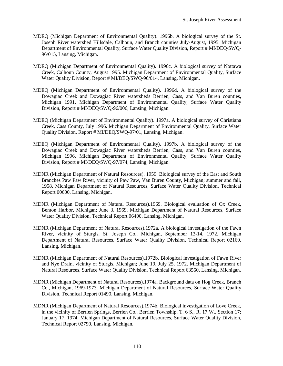- MDEQ (Michigan Department of Environmental Quality). 1996b. A biological survey of the St. Joseph River watershed Hillsdale, Calhoun, and Branch counties July-August, 1995. Michigan Department of Environmental Quality, Surface Water Quality Division, Report # MI/DEQ/SWQ-96/015, Lansing, Michigan.
- MDEQ (Michigan Department of Environmental Quality). 1996c. A biological survey of Nottawa Creek, Calhoun County, August 1995. Michigan Department of Environmental Quality, Surface Water Quality Division, Report # MI/DEQ/SWQ-96/014, Lansing, Michigan.
- MDEQ (Michigan Department of Environmental Quality). 1996d. A biological survey of the Dowagiac Creek and Dowagiac River watersheds Berrien, Cass, and Van Buren counties, Michigan 1991. Michigan Department of Environmental Quality, Surface Water Quality Division, Report # MI/DEQ/SWQ-96/006, Lansing, Michigan.
- MDEQ (Michigan Department of Environmental Quality). 1997a. A biological survey of Christiana Creek, Cass County, July 1996. Michigan Department of Environmental Quality, Surface Water Quality Division, Report # MI/DEQ/SWQ-97/01, Lansing, Michigan.
- MDEQ (Michigan Department of Environmental Quality). 1997b. A biological survey of the Dowagiac Creek and Dowagiac River watersheds Berrien, Cass, and Van Buren counties, Michigan 1996. Michigan Department of Environmental Quality, Surface Water Quality Division, Report # MI/DEQ/SWQ-97/074, Lansing, Michigan.
- MDNR (Michigan Department of Natural Resources). 1959. Biological survey of the East and South Branches Paw Paw River, vicinity of Paw Paw, Van Buren County, Michigan; summer and fall, 1958. Michigan Department of Natural Resources, Surface Water Quality Division, Technical Report 00600, Lansing, Michigan.
- MDNR (Michigan Department of Natural Resources).1969. Biological evaluation of Ox Creek, Benton Harbor, Michigan; June 3, 1969. Michigan Department of Natural Resources, Surface Water Quality Division, Technical Report 06400, Lansing, Michigan.
- MDNR (Michigan Department of Natural Resources).1972a. A biological investigation of the Fawn River, vicinity of Sturgis, St. Joseph Co., Michigan, September 13-14, 1972. Michigan Department of Natural Resources, Surface Water Quality Division, Technical Report 02160, Lansing, Michigan.
- MDNR (Michigan Department of Natural Resources).1972b. Biological investigation of Fawn River and Nye Drain, vicinity of Sturgis, Michigan; June 19, July 25, 1972. Michigan Department of Natural Resources, Surface Water Quality Division, Technical Report 63560, Lansing, Michigan.
- MDNR (Michigan Department of Natural Resources).1974a. Background data on Hog Creek, Branch Co., Michigan, 1969-1973. Michigan Department of Natural Resources, Surface Water Quality Division, Technical Report 01490, Lansing, Michigan.
- MDNR (Michigan Department of Natural Resources).1974b. Biological investigation of Love Creek, in the vicinity of Berrien Springs, Berrien Co., Berrien Township, T. 6 S., R. 17 W., Section 17; January 17, 1974. Michigan Department of Natural Resources, Surface Water Quality Division, Technical Report 02790, Lansing, Michigan.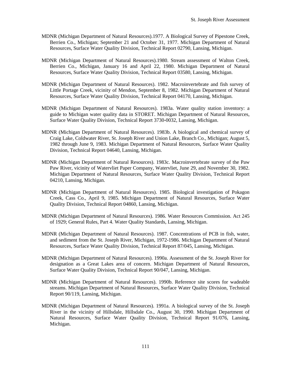- MDNR (Michigan Department of Natural Resources).1977. A Biological Survey of Pipestone Creek, Berrien Co., Michigan; September 21 and October 31, 1977. Michigan Department of Natural Resources, Surface Water Quality Division, Technical Report 02790, Lansing, Michigan.
- MDNR (Michigan Department of Natural Resources).1980. Stream assessment of Walton Creek, Berrien Co., Michigan, January 16 and April 22, 1980. Michigan Department of Natural Resources, Surface Water Quality Division, Technical Report 03580, Lansing, Michigan.
- MDNR (Michigan Department of Natural Resources). 1982. Macroinvertebrate and fish survey of Little Portage Creek, vicinity of Mendon, September 8, 1982. Michigan Department of Natural Resources, Surface Water Quality Division, Technical Report 04170, Lansing, Michigan.
- MDNR (Michigan Department of Natural Resources). 1983a. Water quality station inventory: a guide to Michigan water quality data in STORET. Michigan Department of Natural Resources, Surface Water Quality Division, Technical Report 3730-0032, Lansing, Michigan.
- MDNR (Michigan Department of Natural Resources). 1983b. A biological and chemical survey of Craig Lake, Coldwater River, St. Joseph River and Union Lake, Branch Co., Michigan; August 5, 1982 through June 9, 1983. Michigan Department of Natural Resources, Surface Water Quality Division, Technical Report 04640, Lansing, Michigan.
- MDNR (Michigan Department of Natural Resources). 1983c. Macroinvertebrate survey of the Paw Paw River, vicinity of Watervliet Paper Company, Watervliet, June 29, and November 30, 1982. Michigan Department of Natural Resources, Surface Water Quality Division, Technical Report 04210, Lansing, Michigan.
- MDNR (Michigan Department of Natural Resources). 1985. Biological investigation of Pokagon Creek, Cass Co., April 9, 1985. Michigan Department of Natural Resources, Surface Water Quality Division, Technical Report 04860, Lansing, Michigan.
- MDNR (Michigan Department of Natural Resources). 1986. Water Resources Commission. Act 245 of 1929; General Rules, Part 4. Water Quality Standards, Lansing, Michigan.
- MDNR (Michigan Department of Natural Resources). 1987. Concentrations of PCB in fish, water, and sediment from the St. Joseph River, Michigan, 1972-1986. Michigan Department of Natural Resources, Surface Water Quality Division, Technical Report 87/045, Lansing, Michigan.
- MDNR (Michigan Department of Natural Resources). 1990a. Assessment of the St. Joseph River for designation as a Great Lakes area of concern. Michigan Department of Natural Resources, Surface Water Quality Division, Technical Report 90/047, Lansing, Michigan.
- MDNR (Michigan Department of Natural Resources). 1990b. Reference site scores for wadeable streams. Michigan Department of Natural Resources, Surface Water Quality Division, Technical Report 90/119, Lansing, Michigan.
- MDNR (Michigan Department of Natural Resources). 1991a. A biological survey of the St. Joseph River in the vicinity of Hillsdale, Hillsdale Co., August 30, 1990. Michigan Department of Natural Resources, Surface Water Quality Division, Technical Report 91/076, Lansing, Michigan.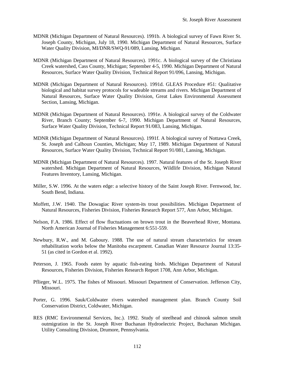- MDNR (Michigan Department of Natural Resources). 1991b. A biological survey of Fawn River St. Joseph County, Michigan, July 18, 1990. Michigan Department of Natural Resources, Surface Water Quality Division, MI/DNR/SWQ-91/089, Lansing, Michigan.
- MDNR (Michigan Department of Natural Resources). 1991c. A biological survey of the Christiana Creek watershed, Cass County, Michigan; September 4-5, 1990. Michigan Department of Natural Resources, Surface Water Quality Division, Technical Report 91/096, Lansing, Michigan.
- MDNR (Michigan Department of Natural Resources). 1991d. GLEAS Procedure #51: Qualitative biological and habitat survey protocols for wadeable streams and rivers. Michigan Department of Natural Resources, Surface Water Quality Division, Great Lakes Environmental Assessment Section, Lansing, Michigan.
- MDNR (Michigan Department of Natural Resources). 1991e. A biological survey of the Coldwater River, Branch County; September 6-7, 1990. Michigan Department of Natural Resources, Surface Water Quality Division, Technical Report 91/083, Lansing, Michigan.
- MDNR (Michigan Department of Natural Resources). 1991f. A biological survey of Nottawa Creek, St. Joseph and Calhoun Counties, Michigan; May 17, 1989. Michigan Department of Natural Resources, Surface Water Quality Division, Technical Report 91/081, Lansing, Michigan.
- MDNR (Michigan Department of Natural Resources). 1997. Natural features of the St. Joseph River watershed. Michigan Department of Natural Resources, Wildlife Division, Michigan Natural Features Inventory, Lansing, Michigan.
- Miller, S.W. 1996. At the waters edge: a selective history of the Saint Joseph River. Fernwood, Inc. South Bend, Indiana.
- Moffett, J.W. 1940. The Dowagiac River system-its trout possibilities. Michigan Department of Natural Resources, Fisheries Division, Fisheries Research Report 577, Ann Arbor, Michigan.
- Nelson, F.A. 1986. Effect of flow fluctuations on brown trout in the Beaverhead River, Montana. North American Journal of Fisheries Management 6:551-559.
- Newbury, R.W., and M. Gaboury. 1988. The use of natural stream characteristics for stream rehabilitation works below the Manitoba escarpment. Canadian Water Resource Journal 13:35- 51 (as cited in Gordon et al. 1992).
- Peterson, J. 1965. Foods eaten by aquatic fish-eating birds. Michigan Department of Natural Resources, Fisheries Division, Fisheries Research Report 1708, Ann Arbor, Michigan.
- Pflieger, W.L. 1975. The fishes of Missouri. Missouri Department of Conservation. Jefferson City, Missouri.
- Porter, G. 1996. Sauk/Coldwater rivers watershed management plan. Branch County Soil Conservation District, Coldwater, Michigan.
- RES (RMC Environmental Services, Inc.). 1992. Study of steelhead and chinook salmon smolt outmigration in the St. Joseph River Buchanan Hydroelectric Project, Buchanan Michigan. Utility Consulting Division, Drumore, Pennsylvania.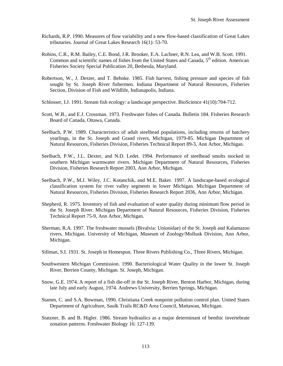- Richards, R.P. 1990. Measures of flow variability and a new flow-based classification of Great Lakes tributaries. Journal of Great Lakes Research 16(1): 53-70.
- Robins, C.R., R.M. Bailey, C.E. Bond, J.R. Brooker, E.A. Lachner, R.N. Lea, and W.B. Scott. 1991. Common and scientific names of fishes from the United States and Canada,  $5<sup>th</sup>$  edition. American Fisheries Society Special Publication 20, Bethesda, Maryland.
- Robertson, W., J. Dexter, and T. Behnke. 1985. Fish harvest, fishing pressure and species of fish sought by St. Joseph River fishermen. Indiana Department of Natural Resources, Fisheries Section, Division of Fish and Wildlife, Indianapolis, Indiana.
- Schlosser, I.J. 1991. Stream fish ecology: a landscape perspective. BioScience 41(10):704-712.
- Scott, W.B., and E.J. Crossman. 1973. Freshwater fishes of Canada. Bulletin 184. Fisheries Research Board of Canada, Ottawa, Canada.
- Seelbach, P.W. 1989. Characteristics of adult steelhead populations, including returns of hatchery yearlings, in the St. Joseph and Grand rivers, Michigan, 1979-85. Michigan Department of Natural Resources, Fisheries Division, Fisheries Technical Report 89-3, Ann Arbor, Michigan.
- Seelbach, P.W., J.L. Dexter, and N.D. Ledet. 1994. Performance of steelhead smolts stocked in southern Michigan warmwater rivers. Michigan Department of Natural Resources, Fisheries Division, Fisheries Research Report 2003, Ann Arbor, Michigan.
- Seelbach, P.W., M.J. Wiley, J.C. Kotanchik, and M.E. Baker. 1997. A landscape-based ecological classification system for river valley segments in lower Michigan. Michigan Department of Natural Resources, Fisheries Division, Fisheries Research Report 2036, Ann Arbor, Michigan.
- Shepherd, R. 1975. Inventory of fish and evaluation of water quality during minimum flow period in the St. Joseph River. Michigan Department of Natural Resources, Fisheries Division, Fisheries Technical Report 75-9, Ann Arbor, Michigan.
- Sherman, R.A. 1997. The freshwater mussels (Bivalvia: Unionidae) of the St. Joseph and Kalamazoo rivers, Michigan. University of Michigan, Museum of Zoology/Mollusk Division, Ann Arbor, Michigan.
- Sillman, S.I. 1931. St. Joseph in Homespun. Three Rivers Publishing Co., Three Rivers, Michigan.
- Southwestern Michigan Commission. 1990. Bacteriological Water Quality in the lower St. Joseph River, Berrien County, Michigan. St. Joseph, Michigan.
- Snow, G.E. 1974. A report of a fish die-off in the St. Joseph River, Benton Harbor, Michigan, during late July and early August, 1974. Andrews University, Berrien Springs, Michigan.
- Stamm, C. and S.A. Bowman, 1990. Christiana Creek nonpoint pollution control plan. United States Department of Agriculture, Saulk Trails RC&D Area Council, Mattawan, Michigan.
- Statzner, B. and B. Higler. 1986. Stream hydraulics as a major determinant of benthic invertebrate zonation patterns. Freshwater Biology 16: 127-139.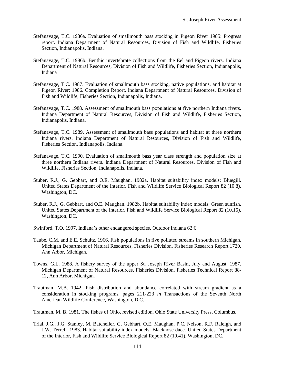- Stefanavage, T.C. 1986a. Evaluation of smallmouth bass stocking in Pigeon River 1985: Progress report. Indiana Department of Natural Resources, Division of Fish and Wildlife, Fisheries Section, Indianapolis, Indiana.
- Stefanavage, T.C. 1986b. Benthic invertebrate collections from the Eel and Pigeon rivers. Indiana Department of Natural Resources, Division of Fish and Wildlife, Fisheries Section, Indianapolis, Indiana
- Stefanavage, T.C. 1987. Evaluation of smallmouth bass stocking, native populations, and habitat at Pigeon River: 1986. Completion Report. Indiana Department of Natural Resources, Division of Fish and Wildlife, Fisheries Section, Indianapolis, Indiana.
- Stefanavage, T.C. 1988. Assessment of smallmouth bass populations at five northern Indiana rivers. Indiana Department of Natural Resources, Division of Fish and Wildlife, Fisheries Section, Indianapolis, Indiana.
- Stefanavage, T.C. 1989. Assessment of smallmouth bass populations and habitat at three northern Indiana rivers. Indiana Department of Natural Resources, Division of Fish and Wildlife, Fisheries Section, Indianapolis, Indiana.
- Stefanavage, T.C. 1990. Evaluation of smallmouth bass year class strength and population size at three northern Indiana rivers. Indiana Department of Natural Resources, Division of Fish and Wildlife, Fisheries Section, Indianapolis, Indiana.
- Stuber, R.J., G. Gebhart, and O.E. Maughan. 1982a. Habitat suitability index models: Bluegill. United States Department of the Interior, Fish and Wildlife Service Biological Report 82 (10.8), Washington, DC.
- Stuber, R.J., G. Gebhart, and O.E. Maughan. 1982b. Habitat suitability index models: Green sunfish. United States Department of the Interior, Fish and Wildlife Service Biological Report 82 (10.15), Washington, DC.
- Swinford, T.O. 1997. Indiana's other endangered species. Outdoor Indiana 62:6.
- Taube, C.M. and E.E. Schultz. 1966. Fish populations in five polluted streams in southern Michigan. Michigan Department of Natural Resources, Fisheries Division, Fisheries Research Report 1720, Ann Arbor, Michigan.
- Towns, G.L. 1988. A fishery survey of the upper St. Joseph River Basin, July and August, 1987. Michigan Department of Natural Resources, Fisheries Division, Fisheries Technical Report 88- 12, Ann Arbor, Michigan.
- Trautman, M.B. 1942. Fish distribution and abundance correlated with stream gradient as a consideration in stocking programs. pages 211-223 *in* Transactions of the Seventh North American Wildlife Conference, Washington, D.C.
- Trautman, M. B. 1981. The fishes of Ohio, revised edition. Ohio State University Press, Columbus.
- Trial, J.G., J.G. Stanley, M. Batcheller, G. Gebhart, O.E. Maughan, P.C. Nelson, R.F. Raleigh, and J.W. Terrell. 1983. Habitat suitability index models: Blacknose dace. United States Department of the Interior, Fish and Wildlife Service Biological Report 82 (10.41), Washington, DC.